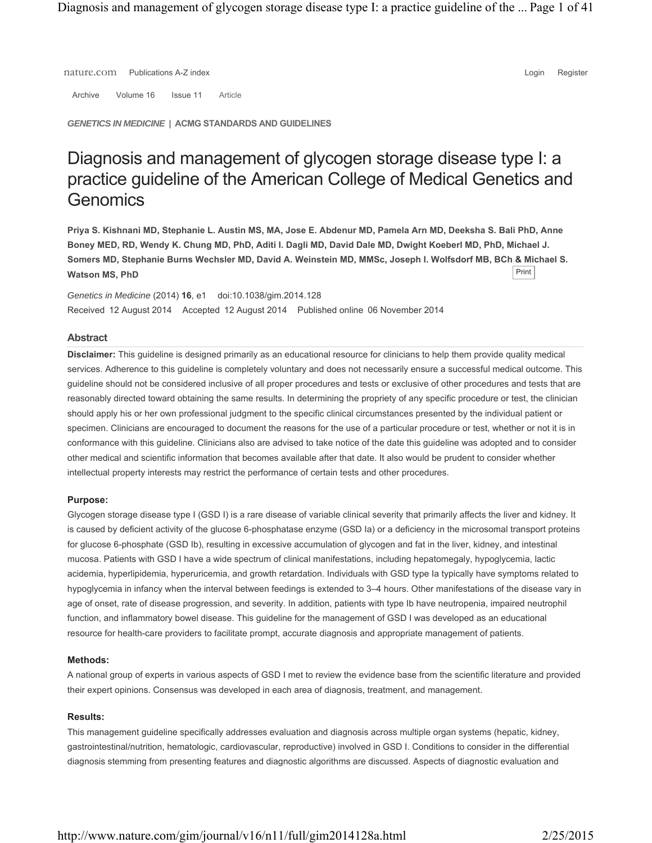Diagnosis and management of glycogen storage disease type I: a practice guideline of the ... Page 1 of 41

nature.com Publications A-Z index Login Register Communications A-Z index Login Register Archive Volume 16 Issue 11 Article

*GENETICS IN MEDICINE* **| ACMG STANDARDS AND GUIDELINES** 

# Diagnosis and management of glycogen storage disease type I: a practice guideline of the American College of Medical Genetics and **Genomics**

**Priya S. Kishnani MD, Stephanie L. Austin MS, MA, Jose E. Abdenur MD, Pamela Arn MD, Deeksha S. Bali PhD, Anne Boney MED, RD, Wendy K. Chung MD, PhD, Aditi I. Dagli MD, David Dale MD, Dwight Koeberl MD, PhD, Michael J. Somers MD, Stephanie Burns Wechsler MD, David A. Weinstein MD, MMSc, Joseph I. Wolfsdorf MB, BCh & Michael S. Watson MS, PhD** Print

*Genetics in Medicine* (2014) **16**, e1 doi:10.1038/gim.2014.128 Received 12 August 2014 Accepted 12 August 2014 Published online 06 November 2014

#### **Abstract**

**Disclaimer:** This guideline is designed primarily as an educational resource for clinicians to help them provide quality medical services. Adherence to this guideline is completely voluntary and does not necessarily ensure a successful medical outcome. This guideline should not be considered inclusive of all proper procedures and tests or exclusive of other procedures and tests that are reasonably directed toward obtaining the same results. In determining the propriety of any specific procedure or test, the clinician should apply his or her own professional judgment to the specific clinical circumstances presented by the individual patient or specimen. Clinicians are encouraged to document the reasons for the use of a particular procedure or test, whether or not it is in conformance with this guideline. Clinicians also are advised to take notice of the date this guideline was adopted and to consider other medical and scientific information that becomes available after that date. It also would be prudent to consider whether intellectual property interests may restrict the performance of certain tests and other procedures.

#### **Purpose:**

Glycogen storage disease type I (GSD I) is a rare disease of variable clinical severity that primarily affects the liver and kidney. It is caused by deficient activity of the glucose 6-phosphatase enzyme (GSD Ia) or a deficiency in the microsomal transport proteins for glucose 6-phosphate (GSD Ib), resulting in excessive accumulation of glycogen and fat in the liver, kidney, and intestinal mucosa. Patients with GSD I have a wide spectrum of clinical manifestations, including hepatomegaly, hypoglycemia, lactic acidemia, hyperlipidemia, hyperuricemia, and growth retardation. Individuals with GSD type Ia typically have symptoms related to hypoglycemia in infancy when the interval between feedings is extended to 3–4 hours. Other manifestations of the disease vary in age of onset, rate of disease progression, and severity. In addition, patients with type Ib have neutropenia, impaired neutrophil function, and inflammatory bowel disease. This guideline for the management of GSD I was developed as an educational resource for health-care providers to facilitate prompt, accurate diagnosis and appropriate management of patients.

#### **Methods:**

A national group of experts in various aspects of GSD I met to review the evidence base from the scientific literature and provided their expert opinions. Consensus was developed in each area of diagnosis, treatment, and management.

#### **Results:**

This management guideline specifically addresses evaluation and diagnosis across multiple organ systems (hepatic, kidney, gastrointestinal/nutrition, hematologic, cardiovascular, reproductive) involved in GSD I. Conditions to consider in the differential diagnosis stemming from presenting features and diagnostic algorithms are discussed. Aspects of diagnostic evaluation and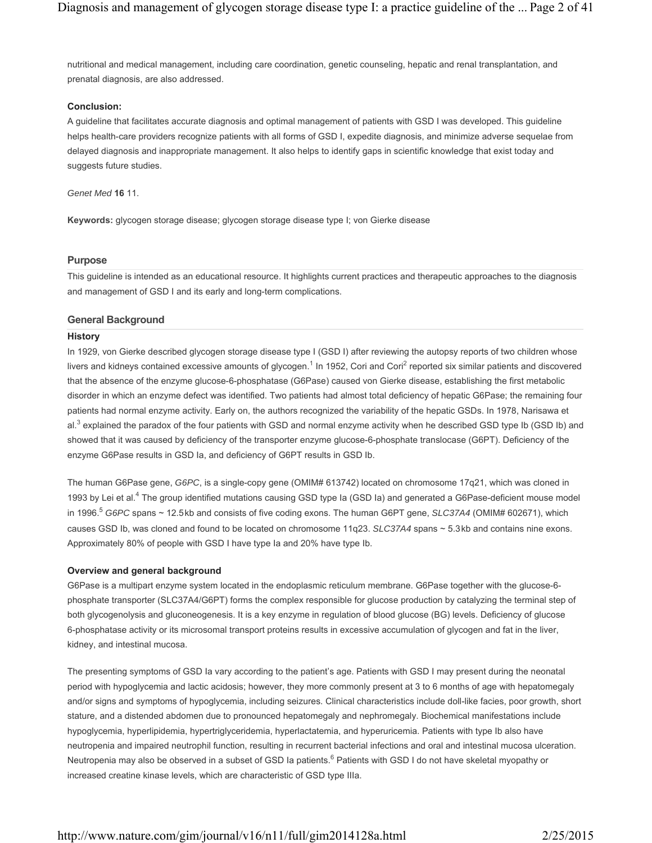nutritional and medical management, including care coordination, genetic counseling, hepatic and renal transplantation, and prenatal diagnosis, are also addressed.

## **Conclusion:**

A guideline that facilitates accurate diagnosis and optimal management of patients with GSD I was developed. This guideline helps health-care providers recognize patients with all forms of GSD I, expedite diagnosis, and minimize adverse sequelae from delayed diagnosis and inappropriate management. It also helps to identify gaps in scientific knowledge that exist today and suggests future studies.

*Genet Med* **16** 11.

**Keywords:** glycogen storage disease; glycogen storage disease type I; von Gierke disease

## **Purpose**

This guideline is intended as an educational resource. It highlights current practices and therapeutic approaches to the diagnosis and management of GSD I and its early and long-term complications.

## **General Background**

## **History**

In 1929, von Gierke described glycogen storage disease type I (GSD I) after reviewing the autopsy reports of two children whose livers and kidneys contained excessive amounts of glycogen.<sup>1</sup> In 1952, Cori and Cori<sup>2</sup> reported six similar patients and discovered that the absence of the enzyme glucose-6-phosphatase (G6Pase) caused von Gierke disease, establishing the first metabolic disorder in which an enzyme defect was identified. Two patients had almost total deficiency of hepatic G6Pase; the remaining four patients had normal enzyme activity. Early on, the authors recognized the variability of the hepatic GSDs. In 1978, Narisawa et al.<sup>3</sup> explained the paradox of the four patients with GSD and normal enzyme activity when he described GSD type Ib (GSD Ib) and showed that it was caused by deficiency of the transporter enzyme glucose-6-phosphate translocase (G6PT). Deficiency of the enzyme G6Pase results in GSD Ia, and deficiency of G6PT results in GSD Ib.

The human G6Pase gene, *G6PC*, is a single-copy gene (OMIM# 613742) located on chromosome 17q21, which was cloned in 1993 by Lei et al.<sup>4</sup> The group identified mutations causing GSD type Ia (GSD Ia) and generated a G6Pase-deficient mouse model in 1996.<sup>5</sup> G6PC spans ~ 12.5kb and consists of five coding exons. The human G6PT gene, *SLC37A4* (OMIM# 602671), which causes GSD Ib, was cloned and found to be located on chromosome 11q23. *SLC37A4* spans ~ 5.3kb and contains nine exons. Approximately 80% of people with GSD I have type Ia and 20% have type Ib.

#### **Overview and general background**

G6Pase is a multipart enzyme system located in the endoplasmic reticulum membrane. G6Pase together with the glucose-6 phosphate transporter (SLC37A4/G6PT) forms the complex responsible for glucose production by catalyzing the terminal step of both glycogenolysis and gluconeogenesis. It is a key enzyme in regulation of blood glucose (BG) levels. Deficiency of glucose 6-phosphatase activity or its microsomal transport proteins results in excessive accumulation of glycogen and fat in the liver, kidney, and intestinal mucosa.

The presenting symptoms of GSD Ia vary according to the patient's age. Patients with GSD I may present during the neonatal period with hypoglycemia and lactic acidosis; however, they more commonly present at 3 to 6 months of age with hepatomegaly and/or signs and symptoms of hypoglycemia, including seizures. Clinical characteristics include doll-like facies, poor growth, short stature, and a distended abdomen due to pronounced hepatomegaly and nephromegaly. Biochemical manifestations include hypoglycemia, hyperlipidemia, hypertriglyceridemia, hyperlactatemia, and hyperuricemia. Patients with type Ib also have neutropenia and impaired neutrophil function, resulting in recurrent bacterial infections and oral and intestinal mucosa ulceration. Neutropenia may also be observed in a subset of GSD Ia patients.<sup>6</sup> Patients with GSD I do not have skeletal myopathy or increased creatine kinase levels, which are characteristic of GSD type IIIa.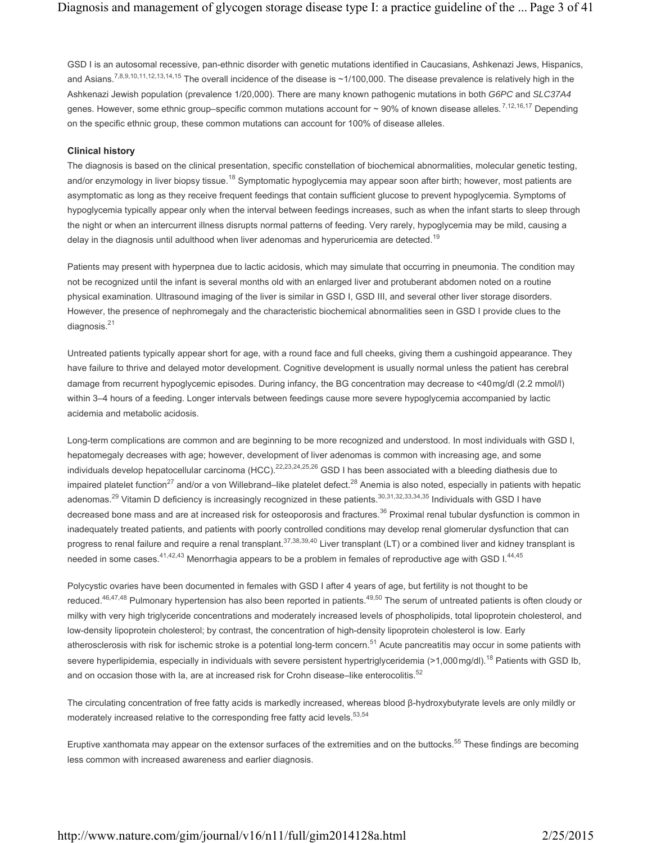GSD I is an autosomal recessive, pan-ethnic disorder with genetic mutations identified in Caucasians, Ashkenazi Jews, Hispanics, and Asians.<sup>7,8,9,10,11,12,13,14,15</sup> The overall incidence of the disease is ~1/100,000. The disease prevalence is relatively high in the Ashkenazi Jewish population (prevalence 1/20,000). There are many known pathogenic mutations in both *G6PC* and *SLC37A4* genes. However, some ethnic group–specific common mutations account for ~ 90% of known disease alleles.<sup>7,12,16,17</sup> Depending on the specific ethnic group, these common mutations can account for 100% of disease alleles.

# **Clinical history**

The diagnosis is based on the clinical presentation, specific constellation of biochemical abnormalities, molecular genetic testing, and/or enzymology in liver biopsy tissue.<sup>18</sup> Symptomatic hypoglycemia may appear soon after birth; however, most patients are asymptomatic as long as they receive frequent feedings that contain sufficient glucose to prevent hypoglycemia. Symptoms of hypoglycemia typically appear only when the interval between feedings increases, such as when the infant starts to sleep through the night or when an intercurrent illness disrupts normal patterns of feeding. Very rarely, hypoglycemia may be mild, causing a delay in the diagnosis until adulthood when liver adenomas and hyperuricemia are detected.<sup>19</sup>

Patients may present with hyperpnea due to lactic acidosis, which may simulate that occurring in pneumonia. The condition may not be recognized until the infant is several months old with an enlarged liver and protuberant abdomen noted on a routine physical examination. Ultrasound imaging of the liver is similar in GSD I, GSD III, and several other liver storage disorders. However, the presence of nephromegaly and the characteristic biochemical abnormalities seen in GSD I provide clues to the diagnosis.<sup>21</sup>

Untreated patients typically appear short for age, with a round face and full cheeks, giving them a cushingoid appearance. They have failure to thrive and delayed motor development. Cognitive development is usually normal unless the patient has cerebral damage from recurrent hypoglycemic episodes. During infancy, the BG concentration may decrease to <40mg/dl (2.2 mmol/l) within 3–4 hours of a feeding. Longer intervals between feedings cause more severe hypoglycemia accompanied by lactic acidemia and metabolic acidosis.

Long-term complications are common and are beginning to be more recognized and understood. In most individuals with GSD I, hepatomegaly decreases with age; however, development of liver adenomas is common with increasing age, and some individuals develop hepatocellular carcinoma (HCC).<sup>22,23,24,25,26</sup> GSD I has been associated with a bleeding diathesis due to impaired platelet function<sup>27</sup> and/or a von Willebrand–like platelet defect.<sup>28</sup> Anemia is also noted, especially in patients with hepatic adenomas.<sup>29</sup> Vitamin D deficiency is increasingly recognized in these patients.<sup>30,31,32,33,34,35</sup> Individuals with GSD I have decreased bone mass and are at increased risk for osteoporosis and fractures.<sup>36</sup> Proximal renal tubular dysfunction is common in inadequately treated patients, and patients with poorly controlled conditions may develop renal glomerular dysfunction that can progress to renal failure and require a renal transplant.<sup>37,38,39,40</sup> Liver transplant (LT) or a combined liver and kidney transplant is needed in some cases.<sup>41,42,43</sup> Menorrhagia appears to be a problem in females of reproductive age with GSD I.<sup>44,45</sup>

Polycystic ovaries have been documented in females with GSD I after 4 years of age, but fertility is not thought to be reduced.<sup>46,47,48</sup> Pulmonary hypertension has also been reported in patients.<sup>49,50</sup> The serum of untreated patients is often cloudy or milky with very high triglyceride concentrations and moderately increased levels of phospholipids, total lipoprotein cholesterol, and low-density lipoprotein cholesterol; by contrast, the concentration of high-density lipoprotein cholesterol is low. Early atherosclerosis with risk for ischemic stroke is a potential long-term concern.<sup>51</sup> Acute pancreatitis may occur in some patients with severe hyperlipidemia, especially in individuals with severe persistent hypertriglyceridemia (>1,000mg/dl).<sup>18</sup> Patients with GSD Ib, and on occasion those with Ia, are at increased risk for Crohn disease–like enterocolitis.<sup>52</sup>

The circulating concentration of free fatty acids is markedly increased, whereas blood β-hydroxybutyrate levels are only mildly or moderately increased relative to the corresponding free fatty acid levels.<sup>53,54</sup>

Eruptive xanthomata may appear on the extensor surfaces of the extremities and on the buttocks.<sup>55</sup> These findings are becoming less common with increased awareness and earlier diagnosis.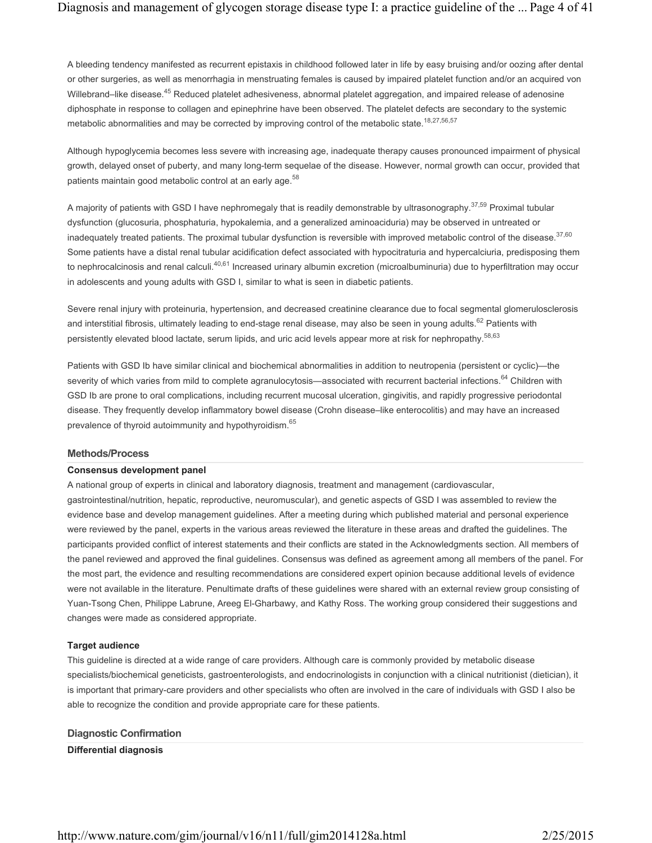A bleeding tendency manifested as recurrent epistaxis in childhood followed later in life by easy bruising and/or oozing after dental or other surgeries, as well as menorrhagia in menstruating females is caused by impaired platelet function and/or an acquired von Willebrand–like disease.<sup>45</sup> Reduced platelet adhesiveness, abnormal platelet aggregation, and impaired release of adenosine diphosphate in response to collagen and epinephrine have been observed. The platelet defects are secondary to the systemic metabolic abnormalities and may be corrected by improving control of the metabolic state.<sup>18,27,56,57</sup>

Although hypoglycemia becomes less severe with increasing age, inadequate therapy causes pronounced impairment of physical growth, delayed onset of puberty, and many long-term sequelae of the disease. However, normal growth can occur, provided that patients maintain good metabolic control at an early age.<sup>58</sup>

A majority of patients with GSD I have nephromegaly that is readily demonstrable by ultrasonography.<sup>37,59</sup> Proximal tubular dysfunction (glucosuria, phosphaturia, hypokalemia, and a generalized aminoaciduria) may be observed in untreated or inadequately treated patients. The proximal tubular dysfunction is reversible with improved metabolic control of the disease. 37,60 Some patients have a distal renal tubular acidification defect associated with hypocitraturia and hypercalciuria, predisposing them to nephrocalcinosis and renal calculi.<sup>40,61</sup> Increased urinary albumin excretion (microalbuminuria) due to hyperfiltration may occur in adolescents and young adults with GSD I, similar to what is seen in diabetic patients.

Severe renal injury with proteinuria, hypertension, and decreased creatinine clearance due to focal segmental glomerulosclerosis and interstitial fibrosis, ultimately leading to end-stage renal disease, may also be seen in young adults.<sup>62</sup> Patients with persistently elevated blood lactate, serum lipids, and uric acid levels appear more at risk for nephropathy.<sup>58,63</sup>

Patients with GSD Ib have similar clinical and biochemical abnormalities in addition to neutropenia (persistent or cyclic)—the severity of which varies from mild to complete agranulocytosis—associated with recurrent bacterial infections.<sup>64</sup> Children with GSD Ib are prone to oral complications, including recurrent mucosal ulceration, gingivitis, and rapidly progressive periodontal disease. They frequently develop inflammatory bowel disease (Crohn disease–like enterocolitis) and may have an increased prevalence of thyroid autoimmunity and hypothyroidism.<sup>65</sup>

#### **Methods/Process**

#### **Consensus development panel**

A national group of experts in clinical and laboratory diagnosis, treatment and management (cardiovascular, gastrointestinal/nutrition, hepatic, reproductive, neuromuscular), and genetic aspects of GSD I was assembled to review the evidence base and develop management guidelines. After a meeting during which published material and personal experience were reviewed by the panel, experts in the various areas reviewed the literature in these areas and drafted the guidelines. The participants provided conflict of interest statements and their conflicts are stated in the Acknowledgments section. All members of the panel reviewed and approved the final guidelines. Consensus was defined as agreement among all members of the panel. For the most part, the evidence and resulting recommendations are considered expert opinion because additional levels of evidence were not available in the literature. Penultimate drafts of these guidelines were shared with an external review group consisting of Yuan-Tsong Chen, Philippe Labrune, Areeg El-Gharbawy, and Kathy Ross. The working group considered their suggestions and changes were made as considered appropriate.

# **Target audience**

This guideline is directed at a wide range of care providers. Although care is commonly provided by metabolic disease specialists/biochemical geneticists, gastroenterologists, and endocrinologists in conjunction with a clinical nutritionist (dietician), it is important that primary-care providers and other specialists who often are involved in the care of individuals with GSD I also be able to recognize the condition and provide appropriate care for these patients.

# **Diagnostic Confirmation**

**Differential diagnosis**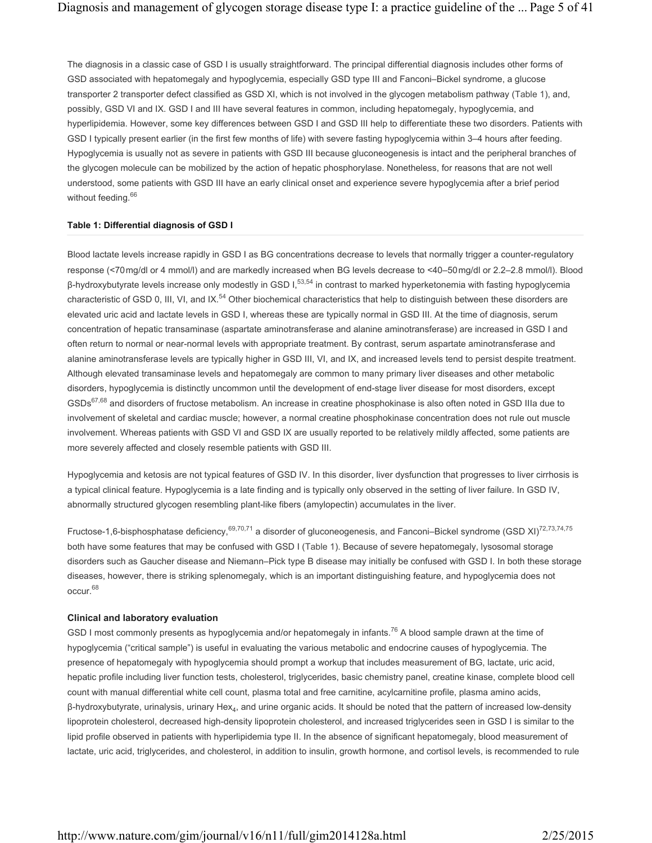The diagnosis in a classic case of GSD I is usually straightforward. The principal differential diagnosis includes other forms of GSD associated with hepatomegaly and hypoglycemia, especially GSD type III and Fanconi–Bickel syndrome, a glucose transporter 2 transporter defect classified as GSD XI, which is not involved in the glycogen metabolism pathway (Table 1), and, possibly, GSD VI and IX. GSD I and III have several features in common, including hepatomegaly, hypoglycemia, and hyperlipidemia. However, some key differences between GSD I and GSD III help to differentiate these two disorders. Patients with GSD I typically present earlier (in the first few months of life) with severe fasting hypoglycemia within 3–4 hours after feeding. Hypoglycemia is usually not as severe in patients with GSD III because gluconeogenesis is intact and the peripheral branches of the glycogen molecule can be mobilized by the action of hepatic phosphorylase. Nonetheless, for reasons that are not well understood, some patients with GSD III have an early clinical onset and experience severe hypoglycemia after a brief period without feeding.<sup>66</sup>

#### **Table 1: Differential diagnosis of GSD I**

Blood lactate levels increase rapidly in GSD I as BG concentrations decrease to levels that normally trigger a counter-regulatory response (<70mg/dl or 4 mmol/l) and are markedly increased when BG levels decrease to <40–50mg/dl or 2.2–2.8 mmol/l). Blood β-hydroxybutyrate levels increase only modestly in GSD I,53,54 in contrast to marked hyperketonemia with fasting hypoglycemia characteristic of GSD 0, III, VI, and IX.<sup>54</sup> Other biochemical characteristics that help to distinguish between these disorders are elevated uric acid and lactate levels in GSD I, whereas these are typically normal in GSD III. At the time of diagnosis, serum concentration of hepatic transaminase (aspartate aminotransferase and alanine aminotransferase) are increased in GSD I and often return to normal or near-normal levels with appropriate treatment. By contrast, serum aspartate aminotransferase and alanine aminotransferase levels are typically higher in GSD III, VI, and IX, and increased levels tend to persist despite treatment. Although elevated transaminase levels and hepatomegaly are common to many primary liver diseases and other metabolic disorders, hypoglycemia is distinctly uncommon until the development of end-stage liver disease for most disorders, except GSDs<sup>67,68</sup> and disorders of fructose metabolism. An increase in creatine phosphokinase is also often noted in GSD IIIa due to involvement of skeletal and cardiac muscle; however, a normal creatine phosphokinase concentration does not rule out muscle involvement. Whereas patients with GSD VI and GSD IX are usually reported to be relatively mildly affected, some patients are more severely affected and closely resemble patients with GSD III.

Hypoglycemia and ketosis are not typical features of GSD IV. In this disorder, liver dysfunction that progresses to liver cirrhosis is a typical clinical feature. Hypoglycemia is a late finding and is typically only observed in the setting of liver failure. In GSD IV, abnormally structured glycogen resembling plant-like fibers (amylopectin) accumulates in the liver.

Fructose-1,6-bisphosphatase deficiency,<sup>69,70,71</sup> a disorder of gluconeogenesis, and Fanconi–Bickel syndrome (GSD XI)<sup>72,73,74,75</sup> both have some features that may be confused with GSD I (Table 1). Because of severe hepatomegaly, lysosomal storage disorders such as Gaucher disease and Niemann–Pick type B disease may initially be confused with GSD I. In both these storage diseases, however, there is striking splenomegaly, which is an important distinguishing feature, and hypoglycemia does not occur.68

#### **Clinical and laboratory evaluation**

GSD I most commonly presents as hypoglycemia and/or hepatomegaly in infants.<sup>76</sup> A blood sample drawn at the time of hypoglycemia ("critical sample") is useful in evaluating the various metabolic and endocrine causes of hypoglycemia. The presence of hepatomegaly with hypoglycemia should prompt a workup that includes measurement of BG, lactate, uric acid, hepatic profile including liver function tests, cholesterol, triglycerides, basic chemistry panel, creatine kinase, complete blood cell count with manual differential white cell count, plasma total and free carnitine, acylcarnitine profile, plasma amino acids, β-hydroxybutyrate, urinalysis, urinary Hex<sub>4</sub>, and urine organic acids. It should be noted that the pattern of increased low-density lipoprotein cholesterol, decreased high-density lipoprotein cholesterol, and increased triglycerides seen in GSD I is similar to the lipid profile observed in patients with hyperlipidemia type II. In the absence of significant hepatomegaly, blood measurement of lactate, uric acid, triglycerides, and cholesterol, in addition to insulin, growth hormone, and cortisol levels, is recommended to rule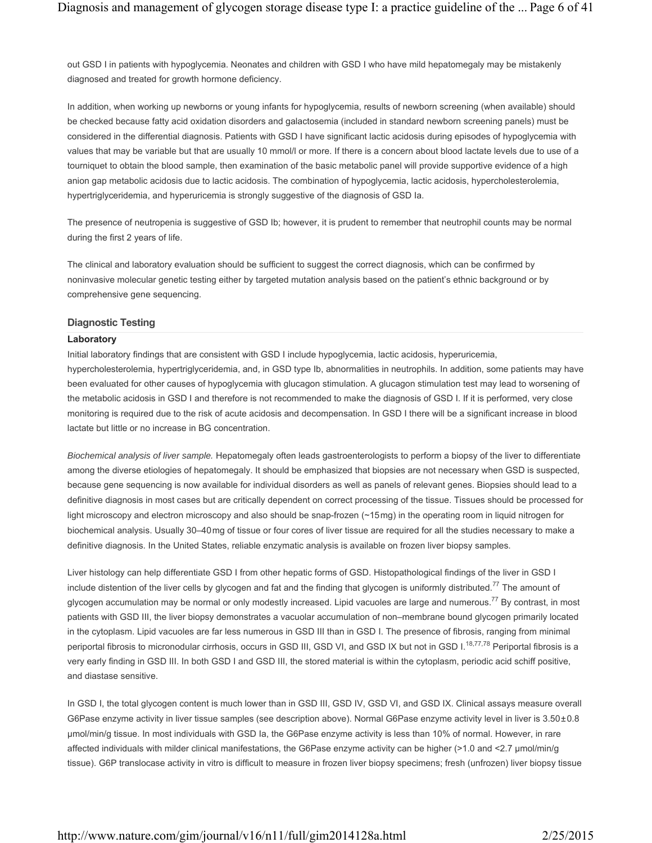out GSD I in patients with hypoglycemia. Neonates and children with GSD I who have mild hepatomegaly may be mistakenly diagnosed and treated for growth hormone deficiency.

In addition, when working up newborns or young infants for hypoglycemia, results of newborn screening (when available) should be checked because fatty acid oxidation disorders and galactosemia (included in standard newborn screening panels) must be considered in the differential diagnosis. Patients with GSD I have significant lactic acidosis during episodes of hypoglycemia with values that may be variable but that are usually 10 mmol/l or more. If there is a concern about blood lactate levels due to use of a tourniquet to obtain the blood sample, then examination of the basic metabolic panel will provide supportive evidence of a high anion gap metabolic acidosis due to lactic acidosis. The combination of hypoglycemia, lactic acidosis, hypercholesterolemia, hypertriglyceridemia, and hyperuricemia is strongly suggestive of the diagnosis of GSD Ia.

The presence of neutropenia is suggestive of GSD Ib; however, it is prudent to remember that neutrophil counts may be normal during the first 2 years of life.

The clinical and laboratory evaluation should be sufficient to suggest the correct diagnosis, which can be confirmed by noninvasive molecular genetic testing either by targeted mutation analysis based on the patient's ethnic background or by comprehensive gene sequencing.

#### **Diagnostic Testing**

## **Laboratory**

Initial laboratory findings that are consistent with GSD I include hypoglycemia, lactic acidosis, hyperuricemia, hypercholesterolemia, hypertriglyceridemia, and, in GSD type Ib, abnormalities in neutrophils. In addition, some patients may have been evaluated for other causes of hypoglycemia with glucagon stimulation. A glucagon stimulation test may lead to worsening of the metabolic acidosis in GSD I and therefore is not recommended to make the diagnosis of GSD I. If it is performed, very close monitoring is required due to the risk of acute acidosis and decompensation. In GSD I there will be a significant increase in blood lactate but little or no increase in BG concentration.

*Biochemical analysis of liver sample.* Hepatomegaly often leads gastroenterologists to perform a biopsy of the liver to differentiate among the diverse etiologies of hepatomegaly. It should be emphasized that biopsies are not necessary when GSD is suspected, because gene sequencing is now available for individual disorders as well as panels of relevant genes. Biopsies should lead to a definitive diagnosis in most cases but are critically dependent on correct processing of the tissue. Tissues should be processed for light microscopy and electron microscopy and also should be snap-frozen (~15mg) in the operating room in liquid nitrogen for biochemical analysis. Usually 30–40mg of tissue or four cores of liver tissue are required for all the studies necessary to make a definitive diagnosis. In the United States, reliable enzymatic analysis is available on frozen liver biopsy samples.

Liver histology can help differentiate GSD I from other hepatic forms of GSD. Histopathological findings of the liver in GSD I include distention of the liver cells by glycogen and fat and the finding that glycogen is uniformly distributed.<sup>77</sup> The amount of glycogen accumulation may be normal or only modestly increased. Lipid vacuoles are large and numerous.<sup>77</sup> By contrast, in most patients with GSD III, the liver biopsy demonstrates a vacuolar accumulation of non–membrane bound glycogen primarily located in the cytoplasm. Lipid vacuoles are far less numerous in GSD III than in GSD I. The presence of fibrosis, ranging from minimal periportal fibrosis to micronodular cirrhosis, occurs in GSD III, GSD VI, and GSD IX but not in GSD I.<sup>18,77,78</sup> Periportal fibrosis is a very early finding in GSD III. In both GSD I and GSD III, the stored material is within the cytoplasm, periodic acid schiff positive, and diastase sensitive.

In GSD I, the total glycogen content is much lower than in GSD III, GSD IV, GSD VI, and GSD IX. Clinical assays measure overall G6Pase enzyme activity in liver tissue samples (see description above). Normal G6Pase enzyme activity level in liver is 3.50±0.8 µmol/min/g tissue. In most individuals with GSD Ia, the G6Pase enzyme activity is less than 10% of normal. However, in rare affected individuals with milder clinical manifestations, the G6Pase enzyme activity can be higher (>1.0 and <2.7 µmol/min/g tissue). G6P translocase activity in vitro is difficult to measure in frozen liver biopsy specimens; fresh (unfrozen) liver biopsy tissue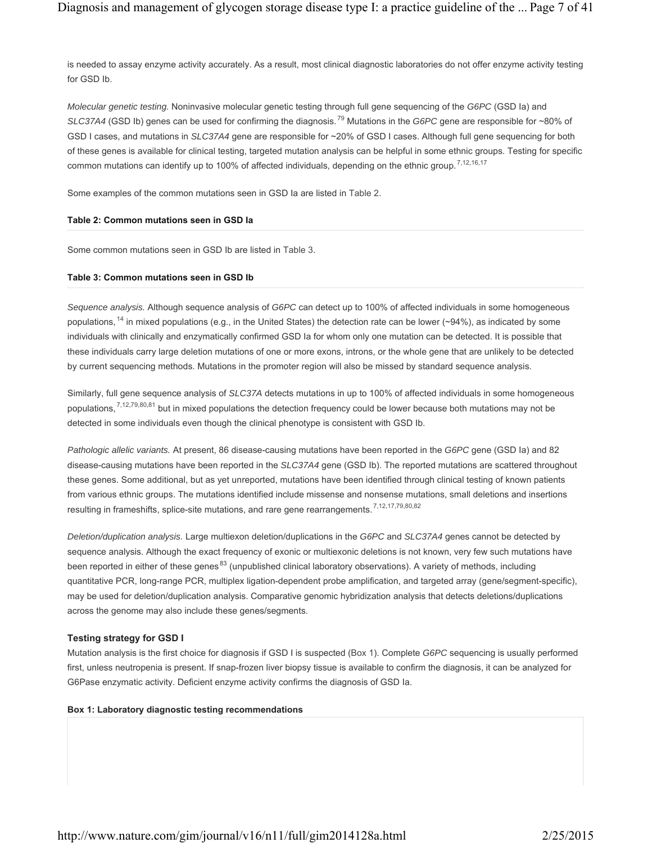is needed to assay enzyme activity accurately. As a result, most clinical diagnostic laboratories do not offer enzyme activity testing for GSD Ib.

*Molecular genetic testing.* Noninvasive molecular genetic testing through full gene sequencing of the *G6PC* (GSD Ia) and *SLC37A4* (GSD Ib) genes can be used for confirming the diagnosis. 79 Mutations in the *G6PC* gene are responsible for ~80% of GSD I cases, and mutations in *SLC37A4* gene are responsible for ~20% of GSD I cases. Although full gene sequencing for both of these genes is available for clinical testing, targeted mutation analysis can be helpful in some ethnic groups. Testing for specific common mutations can identify up to 100% of affected individuals, depending on the ethnic group.<sup>7,12,16,17</sup>

Some examples of the common mutations seen in GSD Ia are listed in Table 2.

## **Table 2: Common mutations seen in GSD Ia**

Some common mutations seen in GSD Ib are listed in Table 3.

## **Table 3: Common mutations seen in GSD Ib**

*Sequence analysis.* Although sequence analysis of *G6PC* can detect up to 100% of affected individuals in some homogeneous populations,  $14$  in mixed populations (e.g., in the United States) the detection rate can be lower (~94%), as indicated by some individuals with clinically and enzymatically confirmed GSD Ia for whom only one mutation can be detected. It is possible that these individuals carry large deletion mutations of one or more exons, introns, or the whole gene that are unlikely to be detected by current sequencing methods. Mutations in the promoter region will also be missed by standard sequence analysis.

Similarly, full gene sequence analysis of *SLC37A* detects mutations in up to 100% of affected individuals in some homogeneous populations,  $^{7,12,79,80,81}$  but in mixed populations the detection frequency could be lower because both mutations may not be detected in some individuals even though the clinical phenotype is consistent with GSD Ib.

*Pathologic allelic variants.* At present, 86 disease-causing mutations have been reported in the *G6PC* gene (GSD Ia) and 82 disease-causing mutations have been reported in the *SLC37A4* gene (GSD Ib). The reported mutations are scattered throughout these genes. Some additional, but as yet unreported, mutations have been identified through clinical testing of known patients from various ethnic groups. The mutations identified include missense and nonsense mutations, small deletions and insertions resulting in frameshifts, splice-site mutations, and rare gene rearrangements.<sup>7,12,17,79,80,82</sup>

*Deletion/duplication analysis.* Large multiexon deletion/duplications in the *G6PC* and *SLC37A4* genes cannot be detected by sequence analysis. Although the exact frequency of exonic or multiexonic deletions is not known, very few such mutations have been reported in either of these genes<sup>83</sup> (unpublished clinical laboratory observations). A variety of methods, including quantitative PCR, long-range PCR, multiplex ligation-dependent probe amplification, and targeted array (gene/segment-specific), may be used for deletion/duplication analysis. Comparative genomic hybridization analysis that detects deletions/duplications across the genome may also include these genes/segments.

# **Testing strategy for GSD I**

Mutation analysis is the first choice for diagnosis if GSD I is suspected (Box 1). Complete *G6PC* sequencing is usually performed first, unless neutropenia is present. If snap-frozen liver biopsy tissue is available to confirm the diagnosis, it can be analyzed for G6Pase enzymatic activity. Deficient enzyme activity confirms the diagnosis of GSD Ia.

# **Box 1: Laboratory diagnostic testing recommendations**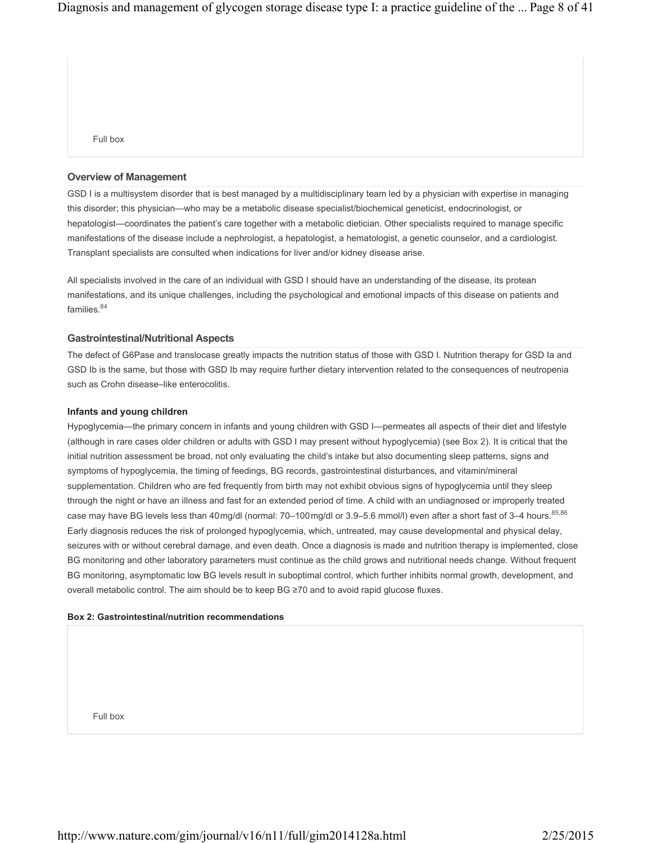Full box

# **Overview of Management**

GSD I is a multisystem disorder that is best managed by a multidisciplinary team led by a physician with expertise in managing this disorder; this physician—who may be a metabolic disease specialist/biochemical geneticist, endocrinologist, or hepatologist—coordinates the patient's care together with a metabolic dietician. Other specialists required to manage specific manifestations of the disease include a nephrologist, a hepatologist, a hematologist, a genetic counselor, and a cardiologist. Transplant specialists are consulted when indications for liver and/or kidney disease arise.

All specialists involved in the care of an individual with GSD I should have an understanding of the disease, its protean manifestations, and its unique challenges, including the psychological and emotional impacts of this disease on patients and families.<sup>84</sup>

# **Gastrointestinal/Nutritional Aspects**

The defect of G6Pase and translocase greatly impacts the nutrition status of those with GSD I. Nutrition therapy for GSD Ia and GSD Ib is the same, but those with GSD Ib may require further dietary intervention related to the consequences of neutropenia such as Crohn disease–like enterocolitis.

# **Infants and young children**

Hypoglycemia—the primary concern in infants and young children with GSD I—permeates all aspects of their diet and lifestyle (although in rare cases older children or adults with GSD I may present without hypoglycemia) (see Box 2). It is critical that the initial nutrition assessment be broad, not only evaluating the child's intake but also documenting sleep patterns, signs and symptoms of hypoglycemia, the timing of feedings, BG records, gastrointestinal disturbances, and vitamin/mineral supplementation. Children who are fed frequently from birth may not exhibit obvious signs of hypoglycemia until they sleep through the night or have an illness and fast for an extended period of time. A child with an undiagnosed or improperly treated case may have BG levels less than 40mg/dl (normal: 70–100mg/dl or 3.9–5.6 mmol/l) even after a short fast of 3–4 hours.<sup>85,86</sup> Early diagnosis reduces the risk of prolonged hypoglycemia, which, untreated, may cause developmental and physical delay, seizures with or without cerebral damage, and even death. Once a diagnosis is made and nutrition therapy is implemented, close BG monitoring and other laboratory parameters must continue as the child grows and nutritional needs change. Without frequent BG monitoring, asymptomatic low BG levels result in suboptimal control, which further inhibits normal growth, development, and overall metabolic control. The aim should be to keep BG ≥70 and to avoid rapid glucose fluxes.

# **Box 2: Gastrointestinal/nutrition recommendations**

Full box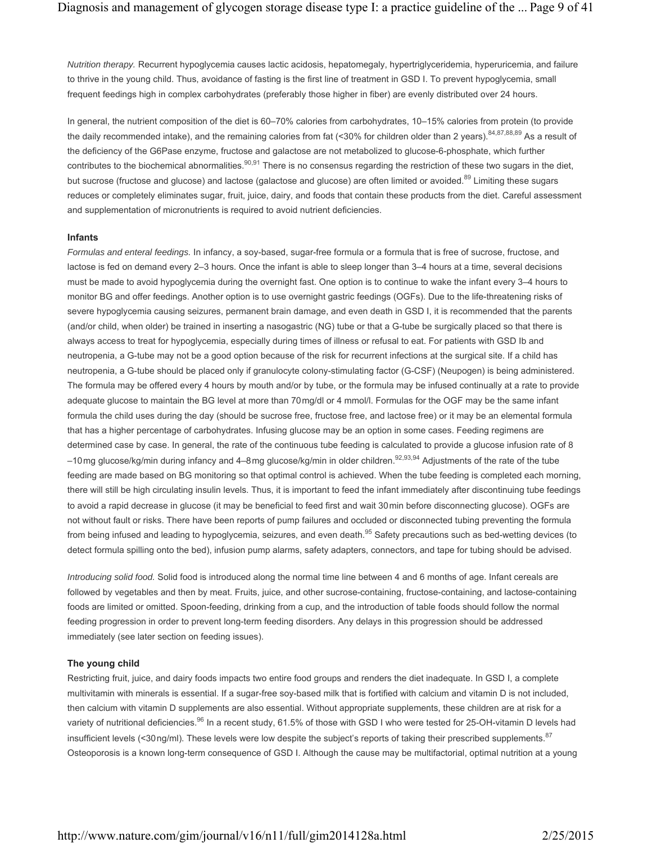*Nutrition therapy.* Recurrent hypoglycemia causes lactic acidosis, hepatomegaly, hypertriglyceridemia, hyperuricemia, and failure to thrive in the young child. Thus, avoidance of fasting is the first line of treatment in GSD I. To prevent hypoglycemia, small frequent feedings high in complex carbohydrates (preferably those higher in fiber) are evenly distributed over 24 hours.

In general, the nutrient composition of the diet is 60–70% calories from carbohydrates, 10–15% calories from protein (to provide the daily recommended intake), and the remaining calories from fat (<30% for children older than 2 years).<sup>84,87,88,89</sup> As a result of the deficiency of the G6Pase enzyme, fructose and galactose are not metabolized to glucose-6-phosphate, which further contributes to the biochemical abnormalities.<sup>90,91</sup> There is no consensus regarding the restriction of these two sugars in the diet. but sucrose (fructose and glucose) and lactose (galactose and glucose) are often limited or avoided.<sup>89</sup> Limiting these sugars reduces or completely eliminates sugar, fruit, juice, dairy, and foods that contain these products from the diet. Careful assessment and supplementation of micronutrients is required to avoid nutrient deficiencies.

#### **Infants**

*Formulas and enteral feedings.* In infancy, a soy-based, sugar-free formula or a formula that is free of sucrose, fructose, and lactose is fed on demand every 2–3 hours. Once the infant is able to sleep longer than 3–4 hours at a time, several decisions must be made to avoid hypoglycemia during the overnight fast. One option is to continue to wake the infant every 3–4 hours to monitor BG and offer feedings. Another option is to use overnight gastric feedings (OGFs). Due to the life-threatening risks of severe hypoglycemia causing seizures, permanent brain damage, and even death in GSD I, it is recommended that the parents (and/or child, when older) be trained in inserting a nasogastric (NG) tube or that a G-tube be surgically placed so that there is always access to treat for hypoglycemia, especially during times of illness or refusal to eat. For patients with GSD Ib and neutropenia, a G-tube may not be a good option because of the risk for recurrent infections at the surgical site. If a child has neutropenia, a G-tube should be placed only if granulocyte colony-stimulating factor (G-CSF) (Neupogen) is being administered. The formula may be offered every 4 hours by mouth and/or by tube, or the formula may be infused continually at a rate to provide adequate glucose to maintain the BG level at more than 70mg/dl or 4 mmol/l. Formulas for the OGF may be the same infant formula the child uses during the day (should be sucrose free, fructose free, and lactose free) or it may be an elemental formula that has a higher percentage of carbohydrates. Infusing glucose may be an option in some cases. Feeding regimens are determined case by case. In general, the rate of the continuous tube feeding is calculated to provide a glucose infusion rate of 8  $-10$ mg glucose/kg/min during infancy and 4–8mg glucose/kg/min in older children.<sup>92,93,94</sup> Adjustments of the rate of the tube feeding are made based on BG monitoring so that optimal control is achieved. When the tube feeding is completed each morning, there will still be high circulating insulin levels. Thus, it is important to feed the infant immediately after discontinuing tube feedings to avoid a rapid decrease in glucose (it may be beneficial to feed first and wait 30min before disconnecting glucose). OGFs are not without fault or risks. There have been reports of pump failures and occluded or disconnected tubing preventing the formula from being infused and leading to hypoglycemia, seizures, and even death.<sup>95</sup> Safety precautions such as bed-wetting devices (to detect formula spilling onto the bed), infusion pump alarms, safety adapters, connectors, and tape for tubing should be advised.

*Introducing solid food.* Solid food is introduced along the normal time line between 4 and 6 months of age. Infant cereals are followed by vegetables and then by meat. Fruits, juice, and other sucrose-containing, fructose-containing, and lactose-containing foods are limited or omitted. Spoon-feeding, drinking from a cup, and the introduction of table foods should follow the normal feeding progression in order to prevent long-term feeding disorders. Any delays in this progression should be addressed immediately (see later section on feeding issues).

#### **The young child**

Restricting fruit, juice, and dairy foods impacts two entire food groups and renders the diet inadequate. In GSD I, a complete multivitamin with minerals is essential. If a sugar-free soy-based milk that is fortified with calcium and vitamin D is not included, then calcium with vitamin D supplements are also essential. Without appropriate supplements, these children are at risk for a variety of nutritional deficiencies.<sup>96</sup> In a recent study, 61.5% of those with GSD I who were tested for 25-OH-vitamin D levels had insufficient levels (<30ng/ml). These levels were low despite the subject's reports of taking their prescribed supplements.<sup>87</sup> Osteoporosis is a known long-term consequence of GSD I. Although the cause may be multifactorial, optimal nutrition at a young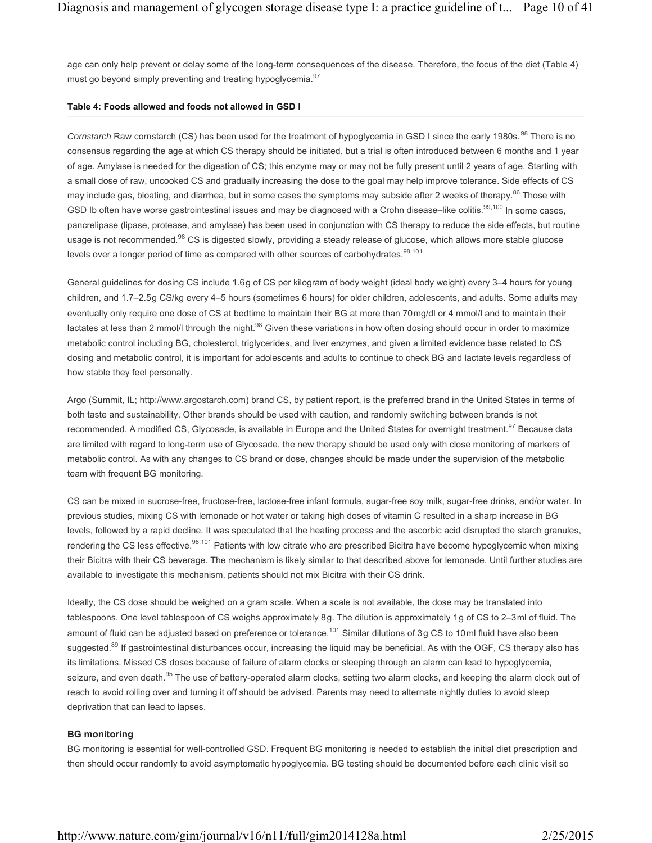age can only help prevent or delay some of the long-term consequences of the disease. Therefore, the focus of the diet (Table 4) must go beyond simply preventing and treating hypoglycemia.<sup>97</sup>

## **Table 4: Foods allowed and foods not allowed in GSD I**

*Cornstarch* Raw cornstarch (CS) has been used for the treatment of hypoglycemia in GSD I since the early 1980s. <sup>98</sup> There is no consensus regarding the age at which CS therapy should be initiated, but a trial is often introduced between 6 months and 1 year of age. Amylase is needed for the digestion of CS; this enzyme may or may not be fully present until 2 years of age. Starting with a small dose of raw, uncooked CS and gradually increasing the dose to the goal may help improve tolerance. Side effects of CS may include gas, bloating, and diarrhea, but in some cases the symptoms may subside after 2 weeks of therapy.<sup>86</sup> Those with GSD Ib often have worse gastrointestinal issues and may be diagnosed with a Crohn disease–like colitis.<sup>99,100</sup> In some cases, pancrelipase (lipase, protease, and amylase) has been used in conjunction with CS therapy to reduce the side effects, but routine usage is not recommended.<sup>98</sup> CS is digested slowly, providing a steady release of glucose, which allows more stable glucose levels over a longer period of time as compared with other sources of carbohydrates.  $98,101$ 

General guidelines for dosing CS include 1.6g of CS per kilogram of body weight (ideal body weight) every 3–4 hours for young children, and 1.7–2.5g CS/kg every 4–5 hours (sometimes 6 hours) for older children, adolescents, and adults. Some adults may eventually only require one dose of CS at bedtime to maintain their BG at more than 70mg/dl or 4 mmol/l and to maintain their lactates at less than 2 mmol/l through the night.<sup>98</sup> Given these variations in how often dosing should occur in order to maximize metabolic control including BG, cholesterol, triglycerides, and liver enzymes, and given a limited evidence base related to CS dosing and metabolic control, it is important for adolescents and adults to continue to check BG and lactate levels regardless of how stable they feel personally.

Argo (Summit, IL; http://www.argostarch.com) brand CS, by patient report, is the preferred brand in the United States in terms of both taste and sustainability. Other brands should be used with caution, and randomly switching between brands is not recommended. A modified CS, Glycosade, is available in Europe and the United States for overnight treatment.<sup>97</sup> Because data are limited with regard to long-term use of Glycosade, the new therapy should be used only with close monitoring of markers of metabolic control. As with any changes to CS brand or dose, changes should be made under the supervision of the metabolic team with frequent BG monitoring.

CS can be mixed in sucrose-free, fructose-free, lactose-free infant formula, sugar-free soy milk, sugar-free drinks, and/or water. In previous studies, mixing CS with lemonade or hot water or taking high doses of vitamin C resulted in a sharp increase in BG levels, followed by a rapid decline. It was speculated that the heating process and the ascorbic acid disrupted the starch granules, rendering the CS less effective.<sup>98,101</sup> Patients with low citrate who are prescribed Bicitra have become hypoglycemic when mixing their Bicitra with their CS beverage. The mechanism is likely similar to that described above for lemonade. Until further studies are available to investigate this mechanism, patients should not mix Bicitra with their CS drink.

Ideally, the CS dose should be weighed on a gram scale. When a scale is not available, the dose may be translated into tablespoons. One level tablespoon of CS weighs approximately 8g. The dilution is approximately 1g of CS to 2–3ml of fluid. The amount of fluid can be adjusted based on preference or tolerance.<sup>101</sup> Similar dilutions of 3g CS to 10ml fluid have also been suggested.<sup>89</sup> If gastrointestinal disturbances occur, increasing the liquid may be beneficial. As with the OGF, CS therapy also has its limitations. Missed CS doses because of failure of alarm clocks or sleeping through an alarm can lead to hypoglycemia, seizure, and even death.<sup>95</sup> The use of battery-operated alarm clocks, setting two alarm clocks, and keeping the alarm clock out of reach to avoid rolling over and turning it off should be advised. Parents may need to alternate nightly duties to avoid sleep deprivation that can lead to lapses.

#### **BG monitoring**

BG monitoring is essential for well-controlled GSD. Frequent BG monitoring is needed to establish the initial diet prescription and then should occur randomly to avoid asymptomatic hypoglycemia. BG testing should be documented before each clinic visit so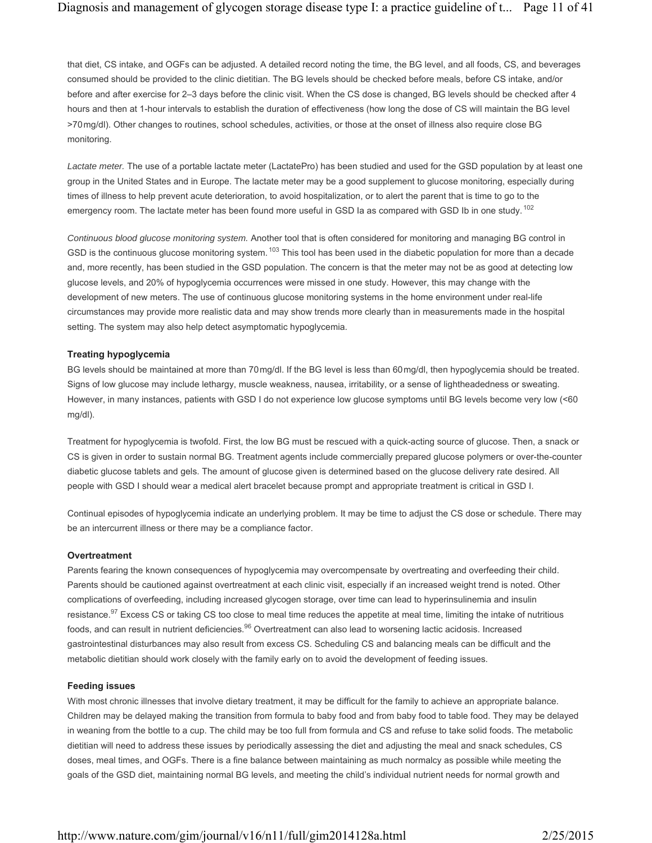that diet, CS intake, and OGFs can be adjusted. A detailed record noting the time, the BG level, and all foods, CS, and beverages consumed should be provided to the clinic dietitian. The BG levels should be checked before meals, before CS intake, and/or before and after exercise for 2–3 days before the clinic visit. When the CS dose is changed, BG levels should be checked after 4 hours and then at 1-hour intervals to establish the duration of effectiveness (how long the dose of CS will maintain the BG level >70mg/dl). Other changes to routines, school schedules, activities, or those at the onset of illness also require close BG monitoring.

*Lactate meter.* The use of a portable lactate meter (LactatePro) has been studied and used for the GSD population by at least one group in the United States and in Europe. The lactate meter may be a good supplement to glucose monitoring, especially during times of illness to help prevent acute deterioration, to avoid hospitalization, or to alert the parent that is time to go to the emergency room. The lactate meter has been found more useful in GSD Ia as compared with GSD Ib in one study. <sup>102</sup>

*Continuous blood glucose monitoring system.* Another tool that is often considered for monitoring and managing BG control in GSD is the continuous glucose monitoring system.<sup>103</sup> This tool has been used in the diabetic population for more than a decade and, more recently, has been studied in the GSD population. The concern is that the meter may not be as good at detecting low glucose levels, and 20% of hypoglycemia occurrences were missed in one study. However, this may change with the development of new meters. The use of continuous glucose monitoring systems in the home environment under real-life circumstances may provide more realistic data and may show trends more clearly than in measurements made in the hospital setting. The system may also help detect asymptomatic hypoglycemia.

# **Treating hypoglycemia**

BG levels should be maintained at more than 70mg/dl. If the BG level is less than 60mg/dl, then hypoglycemia should be treated. Signs of low glucose may include lethargy, muscle weakness, nausea, irritability, or a sense of lightheadedness or sweating. However, in many instances, patients with GSD I do not experience low glucose symptoms until BG levels become very low (<60 mg/dl).

Treatment for hypoglycemia is twofold. First, the low BG must be rescued with a quick-acting source of glucose. Then, a snack or CS is given in order to sustain normal BG. Treatment agents include commercially prepared glucose polymers or over-the-counter diabetic glucose tablets and gels. The amount of glucose given is determined based on the glucose delivery rate desired. All people with GSD I should wear a medical alert bracelet because prompt and appropriate treatment is critical in GSD I.

Continual episodes of hypoglycemia indicate an underlying problem. It may be time to adjust the CS dose or schedule. There may be an intercurrent illness or there may be a compliance factor.

#### **Overtreatment**

Parents fearing the known consequences of hypoglycemia may overcompensate by overtreating and overfeeding their child. Parents should be cautioned against overtreatment at each clinic visit, especially if an increased weight trend is noted. Other complications of overfeeding, including increased glycogen storage, over time can lead to hyperinsulinemia and insulin resistance.<sup>97</sup> Excess CS or taking CS too close to meal time reduces the appetite at meal time, limiting the intake of nutritious foods, and can result in nutrient deficiencies.<sup>96</sup> Overtreatment can also lead to worsening lactic acidosis. Increased gastrointestinal disturbances may also result from excess CS. Scheduling CS and balancing meals can be difficult and the metabolic dietitian should work closely with the family early on to avoid the development of feeding issues.

#### **Feeding issues**

With most chronic illnesses that involve dietary treatment, it may be difficult for the family to achieve an appropriate balance. Children may be delayed making the transition from formula to baby food and from baby food to table food. They may be delayed in weaning from the bottle to a cup. The child may be too full from formula and CS and refuse to take solid foods. The metabolic dietitian will need to address these issues by periodically assessing the diet and adjusting the meal and snack schedules, CS doses, meal times, and OGFs. There is a fine balance between maintaining as much normalcy as possible while meeting the goals of the GSD diet, maintaining normal BG levels, and meeting the child's individual nutrient needs for normal growth and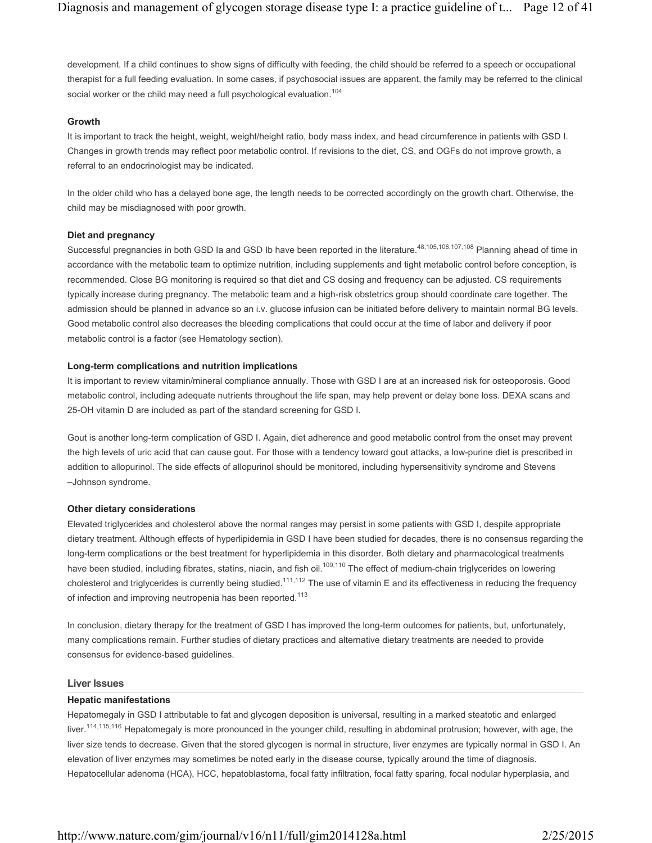development. If a child continues to show signs of difficulty with feeding, the child should be referred to a speech or occupational therapist for a full feeding evaluation. In some cases, if psychosocial issues are apparent, the family may be referred to the clinical social worker or the child may need a full psychological evaluation.<sup>104</sup>

## **Growth**

It is important to track the height, weight, weight/height ratio, body mass index, and head circumference in patients with GSD I. Changes in growth trends may reflect poor metabolic control. If revisions to the diet, CS, and OGFs do not improve growth, a referral to an endocrinologist may be indicated.

In the older child who has a delayed bone age, the length needs to be corrected accordingly on the growth chart. Otherwise, the child may be misdiagnosed with poor growth.

## **Diet and pregnancy**

Successful pregnancies in both GSD Ia and GSD Ib have been reported in the literature.<sup>48,105,106,107,108</sup> Planning ahead of time in accordance with the metabolic team to optimize nutrition, including supplements and tight metabolic control before conception, is recommended. Close BG monitoring is required so that diet and CS dosing and frequency can be adjusted. CS requirements typically increase during pregnancy. The metabolic team and a high-risk obstetrics group should coordinate care together. The admission should be planned in advance so an i.v. glucose infusion can be initiated before delivery to maintain normal BG levels. Good metabolic control also decreases the bleeding complications that could occur at the time of labor and delivery if poor metabolic control is a factor (see Hematology section).

## **Long-term complications and nutrition implications**

It is important to review vitamin/mineral compliance annually. Those with GSD I are at an increased risk for osteoporosis. Good metabolic control, including adequate nutrients throughout the life span, may help prevent or delay bone loss. DEXA scans and 25-OH vitamin D are included as part of the standard screening for GSD I.

Gout is another long-term complication of GSD I. Again, diet adherence and good metabolic control from the onset may prevent the high levels of uric acid that can cause gout. For those with a tendency toward gout attacks, a low-purine diet is prescribed in addition to allopurinol. The side effects of allopurinol should be monitored, including hypersensitivity syndrome and Stevens –Johnson syndrome.

## **Other dietary considerations**

Elevated triglycerides and cholesterol above the normal ranges may persist in some patients with GSD I, despite appropriate dietary treatment. Although effects of hyperlipidemia in GSD I have been studied for decades, there is no consensus regarding the long-term complications or the best treatment for hyperlipidemia in this disorder. Both dietary and pharmacological treatments have been studied, including fibrates, statins, niacin, and fish oil.<sup>109,110</sup> The effect of medium-chain triglycerides on lowering cholesterol and triglycerides is currently being studied.<sup>111,112</sup> The use of vitamin E and its effectiveness in reducing the frequency of infection and improving neutropenia has been reported.<sup>113</sup>

In conclusion, dietary therapy for the treatment of GSD I has improved the long-term outcomes for patients, but, unfortunately, many complications remain. Further studies of dietary practices and alternative dietary treatments are needed to provide consensus for evidence-based guidelines.

#### **Liver Issues**

#### **Hepatic manifestations**

Hepatomegaly in GSD I attributable to fat and glycogen deposition is universal, resulting in a marked steatotic and enlarged liver.<sup>114,115,116</sup> Hepatomegaly is more pronounced in the younger child, resulting in abdominal protrusion; however, with age, the liver size tends to decrease. Given that the stored glycogen is normal in structure, liver enzymes are typically normal in GSD I. An elevation of liver enzymes may sometimes be noted early in the disease course, typically around the time of diagnosis. Hepatocellular adenoma (HCA), HCC, hepatoblastoma, focal fatty infiltration, focal fatty sparing, focal nodular hyperplasia, and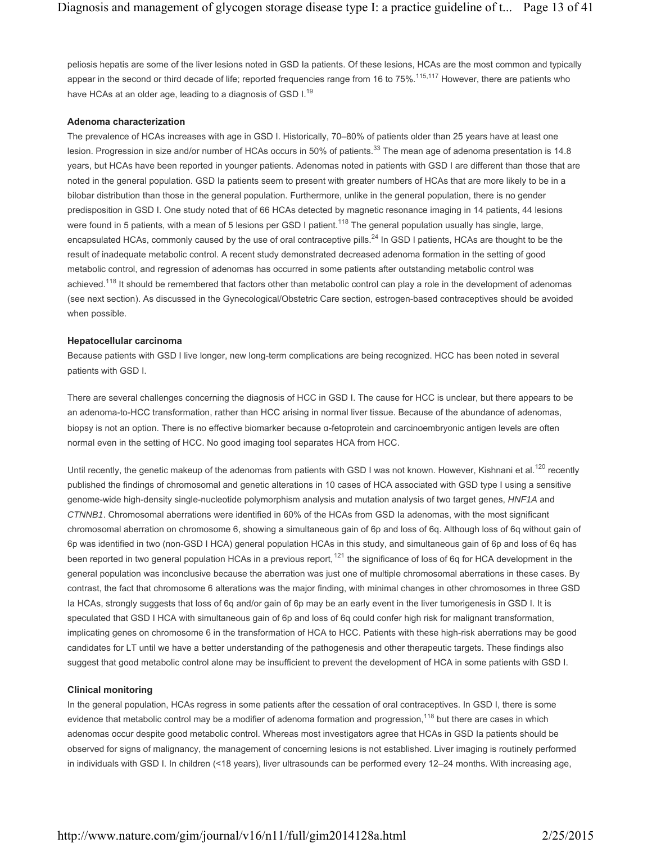peliosis hepatis are some of the liver lesions noted in GSD Ia patients. Of these lesions, HCAs are the most common and typically appear in the second or third decade of life; reported frequencies range from 16 to 75%.<sup>115,117</sup> However, there are patients who have HCAs at an older age, leading to a diagnosis of GSD I.<sup>19</sup>

## **Adenoma characterization**

The prevalence of HCAs increases with age in GSD I. Historically, 70–80% of patients older than 25 years have at least one lesion. Progression in size and/or number of HCAs occurs in 50% of patients.<sup>33</sup> The mean age of adenoma presentation is 14.8 years, but HCAs have been reported in younger patients. Adenomas noted in patients with GSD I are different than those that are noted in the general population. GSD Ia patients seem to present with greater numbers of HCAs that are more likely to be in a bilobar distribution than those in the general population. Furthermore, unlike in the general population, there is no gender predisposition in GSD I. One study noted that of 66 HCAs detected by magnetic resonance imaging in 14 patients, 44 lesions were found in 5 patients, with a mean of 5 lesions per GSD I patient.<sup>118</sup> The general population usually has single, large, encapsulated HCAs, commonly caused by the use of oral contraceptive pills.<sup>24</sup> In GSD I patients, HCAs are thought to be the result of inadequate metabolic control. A recent study demonstrated decreased adenoma formation in the setting of good metabolic control, and regression of adenomas has occurred in some patients after outstanding metabolic control was achieved.<sup>118</sup> It should be remembered that factors other than metabolic control can play a role in the development of adenomas (see next section). As discussed in the Gynecological/Obstetric Care section, estrogen-based contraceptives should be avoided when possible.

#### **Hepatocellular carcinoma**

Because patients with GSD I live longer, new long-term complications are being recognized. HCC has been noted in several patients with GSD I.

There are several challenges concerning the diagnosis of HCC in GSD I. The cause for HCC is unclear, but there appears to be an adenoma-to-HCC transformation, rather than HCC arising in normal liver tissue. Because of the abundance of adenomas, biopsy is not an option. There is no effective biomarker because α-fetoprotein and carcinoembryonic antigen levels are often normal even in the setting of HCC. No good imaging tool separates HCA from HCC.

Until recently, the genetic makeup of the adenomas from patients with GSD I was not known. However, Kishnani et al.<sup>120</sup> recently published the findings of chromosomal and genetic alterations in 10 cases of HCA associated with GSD type I using a sensitive genome-wide high-density single-nucleotide polymorphism analysis and mutation analysis of two target genes, *HNF1A* and *CTNNB1*. Chromosomal aberrations were identified in 60% of the HCAs from GSD Ia adenomas, with the most significant chromosomal aberration on chromosome 6, showing a simultaneous gain of 6p and loss of 6q. Although loss of 6q without gain of 6p was identified in two (non-GSD I HCA) general population HCAs in this study, and simultaneous gain of 6p and loss of 6q has been reported in two general population HCAs in a previous report, <sup>121</sup> the significance of loss of 6q for HCA development in the general population was inconclusive because the aberration was just one of multiple chromosomal aberrations in these cases. By contrast, the fact that chromosome 6 alterations was the major finding, with minimal changes in other chromosomes in three GSD Ia HCAs, strongly suggests that loss of 6q and/or gain of 6p may be an early event in the liver tumorigenesis in GSD I. It is speculated that GSD I HCA with simultaneous gain of 6p and loss of 6q could confer high risk for malignant transformation, implicating genes on chromosome 6 in the transformation of HCA to HCC. Patients with these high-risk aberrations may be good candidates for LT until we have a better understanding of the pathogenesis and other therapeutic targets. These findings also suggest that good metabolic control alone may be insufficient to prevent the development of HCA in some patients with GSD I.

# **Clinical monitoring**

In the general population, HCAs regress in some patients after the cessation of oral contraceptives. In GSD I, there is some evidence that metabolic control may be a modifier of adenoma formation and progression,<sup>118</sup> but there are cases in which adenomas occur despite good metabolic control. Whereas most investigators agree that HCAs in GSD Ia patients should be observed for signs of malignancy, the management of concerning lesions is not established. Liver imaging is routinely performed in individuals with GSD I. In children (<18 years), liver ultrasounds can be performed every 12–24 months. With increasing age,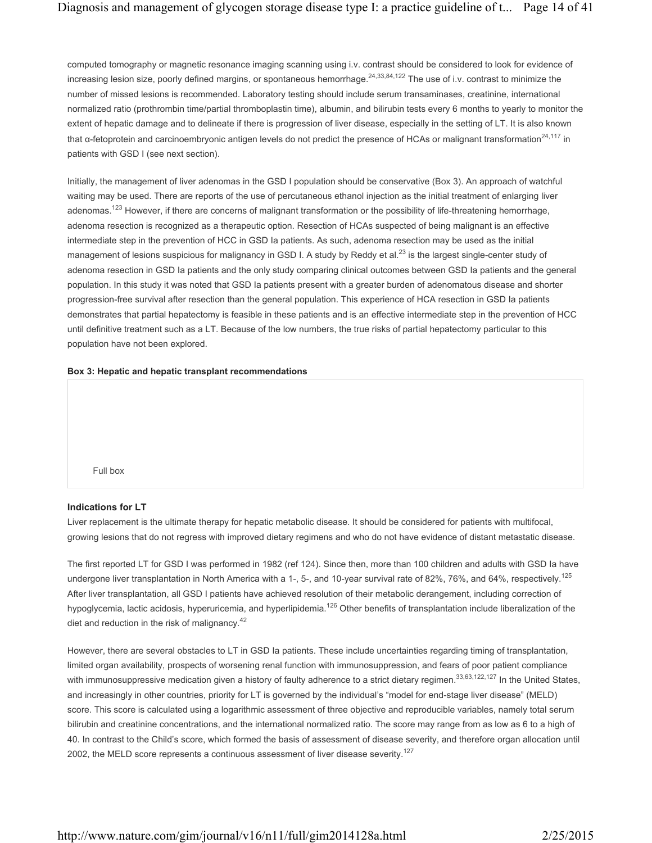computed tomography or magnetic resonance imaging scanning using i.v. contrast should be considered to look for evidence of increasing lesion size, poorly defined margins, or spontaneous hemorrhage.<sup>24,33,84,122</sup> The use of i.v. contrast to minimize the number of missed lesions is recommended. Laboratory testing should include serum transaminases, creatinine, international normalized ratio (prothrombin time/partial thromboplastin time), albumin, and bilirubin tests every 6 months to yearly to monitor the extent of hepatic damage and to delineate if there is progression of liver disease, especially in the setting of LT. It is also known that α-fetoprotein and carcinoembryonic antigen levels do not predict the presence of HCAs or malignant transformation<sup>24,117</sup> in patients with GSD I (see next section).

Initially, the management of liver adenomas in the GSD I population should be conservative (Box 3). An approach of watchful waiting may be used. There are reports of the use of percutaneous ethanol injection as the initial treatment of enlarging liver adenomas.<sup>123</sup> However, if there are concerns of malignant transformation or the possibility of life-threatening hemorrhage, adenoma resection is recognized as a therapeutic option. Resection of HCAs suspected of being malignant is an effective intermediate step in the prevention of HCC in GSD Ia patients. As such, adenoma resection may be used as the initial management of lesions suspicious for malignancy in GSD I. A study by Reddy et al.<sup>23</sup> is the largest single-center study of adenoma resection in GSD Ia patients and the only study comparing clinical outcomes between GSD Ia patients and the general population. In this study it was noted that GSD Ia patients present with a greater burden of adenomatous disease and shorter progression-free survival after resection than the general population. This experience of HCA resection in GSD Ia patients demonstrates that partial hepatectomy is feasible in these patients and is an effective intermediate step in the prevention of HCC until definitive treatment such as a LT. Because of the low numbers, the true risks of partial hepatectomy particular to this population have not been explored.

#### **Box 3: Hepatic and hepatic transplant recommendations**

Full box

#### **Indications for LT**

Liver replacement is the ultimate therapy for hepatic metabolic disease. It should be considered for patients with multifocal, growing lesions that do not regress with improved dietary regimens and who do not have evidence of distant metastatic disease.

The first reported LT for GSD I was performed in 1982 (ref 124). Since then, more than 100 children and adults with GSD Ia have undergone liver transplantation in North America with a 1-, 5-, and 10-year survival rate of 82%, 76%, and 64%, respectively.<sup>125</sup> After liver transplantation, all GSD I patients have achieved resolution of their metabolic derangement, including correction of hypoglycemia, lactic acidosis, hyperuricemia, and hyperlipidemia.<sup>126</sup> Other benefits of transplantation include liberalization of the diet and reduction in the risk of malignancy.<sup>42</sup>

However, there are several obstacles to LT in GSD Ia patients. These include uncertainties regarding timing of transplantation, limited organ availability, prospects of worsening renal function with immunosuppression, and fears of poor patient compliance with immunosuppressive medication given a history of faulty adherence to a strict dietary regimen.<sup>33,63,122,127</sup> In the United States, and increasingly in other countries, priority for LT is governed by the individual's "model for end-stage liver disease" (MELD) score. This score is calculated using a logarithmic assessment of three objective and reproducible variables, namely total serum bilirubin and creatinine concentrations, and the international normalized ratio. The score may range from as low as 6 to a high of 40. In contrast to the Child's score, which formed the basis of assessment of disease severity, and therefore organ allocation until 2002, the MELD score represents a continuous assessment of liver disease severity.<sup>127</sup>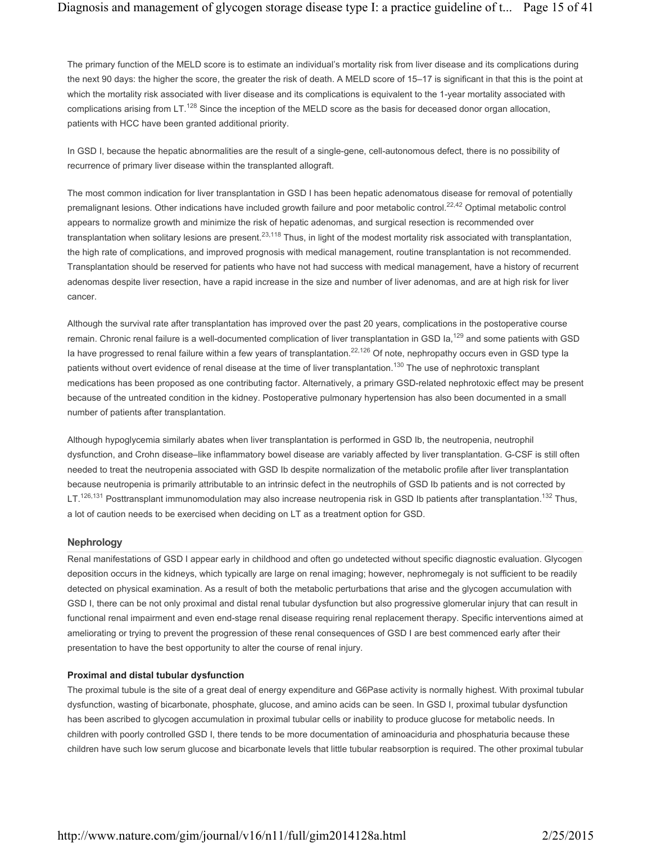The primary function of the MELD score is to estimate an individual's mortality risk from liver disease and its complications during the next 90 days: the higher the score, the greater the risk of death. A MELD score of 15–17 is significant in that this is the point at which the mortality risk associated with liver disease and its complications is equivalent to the 1-year mortality associated with complications arising from LT.<sup>128</sup> Since the inception of the MELD score as the basis for deceased donor organ allocation, patients with HCC have been granted additional priority.

In GSD I, because the hepatic abnormalities are the result of a single-gene, cell-autonomous defect, there is no possibility of recurrence of primary liver disease within the transplanted allograft.

The most common indication for liver transplantation in GSD I has been hepatic adenomatous disease for removal of potentially premalignant lesions. Other indications have included growth failure and poor metabolic control.<sup>22,42</sup> Optimal metabolic control appears to normalize growth and minimize the risk of hepatic adenomas, and surgical resection is recommended over transplantation when solitary lesions are present.<sup>23,118</sup> Thus, in light of the modest mortality risk associated with transplantation, the high rate of complications, and improved prognosis with medical management, routine transplantation is not recommended. Transplantation should be reserved for patients who have not had success with medical management, have a history of recurrent adenomas despite liver resection, have a rapid increase in the size and number of liver adenomas, and are at high risk for liver cancer.

Although the survival rate after transplantation has improved over the past 20 years, complications in the postoperative course remain. Chronic renal failure is a well-documented complication of liver transplantation in GSD Ia,<sup>129</sup> and some patients with GSD Ia have progressed to renal failure within a few years of transplantation.<sup>22,126</sup> Of note, nephropathy occurs even in GSD type Ia patients without overt evidence of renal disease at the time of liver transplantation.<sup>130</sup> The use of nephrotoxic transplant medications has been proposed as one contributing factor. Alternatively, a primary GSD-related nephrotoxic effect may be present because of the untreated condition in the kidney. Postoperative pulmonary hypertension has also been documented in a small number of patients after transplantation.

Although hypoglycemia similarly abates when liver transplantation is performed in GSD Ib, the neutropenia, neutrophil dysfunction, and Crohn disease–like inflammatory bowel disease are variably affected by liver transplantation. G-CSF is still often needed to treat the neutropenia associated with GSD Ib despite normalization of the metabolic profile after liver transplantation because neutropenia is primarily attributable to an intrinsic defect in the neutrophils of GSD Ib patients and is not corrected by LT.<sup>126,131</sup> Posttransplant immunomodulation may also increase neutropenia risk in GSD Ib patients after transplantation.<sup>132</sup> Thus, a lot of caution needs to be exercised when deciding on LT as a treatment option for GSD.

# **Nephrology**

Renal manifestations of GSD I appear early in childhood and often go undetected without specific diagnostic evaluation. Glycogen deposition occurs in the kidneys, which typically are large on renal imaging; however, nephromegaly is not sufficient to be readily detected on physical examination. As a result of both the metabolic perturbations that arise and the glycogen accumulation with GSD I, there can be not only proximal and distal renal tubular dysfunction but also progressive glomerular injury that can result in functional renal impairment and even end-stage renal disease requiring renal replacement therapy. Specific interventions aimed at ameliorating or trying to prevent the progression of these renal consequences of GSD I are best commenced early after their presentation to have the best opportunity to alter the course of renal injury.

#### **Proximal and distal tubular dysfunction**

The proximal tubule is the site of a great deal of energy expenditure and G6Pase activity is normally highest. With proximal tubular dysfunction, wasting of bicarbonate, phosphate, glucose, and amino acids can be seen. In GSD I, proximal tubular dysfunction has been ascribed to glycogen accumulation in proximal tubular cells or inability to produce glucose for metabolic needs. In children with poorly controlled GSD I, there tends to be more documentation of aminoaciduria and phosphaturia because these children have such low serum glucose and bicarbonate levels that little tubular reabsorption is required. The other proximal tubular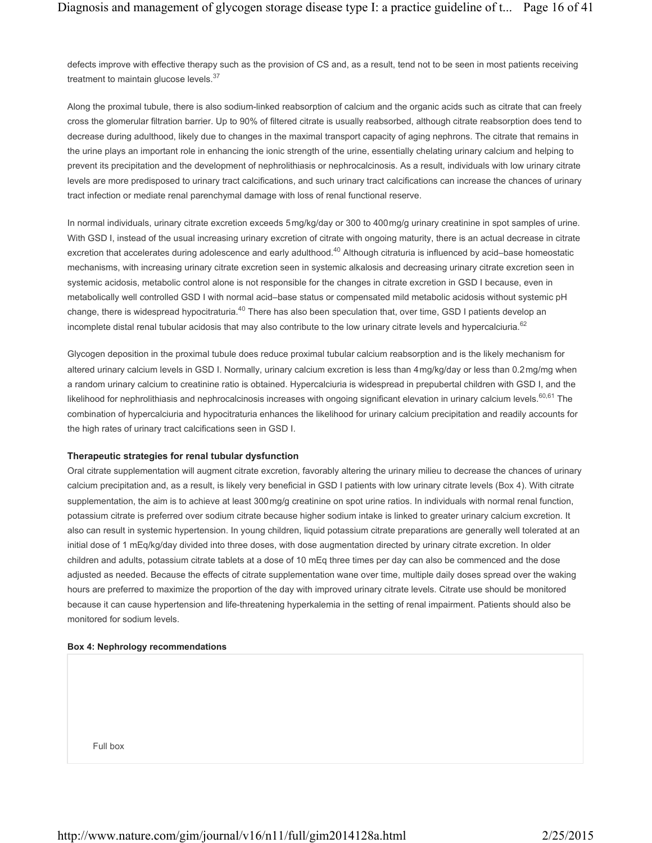defects improve with effective therapy such as the provision of CS and, as a result, tend not to be seen in most patients receiving treatment to maintain glucose levels.<sup>37</sup>

Along the proximal tubule, there is also sodium-linked reabsorption of calcium and the organic acids such as citrate that can freely cross the glomerular filtration barrier. Up to 90% of filtered citrate is usually reabsorbed, although citrate reabsorption does tend to decrease during adulthood, likely due to changes in the maximal transport capacity of aging nephrons. The citrate that remains in the urine plays an important role in enhancing the ionic strength of the urine, essentially chelating urinary calcium and helping to prevent its precipitation and the development of nephrolithiasis or nephrocalcinosis. As a result, individuals with low urinary citrate levels are more predisposed to urinary tract calcifications, and such urinary tract calcifications can increase the chances of urinary tract infection or mediate renal parenchymal damage with loss of renal functional reserve.

In normal individuals, urinary citrate excretion exceeds 5mg/kg/day or 300 to 400mg/g urinary creatinine in spot samples of urine. With GSD I, instead of the usual increasing urinary excretion of citrate with ongoing maturity, there is an actual decrease in citrate excretion that accelerates during adolescence and early adulthood.<sup>40</sup> Although citraturia is influenced by acid–base homeostatic mechanisms, with increasing urinary citrate excretion seen in systemic alkalosis and decreasing urinary citrate excretion seen in systemic acidosis, metabolic control alone is not responsible for the changes in citrate excretion in GSD I because, even in metabolically well controlled GSD I with normal acid–base status or compensated mild metabolic acidosis without systemic pH change, there is widespread hypocitraturia. $40$  There has also been speculation that, over time, GSD I patients develop an incomplete distal renal tubular acidosis that may also contribute to the low urinary citrate levels and hypercalciuria.<sup>62</sup>

Glycogen deposition in the proximal tubule does reduce proximal tubular calcium reabsorption and is the likely mechanism for altered urinary calcium levels in GSD I. Normally, urinary calcium excretion is less than 4mg/kg/day or less than 0.2mg/mg when a random urinary calcium to creatinine ratio is obtained. Hypercalciuria is widespread in prepubertal children with GSD I, and the likelihood for nephrolithiasis and nephrocalcinosis increases with ongoing significant elevation in urinary calcium levels.<sup>60,61</sup> The combination of hypercalciuria and hypocitraturia enhances the likelihood for urinary calcium precipitation and readily accounts for the high rates of urinary tract calcifications seen in GSD I.

#### **Therapeutic strategies for renal tubular dysfunction**

Oral citrate supplementation will augment citrate excretion, favorably altering the urinary milieu to decrease the chances of urinary calcium precipitation and, as a result, is likely very beneficial in GSD I patients with low urinary citrate levels (Box 4). With citrate supplementation, the aim is to achieve at least 300mg/g creatinine on spot urine ratios. In individuals with normal renal function, potassium citrate is preferred over sodium citrate because higher sodium intake is linked to greater urinary calcium excretion. It also can result in systemic hypertension. In young children, liquid potassium citrate preparations are generally well tolerated at an initial dose of 1 mEq/kg/day divided into three doses, with dose augmentation directed by urinary citrate excretion. In older children and adults, potassium citrate tablets at a dose of 10 mEq three times per day can also be commenced and the dose adjusted as needed. Because the effects of citrate supplementation wane over time, multiple daily doses spread over the waking hours are preferred to maximize the proportion of the day with improved urinary citrate levels. Citrate use should be monitored because it can cause hypertension and life-threatening hyperkalemia in the setting of renal impairment. Patients should also be monitored for sodium levels.

#### **Box 4: Nephrology recommendations**

Full box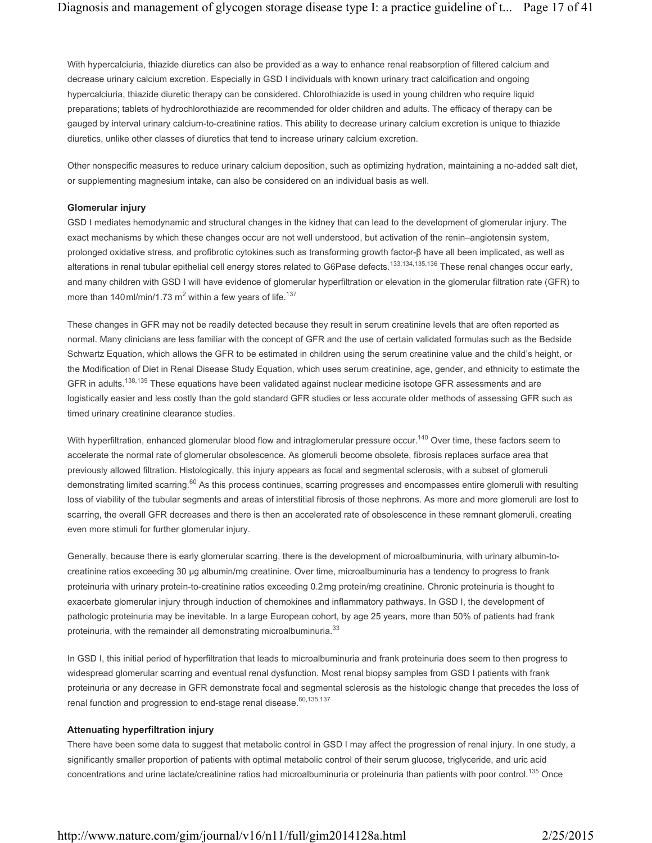With hypercalciuria, thiazide diuretics can also be provided as a way to enhance renal reabsorption of filtered calcium and decrease urinary calcium excretion. Especially in GSD I individuals with known urinary tract calcification and ongoing hypercalciuria, thiazide diuretic therapy can be considered. Chlorothiazide is used in young children who require liquid preparations; tablets of hydrochlorothiazide are recommended for older children and adults. The efficacy of therapy can be gauged by interval urinary calcium-to-creatinine ratios. This ability to decrease urinary calcium excretion is unique to thiazide diuretics, unlike other classes of diuretics that tend to increase urinary calcium excretion.

Other nonspecific measures to reduce urinary calcium deposition, such as optimizing hydration, maintaining a no-added salt diet, or supplementing magnesium intake, can also be considered on an individual basis as well.

## **Glomerular injury**

GSD I mediates hemodynamic and structural changes in the kidney that can lead to the development of glomerular injury. The exact mechanisms by which these changes occur are not well understood, but activation of the renin–angiotensin system, prolonged oxidative stress, and profibrotic cytokines such as transforming growth factor-β have all been implicated, as well as alterations in renal tubular epithelial cell energy stores related to G6Pase defects.<sup>133,134,135,136</sup> These renal changes occur early, and many children with GSD I will have evidence of glomerular hyperfiltration or elevation in the glomerular filtration rate (GFR) to more than 140 ml/min/1.73 m<sup>2</sup> within a few years of life.<sup>137</sup>

These changes in GFR may not be readily detected because they result in serum creatinine levels that are often reported as normal. Many clinicians are less familiar with the concept of GFR and the use of certain validated formulas such as the Bedside Schwartz Equation, which allows the GFR to be estimated in children using the serum creatinine value and the child's height, or the Modification of Diet in Renal Disease Study Equation, which uses serum creatinine, age, gender, and ethnicity to estimate the GFR in adults.<sup>138,139</sup> These equations have been validated against nuclear medicine isotope GFR assessments and are logistically easier and less costly than the gold standard GFR studies or less accurate older methods of assessing GFR such as timed urinary creatinine clearance studies.

With hyperfiltration, enhanced glomerular blood flow and intraglomerular pressure occur.<sup>140</sup> Over time, these factors seem to accelerate the normal rate of glomerular obsolescence. As glomeruli become obsolete, fibrosis replaces surface area that previously allowed filtration. Histologically, this injury appears as focal and segmental sclerosis, with a subset of glomeruli demonstrating limited scarring.<sup>60</sup> As this process continues, scarring progresses and encompasses entire glomeruli with resulting loss of viability of the tubular segments and areas of interstitial fibrosis of those nephrons. As more and more glomeruli are lost to scarring, the overall GFR decreases and there is then an accelerated rate of obsolescence in these remnant glomeruli, creating even more stimuli for further glomerular injury.

Generally, because there is early glomerular scarring, there is the development of microalbuminuria, with urinary albumin-tocreatinine ratios exceeding 30 µg albumin/mg creatinine. Over time, microalbuminuria has a tendency to progress to frank proteinuria with urinary protein-to-creatinine ratios exceeding 0.2mg protein/mg creatinine. Chronic proteinuria is thought to exacerbate glomerular injury through induction of chemokines and inflammatory pathways. In GSD I, the development of pathologic proteinuria may be inevitable. In a large European cohort, by age 25 years, more than 50% of patients had frank proteinuria, with the remainder all demonstrating microalbuminuria.<sup>33</sup>

In GSD I, this initial period of hyperfiltration that leads to microalbuminuria and frank proteinuria does seem to then progress to widespread glomerular scarring and eventual renal dysfunction. Most renal biopsy samples from GSD I patients with frank proteinuria or any decrease in GFR demonstrate focal and segmental sclerosis as the histologic change that precedes the loss of renal function and progression to end-stage renal disease.<sup>60,135,137</sup>

#### **Attenuating hyperfiltration injury**

There have been some data to suggest that metabolic control in GSD I may affect the progression of renal injury. In one study, a significantly smaller proportion of patients with optimal metabolic control of their serum glucose, triglyceride, and uric acid concentrations and urine lactate/creatinine ratios had microalbuminuria or proteinuria than patients with poor control.<sup>135</sup> Once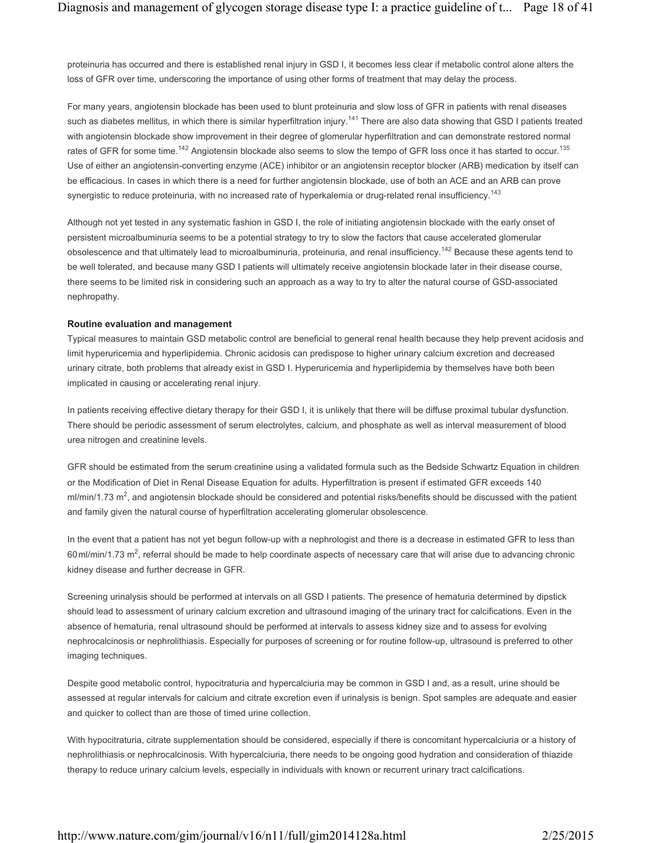proteinuria has occurred and there is established renal injury in GSD I, it becomes less clear if metabolic control alone alters the loss of GFR over time, underscoring the importance of using other forms of treatment that may delay the process.

For many years, angiotensin blockade has been used to blunt proteinuria and slow loss of GFR in patients with renal diseases such as diabetes mellitus, in which there is similar hyperfiltration injury.<sup>141</sup> There are also data showing that GSD I patients treated with angiotensin blockade show improvement in their degree of glomerular hyperfiltration and can demonstrate restored normal rates of GFR for some time.<sup>142</sup> Angiotensin blockade also seems to slow the tempo of GFR loss once it has started to occur.<sup>135</sup> Use of either an angiotensin-converting enzyme (ACE) inhibitor or an angiotensin receptor blocker (ARB) medication by itself can be efficacious. In cases in which there is a need for further angiotensin blockade, use of both an ACE and an ARB can prove synergistic to reduce proteinuria, with no increased rate of hyperkalemia or drug-related renal insufficiency.<sup>143</sup>

Although not yet tested in any systematic fashion in GSD I, the role of initiating angiotensin blockade with the early onset of persistent microalbuminuria seems to be a potential strategy to try to slow the factors that cause accelerated glomerular obsolescence and that ultimately lead to microalbuminuria, proteinuria, and renal insufficiency.<sup>142</sup> Because these agents tend to be well tolerated, and because many GSD I patients will ultimately receive angiotensin blockade later in their disease course, there seems to be limited risk in considering such an approach as a way to try to alter the natural course of GSD-associated nephropathy.

#### **Routine evaluation and management**

Typical measures to maintain GSD metabolic control are beneficial to general renal health because they help prevent acidosis and limit hyperuricemia and hyperlipidemia. Chronic acidosis can predispose to higher urinary calcium excretion and decreased urinary citrate, both problems that already exist in GSD I. Hyperuricemia and hyperlipidemia by themselves have both been implicated in causing or accelerating renal injury.

In patients receiving effective dietary therapy for their GSD I, it is unlikely that there will be diffuse proximal tubular dysfunction. There should be periodic assessment of serum electrolytes, calcium, and phosphate as well as interval measurement of blood urea nitrogen and creatinine levels.

GFR should be estimated from the serum creatinine using a validated formula such as the Bedside Schwartz Equation in children or the Modification of Diet in Renal Disease Equation for adults. Hyperfiltration is present if estimated GFR exceeds 140 ml/min/1.73 m<sup>2</sup>, and angiotensin blockade should be considered and potential risks/benefits should be discussed with the patient and family given the natural course of hyperfiltration accelerating glomerular obsolescence.

In the event that a patient has not yet begun follow-up with a nephrologist and there is a decrease in estimated GFR to less than 60 ml/min/1.73 m<sup>2</sup>, referral should be made to help coordinate aspects of necessary care that will arise due to advancing chronic kidney disease and further decrease in GFR.

Screening urinalysis should be performed at intervals on all GSD I patients. The presence of hematuria determined by dipstick should lead to assessment of urinary calcium excretion and ultrasound imaging of the urinary tract for calcifications. Even in the absence of hematuria, renal ultrasound should be performed at intervals to assess kidney size and to assess for evolving nephrocalcinosis or nephrolithiasis. Especially for purposes of screening or for routine follow-up, ultrasound is preferred to other imaging techniques.

Despite good metabolic control, hypocitraturia and hypercalciuria may be common in GSD I and, as a result, urine should be assessed at regular intervals for calcium and citrate excretion even if urinalysis is benign. Spot samples are adequate and easier and quicker to collect than are those of timed urine collection.

With hypocitraturia, citrate supplementation should be considered, especially if there is concomitant hypercalciuria or a history of nephrolithiasis or nephrocalcinosis. With hypercalciuria, there needs to be ongoing good hydration and consideration of thiazide therapy to reduce urinary calcium levels, especially in individuals with known or recurrent urinary tract calcifications.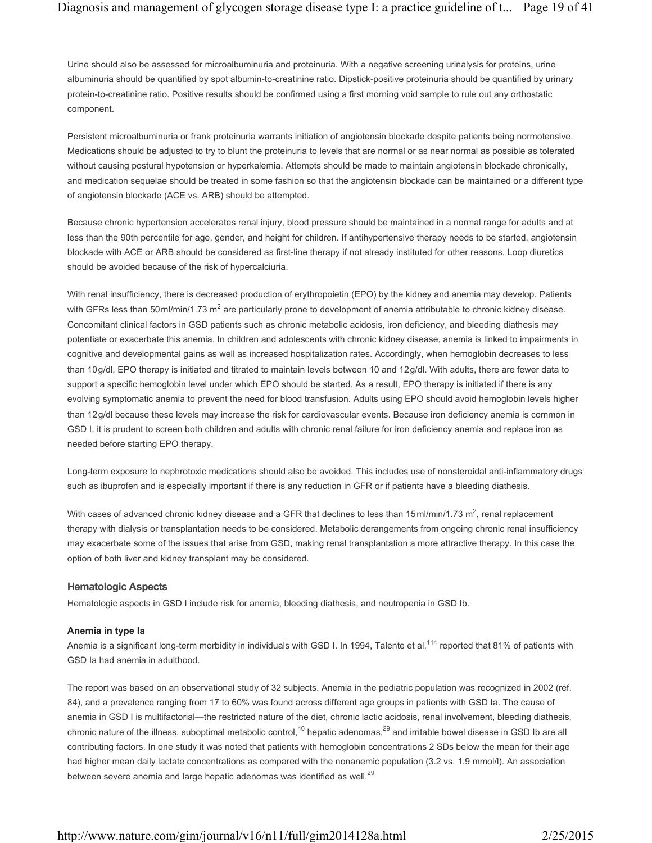Urine should also be assessed for microalbuminuria and proteinuria. With a negative screening urinalysis for proteins, urine albuminuria should be quantified by spot albumin-to-creatinine ratio. Dipstick-positive proteinuria should be quantified by urinary protein-to-creatinine ratio. Positive results should be confirmed using a first morning void sample to rule out any orthostatic component.

Persistent microalbuminuria or frank proteinuria warrants initiation of angiotensin blockade despite patients being normotensive. Medications should be adjusted to try to blunt the proteinuria to levels that are normal or as near normal as possible as tolerated without causing postural hypotension or hyperkalemia. Attempts should be made to maintain angiotensin blockade chronically, and medication sequelae should be treated in some fashion so that the angiotensin blockade can be maintained or a different type of angiotensin blockade (ACE vs. ARB) should be attempted.

Because chronic hypertension accelerates renal injury, blood pressure should be maintained in a normal range for adults and at less than the 90th percentile for age, gender, and height for children. If antihypertensive therapy needs to be started, angiotensin blockade with ACE or ARB should be considered as first-line therapy if not already instituted for other reasons. Loop diuretics should be avoided because of the risk of hypercalciuria.

With renal insufficiency, there is decreased production of erythropoietin (EPO) by the kidney and anemia may develop. Patients with GFRs less than 50 ml/min/1.73 m<sup>2</sup> are particularly prone to development of anemia attributable to chronic kidney disease. Concomitant clinical factors in GSD patients such as chronic metabolic acidosis, iron deficiency, and bleeding diathesis may potentiate or exacerbate this anemia. In children and adolescents with chronic kidney disease, anemia is linked to impairments in cognitive and developmental gains as well as increased hospitalization rates. Accordingly, when hemoglobin decreases to less than 10g/dl, EPO therapy is initiated and titrated to maintain levels between 10 and 12g/dl. With adults, there are fewer data to support a specific hemoglobin level under which EPO should be started. As a result, EPO therapy is initiated if there is any evolving symptomatic anemia to prevent the need for blood transfusion. Adults using EPO should avoid hemoglobin levels higher than 12g/dl because these levels may increase the risk for cardiovascular events. Because iron deficiency anemia is common in GSD I, it is prudent to screen both children and adults with chronic renal failure for iron deficiency anemia and replace iron as needed before starting EPO therapy.

Long-term exposure to nephrotoxic medications should also be avoided. This includes use of nonsteroidal anti-inflammatory drugs such as ibuprofen and is especially important if there is any reduction in GFR or if patients have a bleeding diathesis.

With cases of advanced chronic kidney disease and a GFR that declines to less than 15 ml/min/1.73 m<sup>2</sup>, renal replacement therapy with dialysis or transplantation needs to be considered. Metabolic derangements from ongoing chronic renal insufficiency may exacerbate some of the issues that arise from GSD, making renal transplantation a more attractive therapy. In this case the option of both liver and kidney transplant may be considered.

#### **Hematologic Aspects**

Hematologic aspects in GSD I include risk for anemia, bleeding diathesis, and neutropenia in GSD Ib.

#### **Anemia in type Ia**

Anemia is a significant long-term morbidity in individuals with GSD I. In 1994, Talente et al.<sup>114</sup> reported that 81% of patients with GSD Ia had anemia in adulthood.

The report was based on an observational study of 32 subjects. Anemia in the pediatric population was recognized in 2002 (ref. 84), and a prevalence ranging from 17 to 60% was found across different age groups in patients with GSD Ia. The cause of anemia in GSD I is multifactorial—the restricted nature of the diet, chronic lactic acidosis, renal involvement, bleeding diathesis, chronic nature of the illness, suboptimal metabolic control,<sup>40</sup> hepatic adenomas,<sup>29</sup> and irritable bowel disease in GSD Ib are all contributing factors. In one study it was noted that patients with hemoglobin concentrations 2 SDs below the mean for their age had higher mean daily lactate concentrations as compared with the nonanemic population (3.2 vs. 1.9 mmol/l). An association between severe anemia and large hepatic adenomas was identified as well.<sup>29</sup>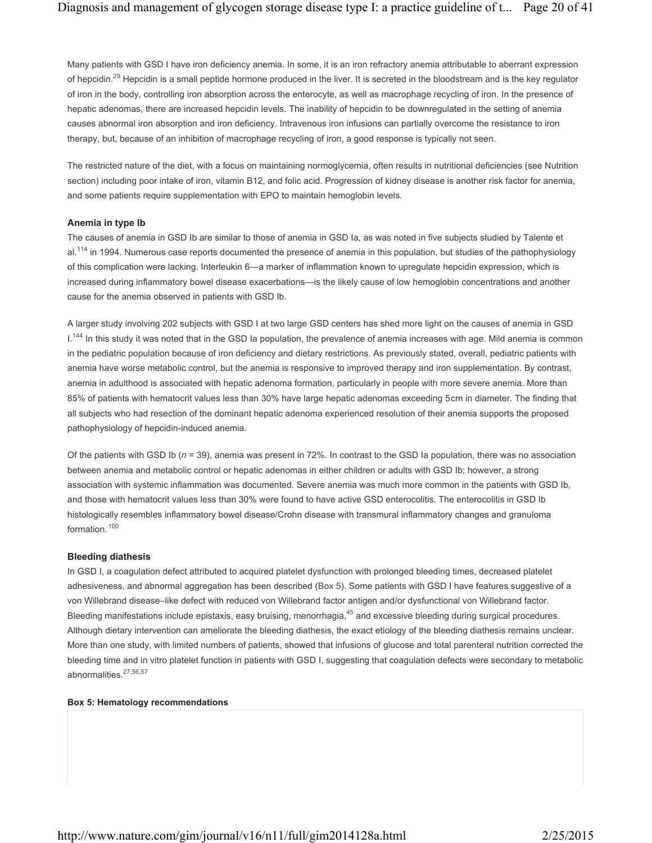Many patients with GSD I have iron deficiency anemia. In some, it is an iron refractory anemia attributable to aberrant expression of hepcidin.<sup>29</sup> Hepcidin is a small peptide hormone produced in the liver. It is secreted in the bloodstream and is the key regulator of iron in the body, controlling iron absorption across the enterocyte, as well as macrophage recycling of iron. In the presence of hepatic adenomas, there are increased hepcidin levels. The inability of hepcidin to be downregulated in the setting of anemia causes abnormal iron absorption and iron deficiency. Intravenous iron infusions can partially overcome the resistance to iron therapy, but, because of an inhibition of macrophage recycling of iron, a good response is typically not seen.

The restricted nature of the diet, with a focus on maintaining normoglycemia, often results in nutritional deficiencies (see Nutrition section) including poor intake of iron, vitamin B12, and folic acid. Progression of kidney disease is another risk factor for anemia, and some patients require supplementation with EPO to maintain hemoglobin levels.

# **Anemia in type Ib**

The causes of anemia in GSD Ib are similar to those of anemia in GSD Ia, as was noted in five subjects studied by Talente et al.<sup>114</sup> in 1994. Numerous case reports documented the presence of anemia in this population, but studies of the pathophysiology of this complication were lacking. Interleukin 6—a marker of inflammation known to upregulate hepcidin expression, which is increased during inflammatory bowel disease exacerbations—is the likely cause of low hemoglobin concentrations and another cause for the anemia observed in patients with GSD Ib.

A larger study involving 202 subjects with GSD I at two large GSD centers has shed more light on the causes of anemia in GSD 1.<sup>144</sup> In this study it was noted that in the GSD Ia population, the prevalence of anemia increases with age. Mild anemia is common in the pediatric population because of iron deficiency and dietary restrictions. As previously stated, overall, pediatric patients with anemia have worse metabolic control, but the anemia is responsive to improved therapy and iron supplementation. By contrast, anemia in adulthood is associated with hepatic adenoma formation, particularly in people with more severe anemia. More than 85% of patients with hematocrit values less than 30% have large hepatic adenomas exceeding 5cm in diameter. The finding that all subjects who had resection of the dominant hepatic adenoma experienced resolution of their anemia supports the proposed pathophysiology of hepcidin-induced anemia.

Of the patients with GSD Ib (*n* = 39), anemia was present in 72%. In contrast to the GSD Ia population, there was no association between anemia and metabolic control or hepatic adenomas in either children or adults with GSD Ib; however, a strong association with systemic inflammation was documented. Severe anemia was much more common in the patients with GSD Ib, and those with hematocrit values less than 30% were found to have active GSD enterocolitis. The enterocolitis in GSD Ib histologically resembles inflammatory bowel disease/Crohn disease with transmural inflammatory changes and granuloma formation.<sup>100</sup>

#### **Bleeding diathesis**

In GSD I, a coagulation defect attributed to acquired platelet dysfunction with prolonged bleeding times, decreased platelet adhesiveness, and abnormal aggregation has been described (Box 5). Some patients with GSD I have features suggestive of a von Willebrand disease–like defect with reduced von Willebrand factor antigen and/or dysfunctional von Willebrand factor. Bleeding manifestations include epistaxis, easy bruising, menorrhagia,<sup>45</sup> and excessive bleeding during surgical procedures. Although dietary intervention can ameliorate the bleeding diathesis, the exact etiology of the bleeding diathesis remains unclear. More than one study, with limited numbers of patients, showed that infusions of glucose and total parenteral nutrition corrected the bleeding time and in vitro platelet function in patients with GSD I, suggesting that coagulation defects were secondary to metabolic abnormalities.27,56,57

#### **Box 5: Hematology recommendations**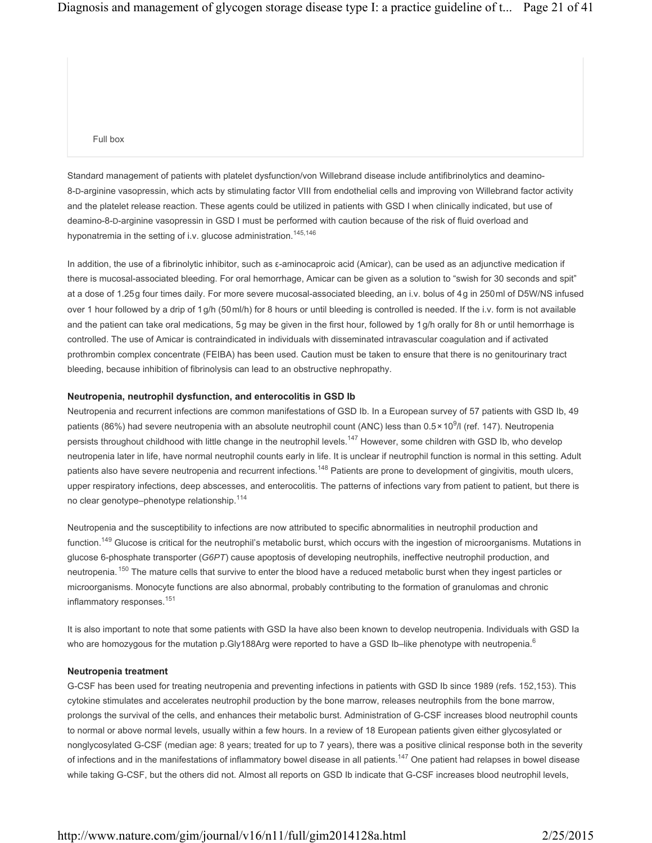Full box

Standard management of patients with platelet dysfunction/von Willebrand disease include antifibrinolytics and deamino-8-D-arginine vasopressin, which acts by stimulating factor VIII from endothelial cells and improving von Willebrand factor activity and the platelet release reaction. These agents could be utilized in patients with GSD I when clinically indicated, but use of deamino-8-D-arginine vasopressin in GSD I must be performed with caution because of the risk of fluid overload and hyponatremia in the setting of i.v. glucose administration.<sup>145,146</sup>

In addition, the use of a fibrinolytic inhibitor, such as ε-aminocaproic acid (Amicar), can be used as an adjunctive medication if there is mucosal-associated bleeding. For oral hemorrhage, Amicar can be given as a solution to "swish for 30 seconds and spit" at a dose of 1.25g four times daily. For more severe mucosal-associated bleeding, an i.v. bolus of 4g in 250ml of D5W/NS infused over 1 hour followed by a drip of 1g/h (50ml/h) for 8 hours or until bleeding is controlled is needed. If the i.v. form is not available and the patient can take oral medications, 5g may be given in the first hour, followed by 1g/h orally for 8h or until hemorrhage is controlled. The use of Amicar is contraindicated in individuals with disseminated intravascular coagulation and if activated prothrombin complex concentrate (FEIBA) has been used. Caution must be taken to ensure that there is no genitourinary tract bleeding, because inhibition of fibrinolysis can lead to an obstructive nephropathy.

## **Neutropenia, neutrophil dysfunction, and enterocolitis in GSD Ib**

Neutropenia and recurrent infections are common manifestations of GSD Ib. In a European survey of 57 patients with GSD Ib, 49 patients (86%) had severe neutropenia with an absolute neutrophil count (ANC) less than 0.5 × 10<sup>9</sup>/l (ref. 147). Neutropenia persists throughout childhood with little change in the neutrophil levels.<sup>147</sup> However, some children with GSD Ib, who develop neutropenia later in life, have normal neutrophil counts early in life. It is unclear if neutrophil function is normal in this setting. Adult patients also have severe neutropenia and recurrent infections.<sup>148</sup> Patients are prone to development of gingivitis, mouth ulcers, upper respiratory infections, deep abscesses, and enterocolitis. The patterns of infections vary from patient to patient, but there is no clear genotype–phenotype relationship.<sup>114</sup>

Neutropenia and the susceptibility to infections are now attributed to specific abnormalities in neutrophil production and function.<sup>149</sup> Glucose is critical for the neutrophil's metabolic burst, which occurs with the ingestion of microorganisms. Mutations in glucose 6-phosphate transporter (*G6PT*) cause apoptosis of developing neutrophils, ineffective neutrophil production, and neutropenia. <sup>150</sup> The mature cells that survive to enter the blood have a reduced metabolic burst when they ingest particles or microorganisms. Monocyte functions are also abnormal, probably contributing to the formation of granulomas and chronic inflammatory responses.<sup>151</sup>

It is also important to note that some patients with GSD Ia have also been known to develop neutropenia. Individuals with GSD Ia who are homozygous for the mutation p.Gly188Arg were reported to have a GSD Ib-like phenotype with neutropenia.<sup>6</sup>

#### **Neutropenia treatment**

G-CSF has been used for treating neutropenia and preventing infections in patients with GSD Ib since 1989 (refs. 152,153). This cytokine stimulates and accelerates neutrophil production by the bone marrow, releases neutrophils from the bone marrow, prolongs the survival of the cells, and enhances their metabolic burst. Administration of G-CSF increases blood neutrophil counts to normal or above normal levels, usually within a few hours. In a review of 18 European patients given either glycosylated or nonglycosylated G-CSF (median age: 8 years; treated for up to 7 years), there was a positive clinical response both in the severity of infections and in the manifestations of inflammatory bowel disease in all patients.<sup>147</sup> One patient had relapses in bowel disease while taking G-CSF, but the others did not. Almost all reports on GSD Ib indicate that G-CSF increases blood neutrophil levels,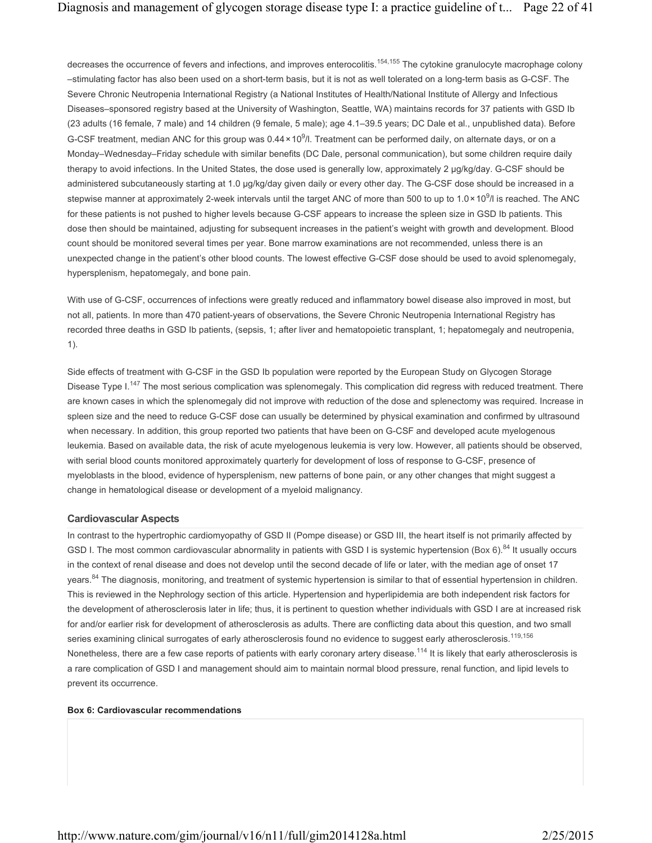decreases the occurrence of fevers and infections, and improves enterocolitis.<sup>154,155</sup> The cytokine granulocyte macrophage colony –stimulating factor has also been used on a short-term basis, but it is not as well tolerated on a long-term basis as G-CSF. The Severe Chronic Neutropenia International Registry (a National Institutes of Health/National Institute of Allergy and Infectious Diseases–sponsored registry based at the University of Washington, Seattle, WA) maintains records for 37 patients with GSD Ib (23 adults (16 female, 7 male) and 14 children (9 female, 5 male); age 4.1–39.5 years; DC Dale et al., unpublished data). Before G-CSF treatment, median ANC for this group was 0.44 × 10<sup>9</sup>/l. Treatment can be performed daily, on alternate days, or on a Monday–Wednesday–Friday schedule with similar benefits (DC Dale, personal communication), but some children require daily therapy to avoid infections. In the United States, the dose used is generally low, approximately 2 μg/kg/day. G-CSF should be administered subcutaneously starting at 1.0 μg/kg/day given daily or every other day. The G-CSF dose should be increased in a stepwise manner at approximately 2-week intervals until the target ANC of more than 500 to up to 1.0×10<sup>9</sup>/l is reached. The ANC for these patients is not pushed to higher levels because G-CSF appears to increase the spleen size in GSD Ib patients. This dose then should be maintained, adjusting for subsequent increases in the patient's weight with growth and development. Blood count should be monitored several times per year. Bone marrow examinations are not recommended, unless there is an unexpected change in the patient's other blood counts. The lowest effective G-CSF dose should be used to avoid splenomegaly, hypersplenism, hepatomegaly, and bone pain.

With use of G-CSF, occurrences of infections were greatly reduced and inflammatory bowel disease also improved in most, but not all, patients. In more than 470 patient-years of observations, the Severe Chronic Neutropenia International Registry has recorded three deaths in GSD Ib patients, (sepsis, 1; after liver and hematopoietic transplant, 1; hepatomegaly and neutropenia, 1).

Side effects of treatment with G-CSF in the GSD Ib population were reported by the European Study on Glycogen Storage Disease Type I.<sup>147</sup> The most serious complication was splenomegaly. This complication did regress with reduced treatment. There are known cases in which the splenomegaly did not improve with reduction of the dose and splenectomy was required. Increase in spleen size and the need to reduce G-CSF dose can usually be determined by physical examination and confirmed by ultrasound when necessary. In addition, this group reported two patients that have been on G-CSF and developed acute myelogenous leukemia. Based on available data, the risk of acute myelogenous leukemia is very low. However, all patients should be observed, with serial blood counts monitored approximately quarterly for development of loss of response to G-CSF, presence of myeloblasts in the blood, evidence of hypersplenism, new patterns of bone pain, or any other changes that might suggest a change in hematological disease or development of a myeloid malignancy.

# **Cardiovascular Aspects**

In contrast to the hypertrophic cardiomyopathy of GSD II (Pompe disease) or GSD III, the heart itself is not primarily affected by GSD I. The most common cardiovascular abnormality in patients with GSD I is systemic hypertension (Box 6).<sup>84</sup> It usually occurs in the context of renal disease and does not develop until the second decade of life or later, with the median age of onset 17 years.<sup>84</sup> The diagnosis, monitoring, and treatment of systemic hypertension is similar to that of essential hypertension in children. This is reviewed in the Nephrology section of this article. Hypertension and hyperlipidemia are both independent risk factors for the development of atherosclerosis later in life; thus, it is pertinent to question whether individuals with GSD I are at increased risk for and/or earlier risk for development of atherosclerosis as adults. There are conflicting data about this question, and two small series examining clinical surrogates of early atherosclerosis found no evidence to suggest early atherosclerosis.<sup>119,156</sup> Nonetheless, there are a few case reports of patients with early coronary artery disease.<sup>114</sup> It is likely that early atherosclerosis is a rare complication of GSD I and management should aim to maintain normal blood pressure, renal function, and lipid levels to prevent its occurrence.

# **Box 6: Cardiovascular recommendations**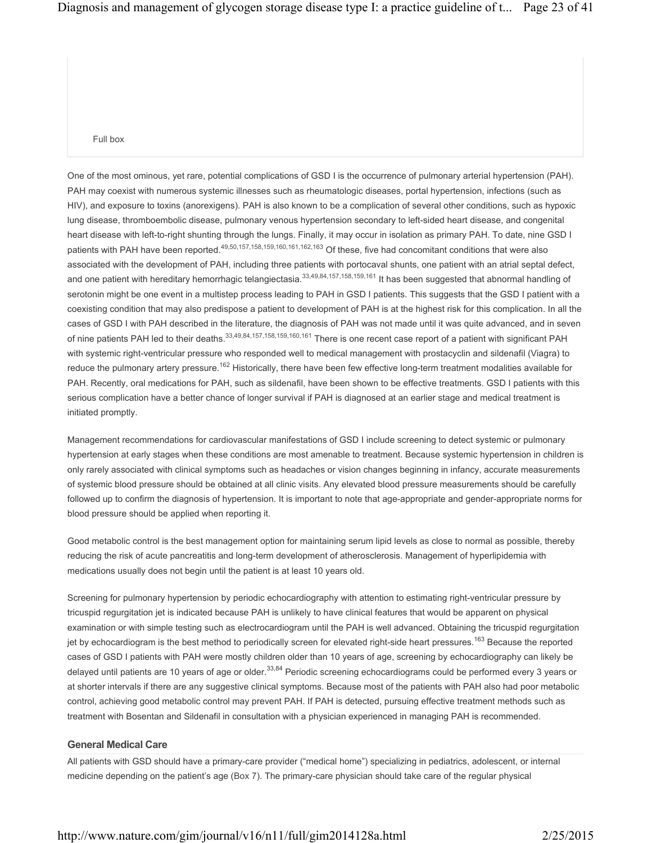#### Full box

One of the most ominous, yet rare, potential complications of GSD I is the occurrence of pulmonary arterial hypertension (PAH). PAH may coexist with numerous systemic illnesses such as rheumatologic diseases, portal hypertension, infections (such as HIV), and exposure to toxins (anorexigens). PAH is also known to be a complication of several other conditions, such as hypoxic lung disease, thromboembolic disease, pulmonary venous hypertension secondary to left-sided heart disease, and congenital heart disease with left-to-right shunting through the lungs. Finally, it may occur in isolation as primary PAH. To date, nine GSD I patients with PAH have been reported.<sup>49,50,157,158,159,160,161,162,163</sup> Of these, five had concomitant conditions that were also associated with the development of PAH, including three patients with portocaval shunts, one patient with an atrial septal defect, and one patient with hereditary hemorrhagic telangiectasia.<sup>33,49,84,157,158,159,161</sup> It has been suggested that abnormal handling of serotonin might be one event in a multistep process leading to PAH in GSD I patients. This suggests that the GSD I patient with a coexisting condition that may also predispose a patient to development of PAH is at the highest risk for this complication. In all the cases of GSD I with PAH described in the literature, the diagnosis of PAH was not made until it was quite advanced, and in seven of nine patients PAH led to their deaths.<sup>33,49,84,157,158,159,160,161</sup> There is one recent case report of a patient with significant PAH with systemic right-ventricular pressure who responded well to medical management with prostacyclin and sildenafil (Viagra) to reduce the pulmonary artery pressure.<sup>162</sup> Historically, there have been few effective long-term treatment modalities available for PAH. Recently, oral medications for PAH, such as sildenafil, have been shown to be effective treatments. GSD I patients with this serious complication have a better chance of longer survival if PAH is diagnosed at an earlier stage and medical treatment is initiated promptly.

Management recommendations for cardiovascular manifestations of GSD I include screening to detect systemic or pulmonary hypertension at early stages when these conditions are most amenable to treatment. Because systemic hypertension in children is only rarely associated with clinical symptoms such as headaches or vision changes beginning in infancy, accurate measurements of systemic blood pressure should be obtained at all clinic visits. Any elevated blood pressure measurements should be carefully followed up to confirm the diagnosis of hypertension. It is important to note that age-appropriate and gender-appropriate norms for blood pressure should be applied when reporting it.

Good metabolic control is the best management option for maintaining serum lipid levels as close to normal as possible, thereby reducing the risk of acute pancreatitis and long-term development of atherosclerosis. Management of hyperlipidemia with medications usually does not begin until the patient is at least 10 years old.

Screening for pulmonary hypertension by periodic echocardiography with attention to estimating right-ventricular pressure by tricuspid regurgitation jet is indicated because PAH is unlikely to have clinical features that would be apparent on physical examination or with simple testing such as electrocardiogram until the PAH is well advanced. Obtaining the tricuspid regurgitation jet by echocardiogram is the best method to periodically screen for elevated right-side heart pressures.<sup>163</sup> Because the reported cases of GSD I patients with PAH were mostly children older than 10 years of age, screening by echocardiography can likely be delayed until patients are 10 years of age or older.<sup>33,84</sup> Periodic screening echocardiograms could be performed every 3 years or at shorter intervals if there are any suggestive clinical symptoms. Because most of the patients with PAH also had poor metabolic control, achieving good metabolic control may prevent PAH. If PAH is detected, pursuing effective treatment methods such as treatment with Bosentan and Sildenafil in consultation with a physician experienced in managing PAH is recommended.

## **General Medical Care**

All patients with GSD should have a primary-care provider ("medical home") specializing in pediatrics, adolescent, or internal medicine depending on the patient's age (Box 7). The primary-care physician should take care of the regular physical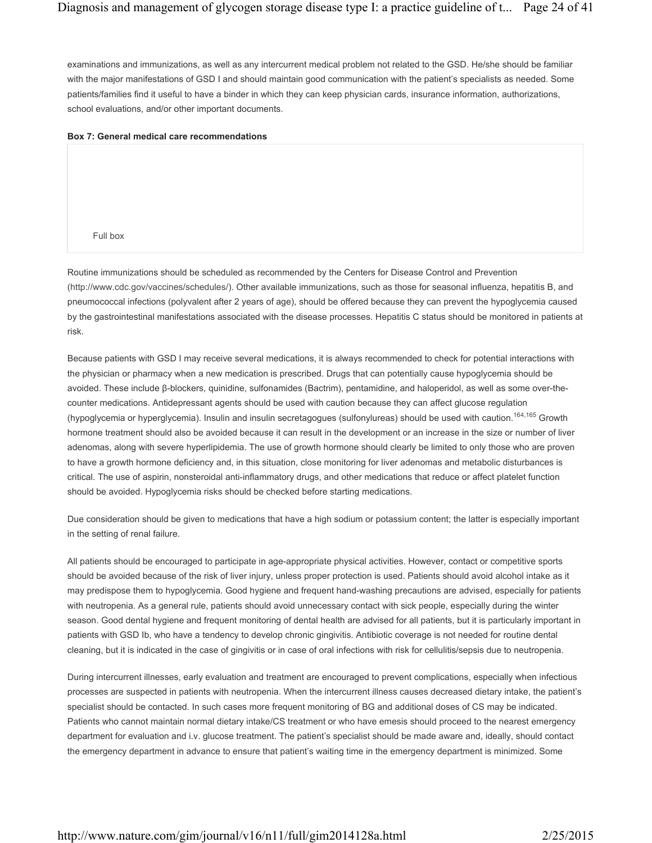examinations and immunizations, as well as any intercurrent medical problem not related to the GSD. He/she should be familiar with the major manifestations of GSD I and should maintain good communication with the patient's specialists as needed. Some patients/families find it useful to have a binder in which they can keep physician cards, insurance information, authorizations, school evaluations, and/or other important documents.

#### **Box 7: General medical care recommendations**

Full box

Routine immunizations should be scheduled as recommended by the Centers for Disease Control and Prevention (http://www.cdc.gov/vaccines/schedules/). Other available immunizations, such as those for seasonal influenza, hepatitis B, and pneumococcal infections (polyvalent after 2 years of age), should be offered because they can prevent the hypoglycemia caused by the gastrointestinal manifestations associated with the disease processes. Hepatitis C status should be monitored in patients at risk.

Because patients with GSD I may receive several medications, it is always recommended to check for potential interactions with the physician or pharmacy when a new medication is prescribed. Drugs that can potentially cause hypoglycemia should be avoided. These include β-blockers, quinidine, sulfonamides (Bactrim), pentamidine, and haloperidol, as well as some over-thecounter medications. Antidepressant agents should be used with caution because they can affect glucose regulation (hypoglycemia or hyperglycemia). Insulin and insulin secretagogues (sulfonylureas) should be used with caution.<sup>164,165</sup> Growth hormone treatment should also be avoided because it can result in the development or an increase in the size or number of liver adenomas, along with severe hyperlipidemia. The use of growth hormone should clearly be limited to only those who are proven to have a growth hormone deficiency and, in this situation, close monitoring for liver adenomas and metabolic disturbances is critical. The use of aspirin, nonsteroidal anti-inflammatory drugs, and other medications that reduce or affect platelet function should be avoided. Hypoglycemia risks should be checked before starting medications.

Due consideration should be given to medications that have a high sodium or potassium content; the latter is especially important in the setting of renal failure.

All patients should be encouraged to participate in age-appropriate physical activities. However, contact or competitive sports should be avoided because of the risk of liver injury, unless proper protection is used. Patients should avoid alcohol intake as it may predispose them to hypoglycemia. Good hygiene and frequent hand-washing precautions are advised, especially for patients with neutropenia. As a general rule, patients should avoid unnecessary contact with sick people, especially during the winter season. Good dental hygiene and frequent monitoring of dental health are advised for all patients, but it is particularly important in patients with GSD Ib, who have a tendency to develop chronic gingivitis. Antibiotic coverage is not needed for routine dental cleaning, but it is indicated in the case of gingivitis or in case of oral infections with risk for cellulitis/sepsis due to neutropenia.

During intercurrent illnesses, early evaluation and treatment are encouraged to prevent complications, especially when infectious processes are suspected in patients with neutropenia. When the intercurrent illness causes decreased dietary intake, the patient's specialist should be contacted. In such cases more frequent monitoring of BG and additional doses of CS may be indicated. Patients who cannot maintain normal dietary intake/CS treatment or who have emesis should proceed to the nearest emergency department for evaluation and i.v. glucose treatment. The patient's specialist should be made aware and, ideally, should contact the emergency department in advance to ensure that patient's waiting time in the emergency department is minimized. Some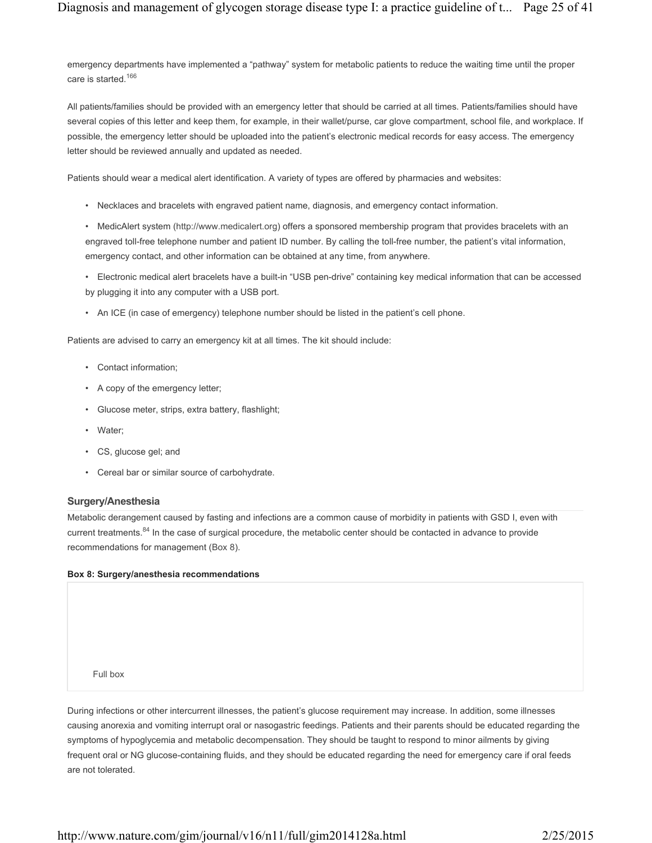emergency departments have implemented a "pathway" system for metabolic patients to reduce the waiting time until the proper care is started.<sup>166</sup>

All patients/families should be provided with an emergency letter that should be carried at all times. Patients/families should have several copies of this letter and keep them, for example, in their wallet/purse, car glove compartment, school file, and workplace. If possible, the emergency letter should be uploaded into the patient's electronic medical records for easy access. The emergency letter should be reviewed annually and updated as needed.

Patients should wear a medical alert identification. A variety of types are offered by pharmacies and websites:

• Necklaces and bracelets with engraved patient name, diagnosis, and emergency contact information.

• MedicAlert system (http://www.medicalert.org) offers a sponsored membership program that provides bracelets with an engraved toll-free telephone number and patient ID number. By calling the toll-free number, the patient's vital information, emergency contact, and other information can be obtained at any time, from anywhere.

• Electronic medical alert bracelets have a built-in "USB pen-drive" containing key medical information that can be accessed by plugging it into any computer with a USB port.

• An ICE (in case of emergency) telephone number should be listed in the patient's cell phone.

Patients are advised to carry an emergency kit at all times. The kit should include:

- Contact information;
- A copy of the emergency letter;
- Glucose meter, strips, extra battery, flashlight;
- Water;
- CS, glucose gel; and
- Cereal bar or similar source of carbohydrate.

# **Surgery/Anesthesia**

Metabolic derangement caused by fasting and infections are a common cause of morbidity in patients with GSD I, even with current treatments.<sup>84</sup> In the case of surgical procedure, the metabolic center should be contacted in advance to provide recommendations for management (Box 8).

#### **Box 8: Surgery/anesthesia recommendations**

Full box

During infections or other intercurrent illnesses, the patient's glucose requirement may increase. In addition, some illnesses causing anorexia and vomiting interrupt oral or nasogastric feedings. Patients and their parents should be educated regarding the symptoms of hypoglycemia and metabolic decompensation. They should be taught to respond to minor ailments by giving frequent oral or NG glucose-containing fluids, and they should be educated regarding the need for emergency care if oral feeds are not tolerated.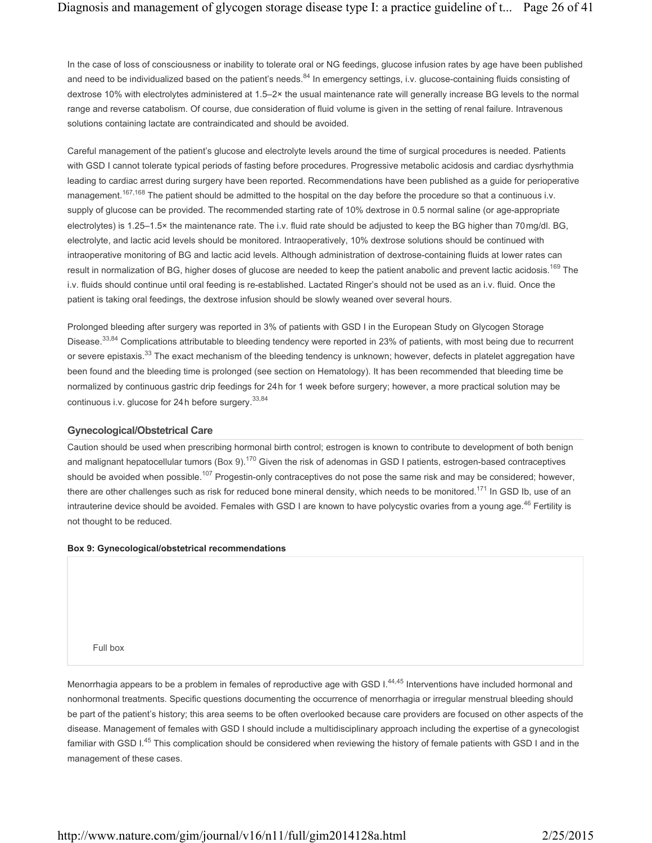In the case of loss of consciousness or inability to tolerate oral or NG feedings, glucose infusion rates by age have been published and need to be individualized based on the patient's needs.<sup>84</sup> In emergency settings, i.v. glucose-containing fluids consisting of dextrose 10% with electrolytes administered at 1.5–2× the usual maintenance rate will generally increase BG levels to the normal range and reverse catabolism. Of course, due consideration of fluid volume is given in the setting of renal failure. Intravenous solutions containing lactate are contraindicated and should be avoided.

Careful management of the patient's glucose and electrolyte levels around the time of surgical procedures is needed. Patients with GSD I cannot tolerate typical periods of fasting before procedures. Progressive metabolic acidosis and cardiac dysrhythmia leading to cardiac arrest during surgery have been reported. Recommendations have been published as a guide for perioperative management.<sup>167,168</sup> The patient should be admitted to the hospital on the day before the procedure so that a continuous i.v. supply of glucose can be provided. The recommended starting rate of 10% dextrose in 0.5 normal saline (or age-appropriate electrolytes) is 1.25–1.5× the maintenance rate. The i.v. fluid rate should be adjusted to keep the BG higher than 70mg/dl. BG, electrolyte, and lactic acid levels should be monitored. Intraoperatively, 10% dextrose solutions should be continued with intraoperative monitoring of BG and lactic acid levels. Although administration of dextrose-containing fluids at lower rates can result in normalization of BG, higher doses of glucose are needed to keep the patient anabolic and prevent lactic acidosis.<sup>169</sup> The i.v. fluids should continue until oral feeding is re-established. Lactated Ringer's should not be used as an i.v. fluid. Once the patient is taking oral feedings, the dextrose infusion should be slowly weaned over several hours.

Prolonged bleeding after surgery was reported in 3% of patients with GSD I in the European Study on Glycogen Storage Disease.<sup>33,84</sup> Complications attributable to bleeding tendency were reported in 23% of patients, with most being due to recurrent or severe epistaxis.<sup>33</sup> The exact mechanism of the bleeding tendency is unknown; however, defects in platelet aggregation have been found and the bleeding time is prolonged (see section on Hematology). It has been recommended that bleeding time be normalized by continuous gastric drip feedings for 24h for 1 week before surgery; however, a more practical solution may be continuous i.v. glucose for 24h before surgery. 33,84

# **Gynecological/Obstetrical Care**

Caution should be used when prescribing hormonal birth control; estrogen is known to contribute to development of both benign and malignant hepatocellular tumors (Box 9).<sup>170</sup> Given the risk of adenomas in GSD I patients, estrogen-based contraceptives should be avoided when possible.<sup>107</sup> Progestin-only contraceptives do not pose the same risk and may be considered; however, there are other challenges such as risk for reduced bone mineral density, which needs to be monitored.<sup>171</sup> In GSD Ib, use of an intrauterine device should be avoided. Females with GSD I are known to have polycystic ovaries from a young age.<sup>46</sup> Fertility is not thought to be reduced.

#### **Box 9: Gynecological/obstetrical recommendations**

Full box

Menorrhagia appears to be a problem in females of reproductive age with GSD I.<sup>44,45</sup> Interventions have included hormonal and nonhormonal treatments. Specific questions documenting the occurrence of menorrhagia or irregular menstrual bleeding should be part of the patient's history; this area seems to be often overlooked because care providers are focused on other aspects of the disease. Management of females with GSD I should include a multidisciplinary approach including the expertise of a gynecologist familiar with GSD I.<sup>45</sup> This complication should be considered when reviewing the history of female patients with GSD I and in the management of these cases.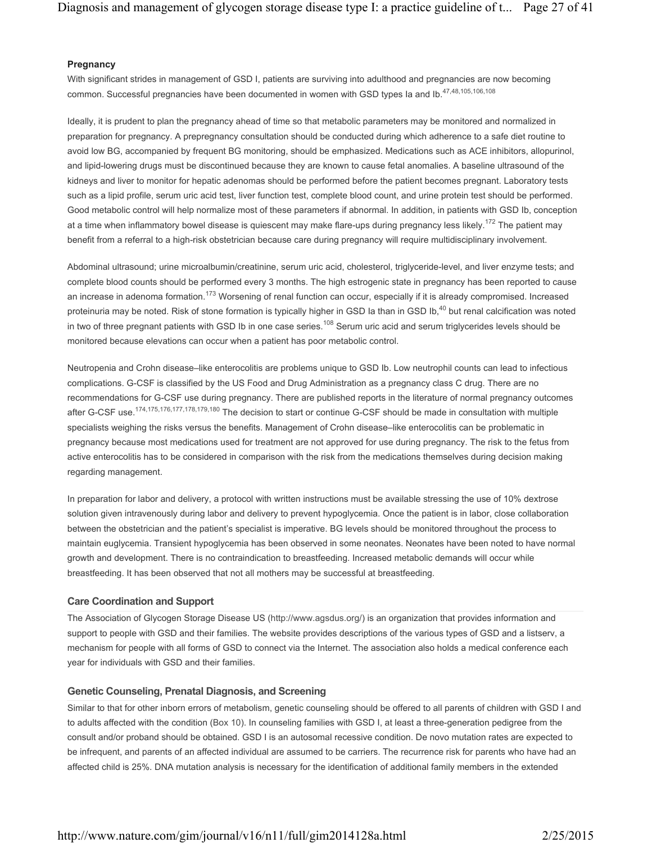Diagnosis and management of glycogen storage disease type I: a practice guideline of t... Page 27 of 41

## **Pregnancy**

With significant strides in management of GSD I, patients are surviving into adulthood and pregnancies are now becoming common. Successful pregnancies have been documented in women with GSD types Ia and Ib.<sup>47,48,105,106,108</sup>

Ideally, it is prudent to plan the pregnancy ahead of time so that metabolic parameters may be monitored and normalized in preparation for pregnancy. A prepregnancy consultation should be conducted during which adherence to a safe diet routine to avoid low BG, accompanied by frequent BG monitoring, should be emphasized. Medications such as ACE inhibitors, allopurinol, and lipid-lowering drugs must be discontinued because they are known to cause fetal anomalies. A baseline ultrasound of the kidneys and liver to monitor for hepatic adenomas should be performed before the patient becomes pregnant. Laboratory tests such as a lipid profile, serum uric acid test, liver function test, complete blood count, and urine protein test should be performed. Good metabolic control will help normalize most of these parameters if abnormal. In addition, in patients with GSD Ib, conception at a time when inflammatory bowel disease is quiescent may make flare-ups during pregnancy less likely.<sup>172</sup> The patient may benefit from a referral to a high-risk obstetrician because care during pregnancy will require multidisciplinary involvement.

Abdominal ultrasound; urine microalbumin/creatinine, serum uric acid, cholesterol, triglyceride-level, and liver enzyme tests; and complete blood counts should be performed every 3 months. The high estrogenic state in pregnancy has been reported to cause an increase in adenoma formation.<sup>173</sup> Worsening of renal function can occur, especially if it is already compromised. Increased proteinuria may be noted. Risk of stone formation is typically higher in GSD Ia than in GSD Ib,<sup>40</sup> but renal calcification was noted in two of three pregnant patients with GSD Ib in one case series.<sup>108</sup> Serum uric acid and serum triglycerides levels should be monitored because elevations can occur when a patient has poor metabolic control.

Neutropenia and Crohn disease–like enterocolitis are problems unique to GSD Ib. Low neutrophil counts can lead to infectious complications. G-CSF is classified by the US Food and Drug Administration as a pregnancy class C drug. There are no recommendations for G-CSF use during pregnancy. There are published reports in the literature of normal pregnancy outcomes after G-CSF use.<sup>174,175,176,177,178,179,180</sup> The decision to start or continue G-CSF should be made in consultation with multiple specialists weighing the risks versus the benefits. Management of Crohn disease–like enterocolitis can be problematic in pregnancy because most medications used for treatment are not approved for use during pregnancy. The risk to the fetus from active enterocolitis has to be considered in comparison with the risk from the medications themselves during decision making regarding management.

In preparation for labor and delivery, a protocol with written instructions must be available stressing the use of 10% dextrose solution given intravenously during labor and delivery to prevent hypoglycemia. Once the patient is in labor, close collaboration between the obstetrician and the patient's specialist is imperative. BG levels should be monitored throughout the process to maintain euglycemia. Transient hypoglycemia has been observed in some neonates. Neonates have been noted to have normal growth and development. There is no contraindication to breastfeeding. Increased metabolic demands will occur while breastfeeding. It has been observed that not all mothers may be successful at breastfeeding.

#### **Care Coordination and Support**

The Association of Glycogen Storage Disease US (http://www.agsdus.org/) is an organization that provides information and support to people with GSD and their families. The website provides descriptions of the various types of GSD and a listserv, a mechanism for people with all forms of GSD to connect via the Internet. The association also holds a medical conference each year for individuals with GSD and their families.

#### **Genetic Counseling, Prenatal Diagnosis, and Screening**

Similar to that for other inborn errors of metabolism, genetic counseling should be offered to all parents of children with GSD I and to adults affected with the condition (Box 10). In counseling families with GSD I, at least a three-generation pedigree from the consult and/or proband should be obtained. GSD I is an autosomal recessive condition. De novo mutation rates are expected to be infrequent, and parents of an affected individual are assumed to be carriers. The recurrence risk for parents who have had an affected child is 25%. DNA mutation analysis is necessary for the identification of additional family members in the extended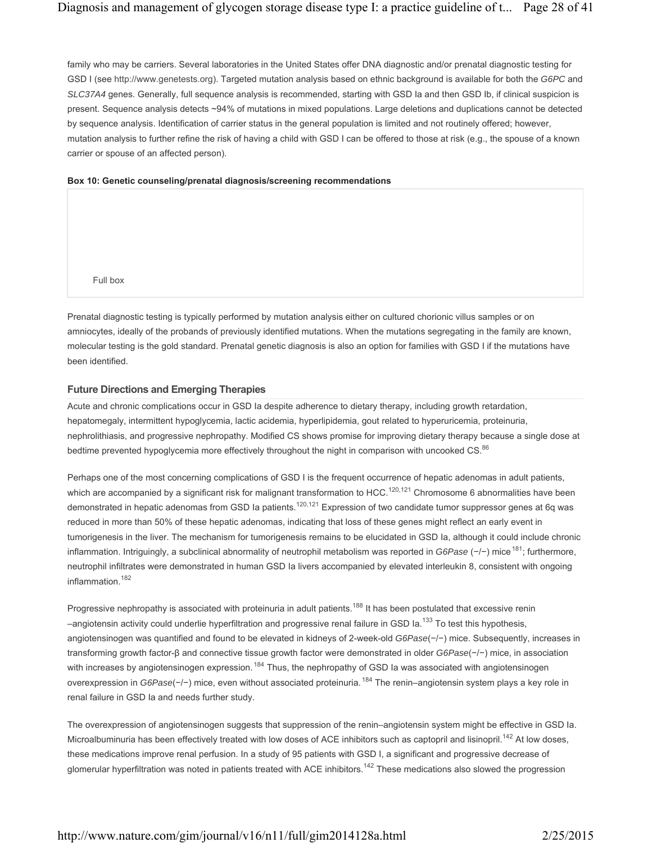family who may be carriers. Several laboratories in the United States offer DNA diagnostic and/or prenatal diagnostic testing for GSD I (see http://www.genetests.org). Targeted mutation analysis based on ethnic background is available for both the *G6PC* and *SLC37A4* genes. Generally, full sequence analysis is recommended, starting with GSD Ia and then GSD Ib, if clinical suspicion is present. Sequence analysis detects ~94% of mutations in mixed populations. Large deletions and duplications cannot be detected by sequence analysis. Identification of carrier status in the general population is limited and not routinely offered; however, mutation analysis to further refine the risk of having a child with GSD I can be offered to those at risk (e.g., the spouse of a known carrier or spouse of an affected person).

#### **Box 10: Genetic counseling/prenatal diagnosis/screening recommendations**

Full box

Prenatal diagnostic testing is typically performed by mutation analysis either on cultured chorionic villus samples or on amniocytes, ideally of the probands of previously identified mutations. When the mutations segregating in the family are known, molecular testing is the gold standard. Prenatal genetic diagnosis is also an option for families with GSD I if the mutations have been identified.

#### **Future Directions and Emerging Therapies**

Acute and chronic complications occur in GSD Ia despite adherence to dietary therapy, including growth retardation, hepatomegaly, intermittent hypoglycemia, lactic acidemia, hyperlipidemia, gout related to hyperuricemia, proteinuria, nephrolithiasis, and progressive nephropathy. Modified CS shows promise for improving dietary therapy because a single dose at bedtime prevented hypoglycemia more effectively throughout the night in comparison with uncooked CS.<sup>86</sup>

Perhaps one of the most concerning complications of GSD I is the frequent occurrence of hepatic adenomas in adult patients, which are accompanied by a significant risk for malignant transformation to HCC.<sup>120,121</sup> Chromosome 6 abnormalities have been demonstrated in hepatic adenomas from GSD Ia patients.<sup>120,121</sup> Expression of two candidate tumor suppressor genes at 6q was reduced in more than 50% of these hepatic adenomas, indicating that loss of these genes might reflect an early event in tumorigenesis in the liver. The mechanism for tumorigenesis remains to be elucidated in GSD Ia, although it could include chronic inflammation. Intriguingly, a subclinical abnormality of neutrophil metabolism was reported in *G6Pase* (-/-) mice<sup>181</sup>; furthermore, neutrophil infiltrates were demonstrated in human GSD Ia livers accompanied by elevated interleukin 8, consistent with ongoing inflammation.<sup>182</sup>

Progressive nephropathy is associated with proteinuria in adult patients.<sup>188</sup> It has been postulated that excessive renin –angiotensin activity could underlie hyperfiltration and progressive renal failure in GSD Ia.<sup>133</sup> To test this hypothesis, angiotensinogen was quantified and found to be elevated in kidneys of 2-week-old *G6Pase*(−/−) mice. Subsequently, increases in transforming growth factor-β and connective tissue growth factor were demonstrated in older *G6Pase*(−/−) mice, in association with increases by angiotensinogen expression. <sup>184</sup> Thus, the nephropathy of GSD Ia was associated with angiotensinogen overexpression in *G6Pase*(−/−) mice, even without associated proteinuria. 184 The renin–angiotensin system plays a key role in renal failure in GSD Ia and needs further study.

The overexpression of angiotensinogen suggests that suppression of the renin–angiotensin system might be effective in GSD Ia. Microalbuminuria has been effectively treated with low doses of ACE inhibitors such as captopril and lisinopril.<sup>142</sup> At low doses, these medications improve renal perfusion. In a study of 95 patients with GSD I, a significant and progressive decrease of glomerular hyperfiltration was noted in patients treated with ACE inhibitors.<sup>142</sup> These medications also slowed the progression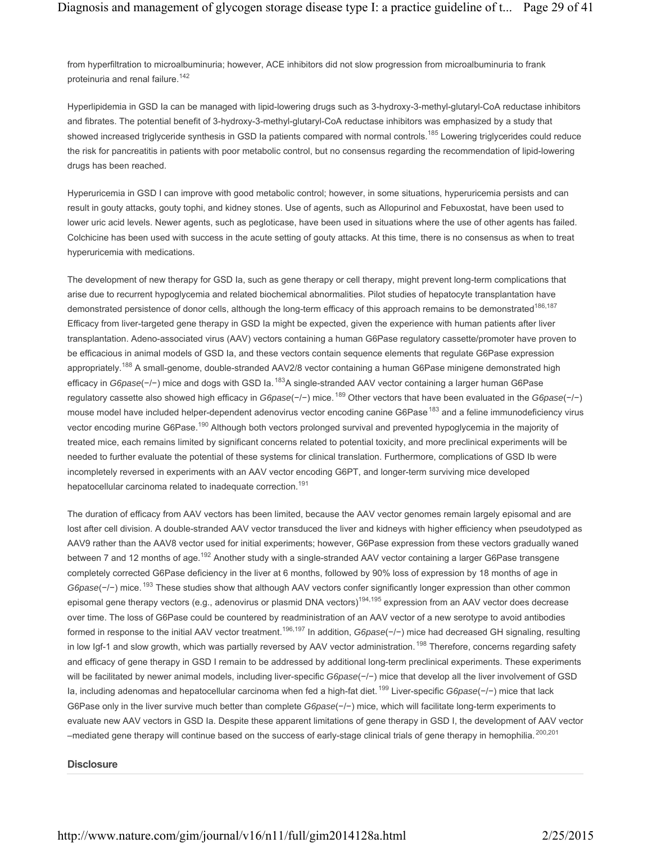from hyperfiltration to microalbuminuria; however, ACE inhibitors did not slow progression from microalbuminuria to frank proteinuria and renal failure.<sup>142</sup>

Hyperlipidemia in GSD Ia can be managed with lipid-lowering drugs such as 3-hydroxy-3-methyl-glutaryl-CoA reductase inhibitors and fibrates. The potential benefit of 3-hydroxy-3-methyl-glutaryl-CoA reductase inhibitors was emphasized by a study that showed increased triglyceride synthesis in GSD Ia patients compared with normal controls.<sup>185</sup> Lowering triglycerides could reduce the risk for pancreatitis in patients with poor metabolic control, but no consensus regarding the recommendation of lipid-lowering drugs has been reached.

Hyperuricemia in GSD I can improve with good metabolic control; however, in some situations, hyperuricemia persists and can result in gouty attacks, gouty tophi, and kidney stones. Use of agents, such as Allopurinol and Febuxostat, have been used to lower uric acid levels. Newer agents, such as pegloticase, have been used in situations where the use of other agents has failed. Colchicine has been used with success in the acute setting of gouty attacks. At this time, there is no consensus as when to treat hyperuricemia with medications.

The development of new therapy for GSD Ia, such as gene therapy or cell therapy, might prevent long-term complications that arise due to recurrent hypoglycemia and related biochemical abnormalities. Pilot studies of hepatocyte transplantation have demonstrated persistence of donor cells, although the long-term efficacy of this approach remains to be demonstrated<sup>186,187</sup> Efficacy from liver-targeted gene therapy in GSD Ia might be expected, given the experience with human patients after liver transplantation. Adeno-associated virus (AAV) vectors containing a human G6Pase regulatory cassette/promoter have proven to be efficacious in animal models of GSD Ia, and these vectors contain sequence elements that regulate G6Pase expression appropriately.<sup>188</sup> A small-genome, double-stranded AAV2/8 vector containing a human G6Pase minigene demonstrated high efficacy in *G6pase*(−/−) mice and dogs with GSD Ia. 183A single-stranded AAV vector containing a larger human G6Pase regulatory cassette also showed high efficacy in *G6pase*(−/−) mice. 189 Other vectors that have been evaluated in the *G6pase*(−/−) mouse model have included helper-dependent adenovirus vector encoding canine G6Pase<sup>183</sup> and a feline immunodeficiency virus vector encoding murine G6Pase.<sup>190</sup> Although both vectors prolonged survival and prevented hypoglycemia in the majority of treated mice, each remains limited by significant concerns related to potential toxicity, and more preclinical experiments will be needed to further evaluate the potential of these systems for clinical translation. Furthermore, complications of GSD Ib were incompletely reversed in experiments with an AAV vector encoding G6PT, and longer-term surviving mice developed hepatocellular carcinoma related to inadequate correction.<sup>191</sup>

The duration of efficacy from AAV vectors has been limited, because the AAV vector genomes remain largely episomal and are lost after cell division. A double-stranded AAV vector transduced the liver and kidneys with higher efficiency when pseudotyped as AAV9 rather than the AAV8 vector used for initial experiments; however, G6Pase expression from these vectors gradually waned between 7 and 12 months of age.<sup>192</sup> Another study with a single-stranded AAV vector containing a larger G6Pase transgene completely corrected G6Pase deficiency in the liver at 6 months, followed by 90% loss of expression by 18 months of age in *G6pase*(-/-) mice. <sup>193</sup> These studies show that although AAV vectors confer significantly longer expression than other common episomal gene therapy vectors (e.g., adenovirus or plasmid DNA vectors)<sup>194,195</sup> expression from an AAV vector does decrease over time. The loss of G6Pase could be countered by readministration of an AAV vector of a new serotype to avoid antibodies formed in response to the initial AAV vector treatment.196,197 In addition, *G6pase*(−/−) mice had decreased GH signaling, resulting in low Igf-1 and slow growth, which was partially reversed by AAV vector administration.<sup>198</sup> Therefore, concerns regarding safety and efficacy of gene therapy in GSD I remain to be addressed by additional long-term preclinical experiments. These experiments will be facilitated by newer animal models, including liver-specific *G6pase*(-/-) mice that develop all the liver involvement of GSD Ia, including adenomas and hepatocellular carcinoma when fed a high-fat diet. 199 Liver-specific *G6pase*(−/−) mice that lack G6Pase only in the liver survive much better than complete *G6pase*(-/-) mice, which will facilitate long-term experiments to evaluate new AAV vectors in GSD Ia. Despite these apparent limitations of gene therapy in GSD I, the development of AAV vector –mediated gene therapy will continue based on the success of early-stage clinical trials of gene therapy in hemophilia. 200,201

#### **Disclosure**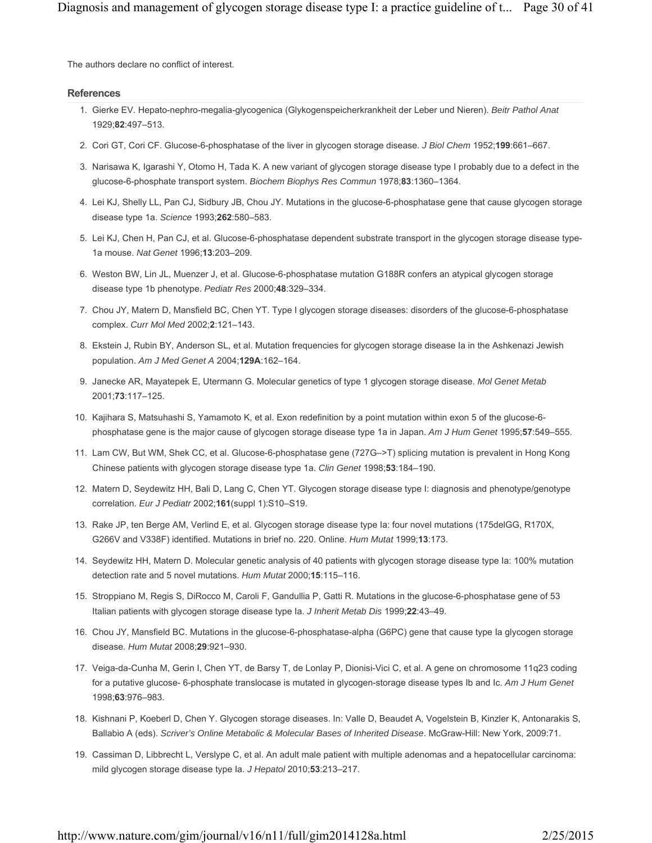The authors declare no conflict of interest.

## **References**

- 1. Gierke EV. Hepato-nephro-megalia-glycogenica (Glykogenspeicherkrankheit der Leber und Nieren). *Beitr Pathol Anat* 1929;**82**:497–513.
- 2. Cori GT, Cori CF. Glucose-6-phosphatase of the liver in glycogen storage disease. *J Biol Chem* 1952;**199**:661–667.
- 3. Narisawa K, Igarashi Y, Otomo H, Tada K. A new variant of glycogen storage disease type I probably due to a defect in the glucose-6-phosphate transport system. *Biochem Biophys Res Commun* 1978;**83**:1360–1364.
- 4. Lei KJ, Shelly LL, Pan CJ, Sidbury JB, Chou JY. Mutations in the glucose-6-phosphatase gene that cause glycogen storage disease type 1a. *Science* 1993;**262**:580–583.
- 5. Lei KJ, Chen H, Pan CJ, et al. Glucose-6-phosphatase dependent substrate transport in the glycogen storage disease type-1a mouse. *Nat Genet* 1996;**13**:203–209.
- 6. Weston BW, Lin JL, Muenzer J, et al. Glucose-6-phosphatase mutation G188R confers an atypical glycogen storage disease type 1b phenotype. *Pediatr Res* 2000;**48**:329–334.
- 7. Chou JY, Matern D, Mansfield BC, Chen YT. Type I glycogen storage diseases: disorders of the glucose-6-phosphatase complex. *Curr Mol Med* 2002;**2**:121–143.
- 8. Ekstein J, Rubin BY, Anderson SL, et al. Mutation frequencies for glycogen storage disease Ia in the Ashkenazi Jewish population. *Am J Med Genet A* 2004;**129A**:162–164.
- 9. Janecke AR, Mayatepek E, Utermann G. Molecular genetics of type 1 glycogen storage disease. *Mol Genet Metab* 2001;**73**:117–125.
- 10. Kajihara S, Matsuhashi S, Yamamoto K, et al. Exon redefinition by a point mutation within exon 5 of the glucose-6 phosphatase gene is the major cause of glycogen storage disease type 1a in Japan. *Am J Hum Genet* 1995;**57**:549–555.
- 11. Lam CW, But WM, Shek CC, et al. Glucose-6-phosphatase gene (727G–>T) splicing mutation is prevalent in Hong Kong Chinese patients with glycogen storage disease type 1a. *Clin Genet* 1998;**53**:184–190.
- 12. Matern D, Seydewitz HH, Bali D, Lang C, Chen YT. Glycogen storage disease type I: diagnosis and phenotype/genotype correlation. *Eur J Pediatr* 2002;**161**(suppl 1):S10–S19.
- 13. Rake JP, ten Berge AM, Verlind E, et al. Glycogen storage disease type Ia: four novel mutations (175delGG, R170X, G266V and V338F) identified. Mutations in brief no. 220. Online. *Hum Mutat* 1999;**13**:173.
- 14. Seydewitz HH, Matern D. Molecular genetic analysis of 40 patients with glycogen storage disease type Ia: 100% mutation detection rate and 5 novel mutations. *Hum Mutat* 2000;**15**:115–116.
- 15. Stroppiano M, Regis S, DiRocco M, Caroli F, Gandullia P, Gatti R. Mutations in the glucose-6-phosphatase gene of 53 Italian patients with glycogen storage disease type Ia. *J Inherit Metab Dis* 1999;**22**:43–49.
- 16. Chou JY, Mansfield BC. Mutations in the glucose-6-phosphatase-alpha (G6PC) gene that cause type Ia glycogen storage disease. *Hum Mutat* 2008;**29**:921–930.
- 17. Veiga-da-Cunha M, Gerin I, Chen YT, de Barsy T, de Lonlay P, Dionisi-Vici C, et al. A gene on chromosome 11q23 coding for a putative glucose- 6-phosphate translocase is mutated in glycogen-storage disease types Ib and Ic. *Am J Hum Genet* 1998;**63**:976–983.
- 18. Kishnani P, Koeberl D, Chen Y. Glycogen storage diseases. In: Valle D, Beaudet A, Vogelstein B, Kinzler K, Antonarakis S, Ballabio A (eds). *Scriver's Online Metabolic & Molecular Bases of Inherited Disease*. McGraw-Hill: New York, 2009:71.
- 19. Cassiman D, Libbrecht L, Verslype C, et al. An adult male patient with multiple adenomas and a hepatocellular carcinoma: mild glycogen storage disease type Ia. *J Hepatol* 2010;**53**:213–217.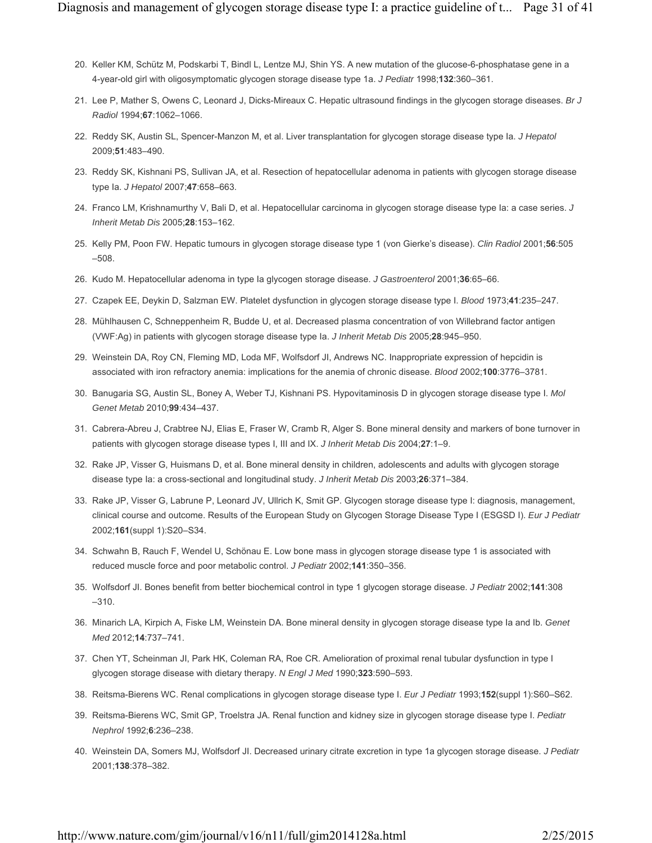- 20. Keller KM, Schütz M, Podskarbi T, Bindl L, Lentze MJ, Shin YS. A new mutation of the glucose-6-phosphatase gene in a 4-year-old girl with oligosymptomatic glycogen storage disease type 1a. *J Pediatr* 1998;**132**:360–361.
- 21. Lee P, Mather S, Owens C, Leonard J, Dicks-Mireaux C. Hepatic ultrasound findings in the glycogen storage diseases. *Br J Radiol* 1994;**67**:1062–1066.
- 22. Reddy SK, Austin SL, Spencer-Manzon M, et al. Liver transplantation for glycogen storage disease type Ia. *J Hepatol* 2009;**51**:483–490.
- 23. Reddy SK, Kishnani PS, Sullivan JA, et al. Resection of hepatocellular adenoma in patients with glycogen storage disease type Ia. *J Hepatol* 2007;**47**:658–663.
- 24. Franco LM, Krishnamurthy V, Bali D, et al. Hepatocellular carcinoma in glycogen storage disease type Ia: a case series. *J Inherit Metab Dis* 2005;**28**:153–162.
- 25. Kelly PM, Poon FW. Hepatic tumours in glycogen storage disease type 1 (von Gierke's disease). *Clin Radiol* 2001;**56**:505 –508.
- 26. Kudo M. Hepatocellular adenoma in type Ia glycogen storage disease. *J Gastroenterol* 2001;**36**:65–66.
- 27. Czapek EE, Deykin D, Salzman EW. Platelet dysfunction in glycogen storage disease type I. *Blood* 1973;**41**:235–247.
- 28. Mühlhausen C, Schneppenheim R, Budde U, et al. Decreased plasma concentration of von Willebrand factor antigen (VWF:Ag) in patients with glycogen storage disease type Ia. *J Inherit Metab Dis* 2005;**28**:945–950.
- 29. Weinstein DA, Roy CN, Fleming MD, Loda MF, Wolfsdorf JI, Andrews NC. Inappropriate expression of hepcidin is associated with iron refractory anemia: implications for the anemia of chronic disease. *Blood* 2002;**100**:3776–3781.
- 30. Banugaria SG, Austin SL, Boney A, Weber TJ, Kishnani PS. Hypovitaminosis D in glycogen storage disease type I. *Mol Genet Metab* 2010;**99**:434–437.
- 31. Cabrera-Abreu J, Crabtree NJ, Elias E, Fraser W, Cramb R, Alger S. Bone mineral density and markers of bone turnover in patients with glycogen storage disease types I, III and IX. *J Inherit Metab Dis* 2004;**27**:1–9.
- 32. Rake JP, Visser G, Huismans D, et al. Bone mineral density in children, adolescents and adults with glycogen storage disease type Ia: a cross-sectional and longitudinal study. *J Inherit Metab Dis* 2003;**26**:371–384.
- 33. Rake JP, Visser G, Labrune P, Leonard JV, Ullrich K, Smit GP. Glycogen storage disease type I: diagnosis, management, clinical course and outcome. Results of the European Study on Glycogen Storage Disease Type I (ESGSD I). *Eur J Pediatr* 2002;**161**(suppl 1):S20–S34.
- 34. Schwahn B, Rauch F, Wendel U, Schönau E. Low bone mass in glycogen storage disease type 1 is associated with reduced muscle force and poor metabolic control. *J Pediatr* 2002;**141**:350–356.
- 35. Wolfsdorf JI. Bones benefit from better biochemical control in type 1 glycogen storage disease. *J Pediatr* 2002;**141**:308 –310.
- 36. Minarich LA, Kirpich A, Fiske LM, Weinstein DA. Bone mineral density in glycogen storage disease type Ia and Ib. *Genet Med* 2012;**14**:737–741.
- 37. Chen YT, Scheinman JI, Park HK, Coleman RA, Roe CR. Amelioration of proximal renal tubular dysfunction in type I glycogen storage disease with dietary therapy. *N Engl J Med* 1990;**323**:590–593.
- 38. Reitsma-Bierens WC. Renal complications in glycogen storage disease type I. *Eur J Pediatr* 1993;**152**(suppl 1):S60–S62.
- 39. Reitsma-Bierens WC, Smit GP, Troelstra JA. Renal function and kidney size in glycogen storage disease type I. *Pediatr Nephrol* 1992;**6**:236–238.
- 40. Weinstein DA, Somers MJ, Wolfsdorf JI. Decreased urinary citrate excretion in type 1a glycogen storage disease. *J Pediatr* 2001;**138**:378–382.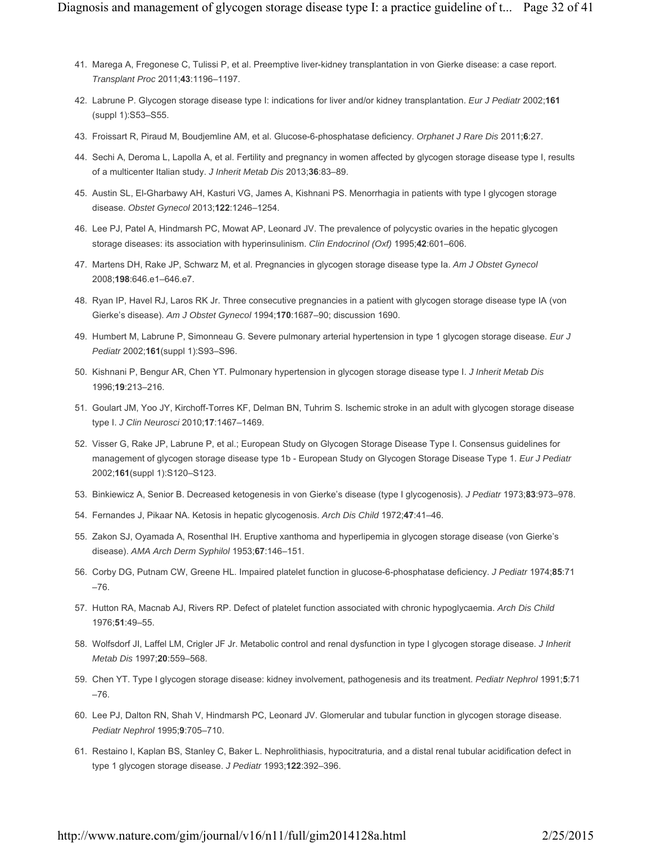- 41. Marega A, Fregonese C, Tulissi P, et al. Preemptive liver-kidney transplantation in von Gierke disease: a case report. *Transplant Proc* 2011;**43**:1196–1197.
- 42. Labrune P. Glycogen storage disease type I: indications for liver and/or kidney transplantation. *Eur J Pediatr* 2002;**161** (suppl 1):S53–S55.
- 43. Froissart R, Piraud M, Boudjemline AM, et al. Glucose-6-phosphatase deficiency. *Orphanet J Rare Dis* 2011;**6**:27.
- 44. Sechi A, Deroma L, Lapolla A, et al. Fertility and pregnancy in women affected by glycogen storage disease type I, results of a multicenter Italian study. *J Inherit Metab Dis* 2013;**36**:83–89.
- 45. Austin SL, El-Gharbawy AH, Kasturi VG, James A, Kishnani PS. Menorrhagia in patients with type I glycogen storage disease. *Obstet Gynecol* 2013;**122**:1246–1254.
- 46. Lee PJ, Patel A, Hindmarsh PC, Mowat AP, Leonard JV. The prevalence of polycystic ovaries in the hepatic glycogen storage diseases: its association with hyperinsulinism. *Clin Endocrinol (Oxf)* 1995;**42**:601–606.
- 47. Martens DH, Rake JP, Schwarz M, et al. Pregnancies in glycogen storage disease type Ia. *Am J Obstet Gynecol* 2008;**198**:646.e1–646.e7.
- 48. Ryan IP, Havel RJ, Laros RK Jr. Three consecutive pregnancies in a patient with glycogen storage disease type IA (von Gierke's disease). *Am J Obstet Gynecol* 1994;**170**:1687–90; discussion 1690.
- 49. Humbert M, Labrune P, Simonneau G. Severe pulmonary arterial hypertension in type 1 glycogen storage disease. *Eur J Pediatr* 2002;**161**(suppl 1):S93–S96.
- 50. Kishnani P, Bengur AR, Chen YT. Pulmonary hypertension in glycogen storage disease type I. *J Inherit Metab Dis* 1996;**19**:213–216.
- 51. Goulart JM, Yoo JY, Kirchoff-Torres KF, Delman BN, Tuhrim S. Ischemic stroke in an adult with glycogen storage disease type I. *J Clin Neurosci* 2010;**17**:1467–1469.
- 52. Visser G, Rake JP, Labrune P, et al.; European Study on Glycogen Storage Disease Type I. Consensus guidelines for management of glycogen storage disease type 1b - European Study on Glycogen Storage Disease Type 1. *Eur J Pediatr* 2002;**161**(suppl 1):S120–S123.
- 53. Binkiewicz A, Senior B. Decreased ketogenesis in von Gierke's disease (type I glycogenosis). *J Pediatr* 1973;**83**:973–978.
- 54. Fernandes J, Pikaar NA. Ketosis in hepatic glycogenosis. *Arch Dis Child* 1972;**47**:41–46.
- 55. Zakon SJ, Oyamada A, Rosenthal IH. Eruptive xanthoma and hyperlipemia in glycogen storage disease (von Gierke's disease). *AMA Arch Derm Syphilol* 1953;**67**:146–151.
- 56. Corby DG, Putnam CW, Greene HL. Impaired platelet function in glucose-6-phosphatase deficiency. *J Pediatr* 1974;**85**:71 –76.
- 57. Hutton RA, Macnab AJ, Rivers RP. Defect of platelet function associated with chronic hypoglycaemia. *Arch Dis Child* 1976;**51**:49–55.
- 58. Wolfsdorf JI, Laffel LM, Crigler JF Jr. Metabolic control and renal dysfunction in type I glycogen storage disease. *J Inherit Metab Dis* 1997;**20**:559–568.
- 59. Chen YT. Type I glycogen storage disease: kidney involvement, pathogenesis and its treatment. *Pediatr Nephrol* 1991;**5**:71 –76.
- 60. Lee PJ, Dalton RN, Shah V, Hindmarsh PC, Leonard JV. Glomerular and tubular function in glycogen storage disease. *Pediatr Nephrol* 1995;**9**:705–710.
- 61. Restaino I, Kaplan BS, Stanley C, Baker L. Nephrolithiasis, hypocitraturia, and a distal renal tubular acidification defect in type 1 glycogen storage disease. *J Pediatr* 1993;**122**:392–396.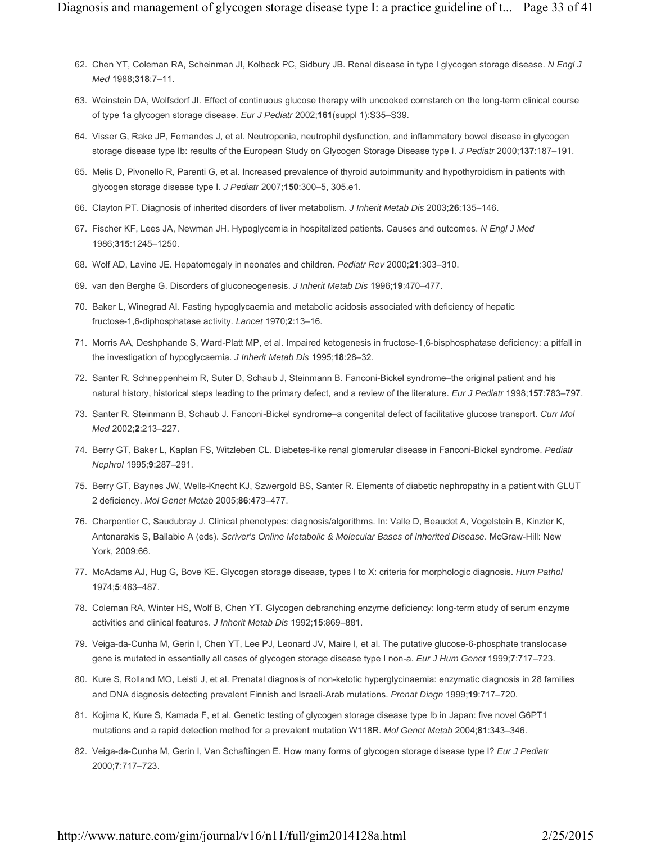- 62. Chen YT, Coleman RA, Scheinman JI, Kolbeck PC, Sidbury JB. Renal disease in type I glycogen storage disease. *N Engl J Med* 1988;**318**:7–11.
- 63. Weinstein DA, Wolfsdorf JI. Effect of continuous glucose therapy with uncooked cornstarch on the long-term clinical course of type 1a glycogen storage disease. *Eur J Pediatr* 2002;**161**(suppl 1):S35–S39.
- 64. Visser G, Rake JP, Fernandes J, et al. Neutropenia, neutrophil dysfunction, and inflammatory bowel disease in glycogen storage disease type Ib: results of the European Study on Glycogen Storage Disease type I. *J Pediatr* 2000;**137**:187–191.
- 65. Melis D, Pivonello R, Parenti G, et al. Increased prevalence of thyroid autoimmunity and hypothyroidism in patients with glycogen storage disease type I. *J Pediatr* 2007;**150**:300–5, 305.e1.
- 66. Clayton PT. Diagnosis of inherited disorders of liver metabolism. *J Inherit Metab Dis* 2003;**26**:135–146.
- 67. Fischer KF, Lees JA, Newman JH. Hypoglycemia in hospitalized patients. Causes and outcomes. *N Engl J Med* 1986;**315**:1245–1250.
- 68. Wolf AD, Lavine JE. Hepatomegaly in neonates and children. *Pediatr Rev* 2000;**21**:303–310.
- 69. van den Berghe G. Disorders of gluconeogenesis. *J Inherit Metab Dis* 1996;**19**:470–477.
- 70. Baker L, Winegrad AI. Fasting hypoglycaemia and metabolic acidosis associated with deficiency of hepatic fructose-1,6-diphosphatase activity. *Lancet* 1970;**2**:13–16.
- 71. Morris AA, Deshphande S, Ward-Platt MP, et al. Impaired ketogenesis in fructose-1,6-bisphosphatase deficiency: a pitfall in the investigation of hypoglycaemia. *J Inherit Metab Dis* 1995;**18**:28–32.
- 72. Santer R, Schneppenheim R, Suter D, Schaub J, Steinmann B. Fanconi-Bickel syndrome–the original patient and his natural history, historical steps leading to the primary defect, and a review of the literature. *Eur J Pediatr* 1998;**157**:783–797.
- 73. Santer R, Steinmann B, Schaub J. Fanconi-Bickel syndrome–a congenital defect of facilitative glucose transport. *Curr Mol Med* 2002;**2**:213–227.
- 74. Berry GT, Baker L, Kaplan FS, Witzleben CL. Diabetes-like renal glomerular disease in Fanconi-Bickel syndrome. *Pediatr Nephrol* 1995;**9**:287–291.
- 75. Berry GT, Baynes JW, Wells-Knecht KJ, Szwergold BS, Santer R. Elements of diabetic nephropathy in a patient with GLUT 2 deficiency. *Mol Genet Metab* 2005;**86**:473–477.
- 76. Charpentier C, Saudubray J. Clinical phenotypes: diagnosis/algorithms. In: Valle D, Beaudet A, Vogelstein B, Kinzler K, Antonarakis S, Ballabio A (eds). *Scriver's Online Metabolic & Molecular Bases of Inherited Disease*. McGraw-Hill: New York, 2009:66.
- 77. McAdams AJ, Hug G, Bove KE. Glycogen storage disease, types I to X: criteria for morphologic diagnosis. *Hum Pathol* 1974;**5**:463–487.
- 78. Coleman RA, Winter HS, Wolf B, Chen YT. Glycogen debranching enzyme deficiency: long-term study of serum enzyme activities and clinical features. *J Inherit Metab Dis* 1992;**15**:869–881.
- 79. Veiga-da-Cunha M, Gerin I, Chen YT, Lee PJ, Leonard JV, Maire I, et al. The putative glucose-6-phosphate translocase gene is mutated in essentially all cases of glycogen storage disease type I non-a. *Eur J Hum Genet* 1999;**7**:717–723.
- 80. Kure S, Rolland MO, Leisti J, et al. Prenatal diagnosis of non-ketotic hyperglycinaemia: enzymatic diagnosis in 28 families and DNA diagnosis detecting prevalent Finnish and Israeli-Arab mutations. *Prenat Diagn* 1999;**19**:717–720.
- 81. Kojima K, Kure S, Kamada F, et al. Genetic testing of glycogen storage disease type Ib in Japan: five novel G6PT1 mutations and a rapid detection method for a prevalent mutation W118R. *Mol Genet Metab* 2004;**81**:343–346.
- 82. Veiga-da-Cunha M, Gerin I, Van Schaftingen E. How many forms of glycogen storage disease type I? *Eur J Pediatr* 2000;**7**:717–723.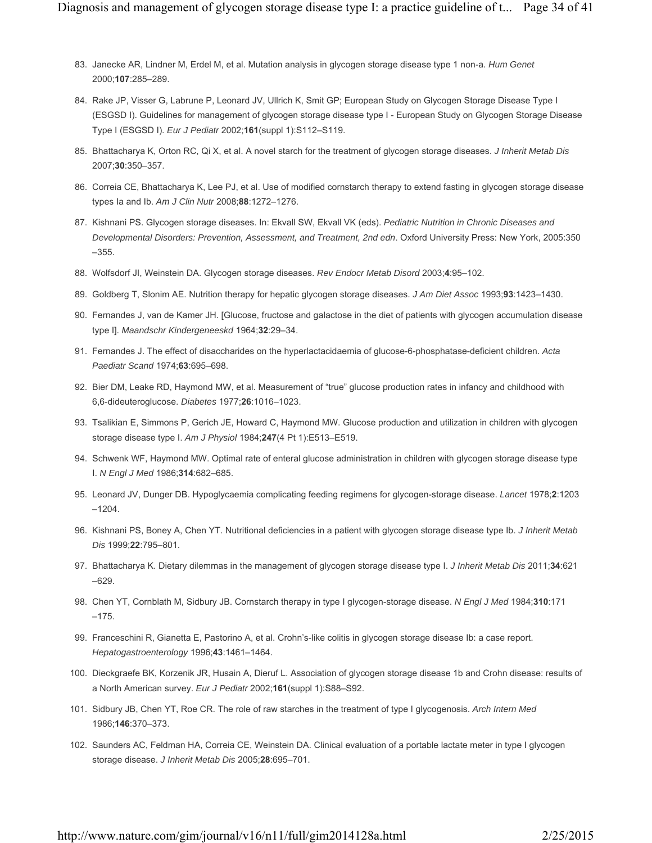- 83. Janecke AR, Lindner M, Erdel M, et al. Mutation analysis in glycogen storage disease type 1 non-a. *Hum Genet* 2000;**107**:285–289.
- 84. Rake JP, Visser G, Labrune P, Leonard JV, Ullrich K, Smit GP; European Study on Glycogen Storage Disease Type I (ESGSD I). Guidelines for management of glycogen storage disease type I - European Study on Glycogen Storage Disease Type I (ESGSD I). *Eur J Pediatr* 2002;**161**(suppl 1):S112–S119.
- 85. Bhattacharya K, Orton RC, Qi X, et al. A novel starch for the treatment of glycogen storage diseases. *J Inherit Metab Dis* 2007;**30**:350–357.
- 86. Correia CE, Bhattacharya K, Lee PJ, et al. Use of modified cornstarch therapy to extend fasting in glycogen storage disease types Ia and Ib. *Am J Clin Nutr* 2008;**88**:1272–1276.
- 87. Kishnani PS. Glycogen storage diseases. In: Ekvall SW, Ekvall VK (eds). *Pediatric Nutrition in Chronic Diseases and Developmental Disorders: Prevention, Assessment, and Treatment, 2nd edn*. Oxford University Press: New York, 2005:350 –355.
- 88. Wolfsdorf JI, Weinstein DA. Glycogen storage diseases. *Rev Endocr Metab Disord* 2003;**4**:95–102.
- 89. Goldberg T, Slonim AE. Nutrition therapy for hepatic glycogen storage diseases. *J Am Diet Assoc* 1993;**93**:1423–1430.
- 90. Fernandes J, van de Kamer JH. [Glucose, fructose and galactose in the diet of patients with glycogen accumulation disease type I]. *Maandschr Kindergeneeskd* 1964;**32**:29–34.
- 91. Fernandes J. The effect of disaccharides on the hyperlactacidaemia of glucose-6-phosphatase-deficient children. *Acta Paediatr Scand* 1974;**63**:695–698.
- 92. Bier DM, Leake RD, Haymond MW, et al. Measurement of "true" glucose production rates in infancy and childhood with 6,6-dideuteroglucose. *Diabetes* 1977;**26**:1016–1023.
- 93. Tsalikian E, Simmons P, Gerich JE, Howard C, Haymond MW. Glucose production and utilization in children with glycogen storage disease type I. *Am J Physiol* 1984;**247**(4 Pt 1):E513–E519.
- 94. Schwenk WF, Haymond MW. Optimal rate of enteral glucose administration in children with glycogen storage disease type I. *N Engl J Med* 1986;**314**:682–685.
- 95. Leonard JV, Dunger DB. Hypoglycaemia complicating feeding regimens for glycogen-storage disease. *Lancet* 1978;**2**:1203 –1204.
- 96. Kishnani PS, Boney A, Chen YT. Nutritional deficiencies in a patient with glycogen storage disease type Ib. *J Inherit Metab Dis* 1999;**22**:795–801.
- 97. Bhattacharya K. Dietary dilemmas in the management of glycogen storage disease type I. *J Inherit Metab Dis* 2011;**34**:621 –629.
- 98. Chen YT, Cornblath M, Sidbury JB. Cornstarch therapy in type I glycogen-storage disease. *N Engl J Med* 1984;**310**:171 –175.
- 99. Franceschini R, Gianetta E, Pastorino A, et al. Crohn's-like colitis in glycogen storage disease Ib: a case report. *Hepatogastroenterology* 1996;**43**:1461–1464.
- 100. Dieckgraefe BK, Korzenik JR, Husain A, Dieruf L. Association of glycogen storage disease 1b and Crohn disease: results of a North American survey. *Eur J Pediatr* 2002;**161**(suppl 1):S88–S92.
- 101. Sidbury JB, Chen YT, Roe CR. The role of raw starches in the treatment of type I glycogenosis. *Arch Intern Med* 1986;**146**:370–373.
- 102. Saunders AC, Feldman HA, Correia CE, Weinstein DA. Clinical evaluation of a portable lactate meter in type I glycogen storage disease. *J Inherit Metab Dis* 2005;**28**:695–701.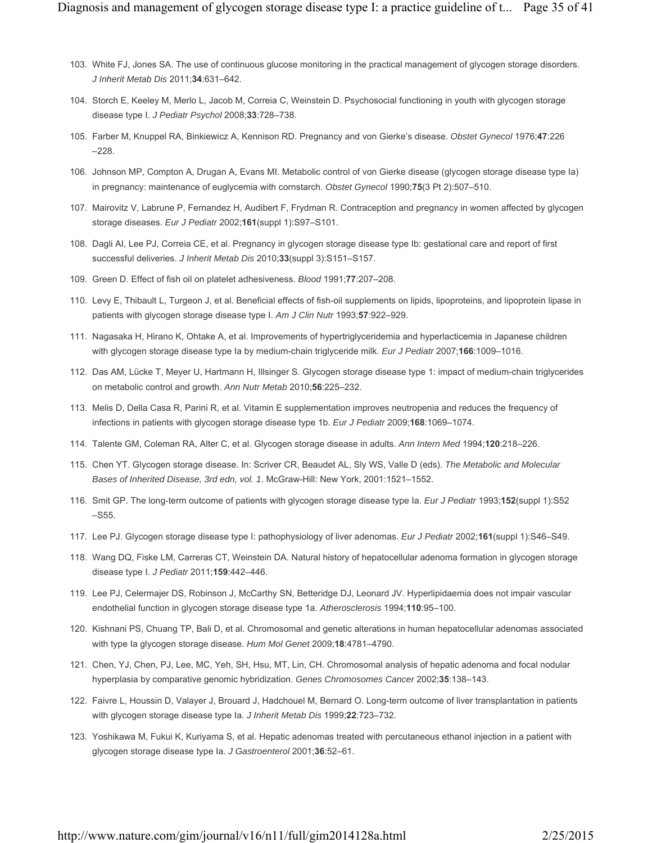- 103. White FJ, Jones SA. The use of continuous glucose monitoring in the practical management of glycogen storage disorders. *J Inherit Metab Dis* 2011;**34**:631–642.
- 104. Storch E, Keeley M, Merlo L, Jacob M, Correia C, Weinstein D. Psychosocial functioning in youth with glycogen storage disease type I. *J Pediatr Psychol* 2008;**33**:728–738.
- 105. Farber M, Knuppel RA, Binkiewicz A, Kennison RD. Pregnancy and von Gierke's disease. *Obstet Gynecol* 1976;**47**:226 –228.
- 106. Johnson MP, Compton A, Drugan A, Evans MI. Metabolic control of von Gierke disease (glycogen storage disease type Ia) in pregnancy: maintenance of euglycemia with cornstarch. *Obstet Gynecol* 1990;**75**(3 Pt 2):507–510.
- 107. Mairovitz V, Labrune P, Fernandez H, Audibert F, Frydman R. Contraception and pregnancy in women affected by glycogen storage diseases. *Eur J Pediatr* 2002;**161**(suppl 1):S97–S101.
- 108. Dagli AI, Lee PJ, Correia CE, et al. Pregnancy in glycogen storage disease type Ib: gestational care and report of first successful deliveries. *J Inherit Metab Dis* 2010;**33**(suppl 3):S151–S157.
- 109. Green D. Effect of fish oil on platelet adhesiveness. *Blood* 1991;**77**:207–208.
- 110. Levy E, Thibault L, Turgeon J, et al. Beneficial effects of fish-oil supplements on lipids, lipoproteins, and lipoprotein lipase in patients with glycogen storage disease type I. *Am J Clin Nutr* 1993;**57**:922–929.
- 111. Nagasaka H, Hirano K, Ohtake A, et al. Improvements of hypertriglyceridemia and hyperlacticemia in Japanese children with glycogen storage disease type Ia by medium-chain triglyceride milk. *Eur J Pediatr* 2007;**166**:1009–1016.
- 112. Das AM, Lücke T, Meyer U, Hartmann H, Illsinger S. Glycogen storage disease type 1: impact of medium-chain triglycerides on metabolic control and growth. *Ann Nutr Metab* 2010;**56**:225–232.
- 113. Melis D, Della Casa R, Parini R, et al. Vitamin E supplementation improves neutropenia and reduces the frequency of infections in patients with glycogen storage disease type 1b. *Eur J Pediatr* 2009;**168**:1069–1074.
- 114. Talente GM, Coleman RA, Alter C, et al. Glycogen storage disease in adults. *Ann Intern Med* 1994;**120**:218–226.
- 115. Chen YT. Glycogen storage disease. In: Scriver CR, Beaudet AL, Sly WS, Valle D (eds). *The Metabolic and Molecular Bases of Inherited Disease, 3rd edn, vol. 1*. McGraw-Hill: New York, 2001:1521–1552.
- 116. Smit GP. The long-term outcome of patients with glycogen storage disease type Ia. *Eur J Pediatr* 1993;**152**(suppl 1):S52 –S55.
- 117. Lee PJ. Glycogen storage disease type I: pathophysiology of liver adenomas. *Eur J Pediatr* 2002;**161**(suppl 1):S46–S49.
- 118. Wang DQ, Fiske LM, Carreras CT, Weinstein DA. Natural history of hepatocellular adenoma formation in glycogen storage disease type I. *J Pediatr* 2011;**159**:442–446.
- 119. Lee PJ, Celermajer DS, Robinson J, McCarthy SN, Betteridge DJ, Leonard JV. Hyperlipidaemia does not impair vascular endothelial function in glycogen storage disease type 1a. *Atherosclerosis* 1994;**110**:95–100.
- 120. Kishnani PS, Chuang TP, Bali D, et al. Chromosomal and genetic alterations in human hepatocellular adenomas associated with type Ia glycogen storage disease. *Hum Mol Genet* 2009;**18**:4781–4790.
- 121. Chen, YJ, Chen, PJ, Lee, MC, Yeh, SH, Hsu, MT, Lin, CH. Chromosomal analysis of hepatic adenoma and focal nodular hyperplasia by comparative genomic hybridization. *Genes Chromosomes Cancer* 2002;**35**:138–143.
- 122. Faivre L, Houssin D, Valayer J, Brouard J, Hadchouel M, Bernard O. Long-term outcome of liver transplantation in patients with glycogen storage disease type Ia. *J Inherit Metab Dis* 1999;**22**:723–732.
- 123. Yoshikawa M, Fukui K, Kuriyama S, et al. Hepatic adenomas treated with percutaneous ethanol injection in a patient with glycogen storage disease type Ia. *J Gastroenterol* 2001;**36**:52–61.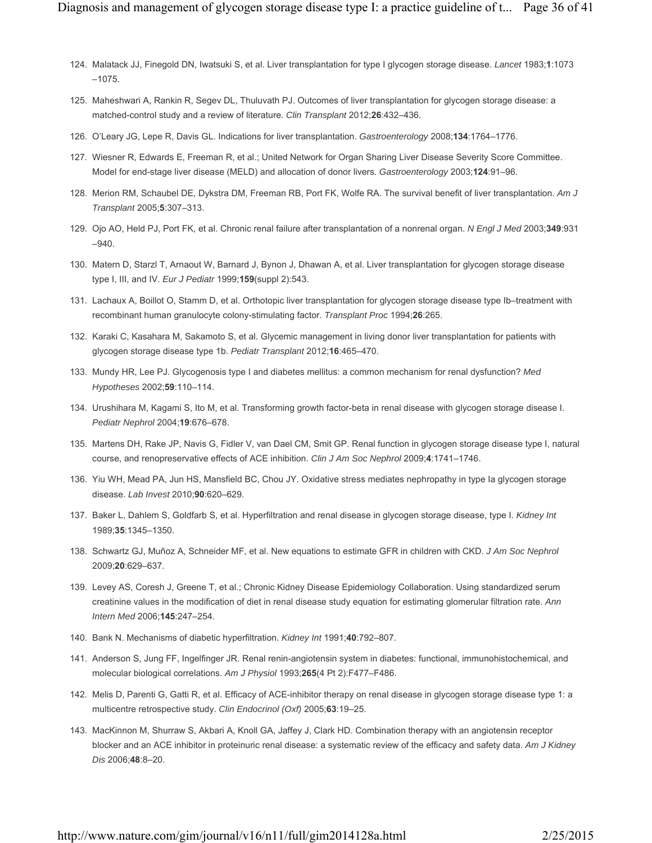- 124. Malatack JJ, Finegold DN, Iwatsuki S, et al. Liver transplantation for type I glycogen storage disease. *Lancet* 1983;**1**:1073 –1075.
- 125. Maheshwari A, Rankin R, Segev DL, Thuluvath PJ. Outcomes of liver transplantation for glycogen storage disease: a matched-control study and a review of literature. *Clin Transplant* 2012;**26**:432–436.
- 126. O'Leary JG, Lepe R, Davis GL. Indications for liver transplantation. *Gastroenterology* 2008;**134**:1764–1776.
- 127. Wiesner R, Edwards E, Freeman R, et al.; United Network for Organ Sharing Liver Disease Severity Score Committee. Model for end-stage liver disease (MELD) and allocation of donor livers. *Gastroenterology* 2003;**124**:91–96.
- 128. Merion RM, Schaubel DE, Dykstra DM, Freeman RB, Port FK, Wolfe RA. The survival benefit of liver transplantation. *Am J Transplant* 2005;**5**:307–313.
- 129. Ojo AO, Held PJ, Port FK, et al. Chronic renal failure after transplantation of a nonrenal organ. *N Engl J Med* 2003;**349**:931 –940.
- 130. Matern D, Starzl T, Arnaout W, Barnard J, Bynon J, Dhawan A, et al. Liver transplantation for glycogen storage disease type I, III, and IV. *Eur J Pediatr* 1999;**159**(suppl 2):543.
- 131. Lachaux A, Boillot O, Stamm D, et al. Orthotopic liver transplantation for glycogen storage disease type Ib–treatment with recombinant human granulocyte colony-stimulating factor. *Transplant Proc* 1994;**26**:265.
- 132. Karaki C, Kasahara M, Sakamoto S, et al. Glycemic management in living donor liver transplantation for patients with glycogen storage disease type 1b. *Pediatr Transplant* 2012;**16**:465–470.
- 133. Mundy HR, Lee PJ. Glycogenosis type I and diabetes mellitus: a common mechanism for renal dysfunction? *Med Hypotheses* 2002;**59**:110–114.
- 134. Urushihara M, Kagami S, Ito M, et al. Transforming growth factor-beta in renal disease with glycogen storage disease I. *Pediatr Nephrol* 2004;**19**:676–678.
- 135. Martens DH, Rake JP, Navis G, Fidler V, van Dael CM, Smit GP. Renal function in glycogen storage disease type I, natural course, and renopreservative effects of ACE inhibition. *Clin J Am Soc Nephrol* 2009;**4**:1741–1746.
- 136. Yiu WH, Mead PA, Jun HS, Mansfield BC, Chou JY. Oxidative stress mediates nephropathy in type Ia glycogen storage disease. *Lab Invest* 2010;**90**:620–629.
- 137. Baker L, Dahlem S, Goldfarb S, et al. Hyperfiltration and renal disease in glycogen storage disease, type I. *Kidney Int* 1989;**35**:1345–1350.
- 138. Schwartz GJ, Muñoz A, Schneider MF, et al. New equations to estimate GFR in children with CKD. *J Am Soc Nephrol* 2009;**20**:629–637.
- 139. Levey AS, Coresh J, Greene T, et al.; Chronic Kidney Disease Epidemiology Collaboration. Using standardized serum creatinine values in the modification of diet in renal disease study equation for estimating glomerular filtration rate. *Ann Intern Med* 2006;**145**:247–254.
- 140. Bank N. Mechanisms of diabetic hyperfiltration. *Kidney Int* 1991;**40**:792–807.
- 141. Anderson S, Jung FF, Ingelfinger JR. Renal renin-angiotensin system in diabetes: functional, immunohistochemical, and molecular biological correlations. *Am J Physiol* 1993;**265**(4 Pt 2):F477–F486.
- 142. Melis D, Parenti G, Gatti R, et al. Efficacy of ACE-inhibitor therapy on renal disease in glycogen storage disease type 1: a multicentre retrospective study. *Clin Endocrinol (Oxf)* 2005;**63**:19–25.
- 143. MacKinnon M, Shurraw S, Akbari A, Knoll GA, Jaffey J, Clark HD. Combination therapy with an angiotensin receptor blocker and an ACE inhibitor in proteinuric renal disease: a systematic review of the efficacy and safety data. *Am J Kidney Dis* 2006;**48**:8–20.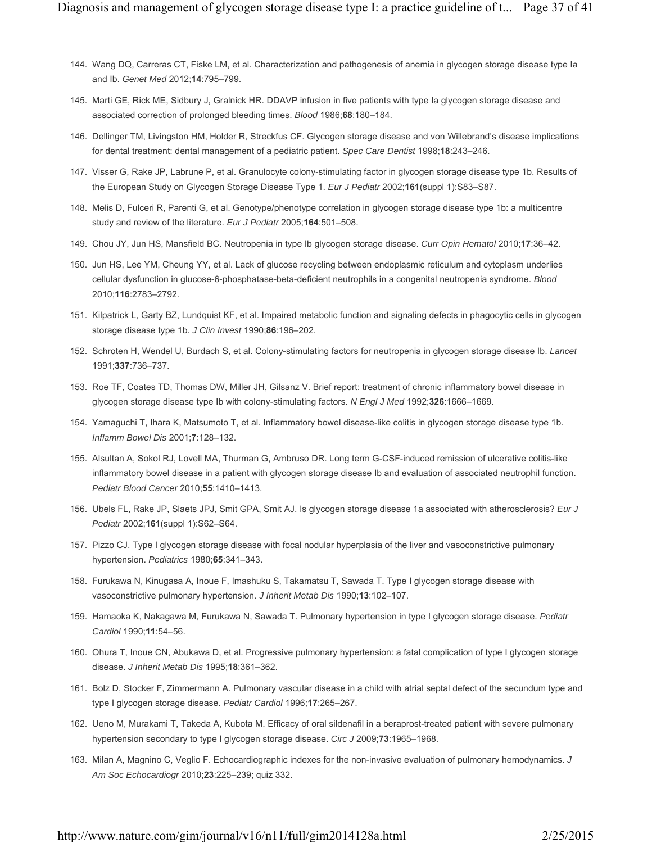- 144. Wang DQ, Carreras CT, Fiske LM, et al. Characterization and pathogenesis of anemia in glycogen storage disease type Ia and Ib. *Genet Med* 2012;**14**:795–799.
- 145. Marti GE, Rick ME, Sidbury J, Gralnick HR. DDAVP infusion in five patients with type Ia glycogen storage disease and associated correction of prolonged bleeding times. *Blood* 1986;**68**:180–184.
- 146. Dellinger TM, Livingston HM, Holder R, Streckfus CF. Glycogen storage disease and von Willebrand's disease implications for dental treatment: dental management of a pediatric patient. *Spec Care Dentist* 1998;**18**:243–246.
- 147. Visser G, Rake JP, Labrune P, et al. Granulocyte colony-stimulating factor in glycogen storage disease type 1b. Results of the European Study on Glycogen Storage Disease Type 1. *Eur J Pediatr* 2002;**161**(suppl 1):S83–S87.
- 148. Melis D, Fulceri R, Parenti G, et al. Genotype/phenotype correlation in glycogen storage disease type 1b: a multicentre study and review of the literature. *Eur J Pediatr* 2005;**164**:501–508.
- 149. Chou JY, Jun HS, Mansfield BC. Neutropenia in type Ib glycogen storage disease. *Curr Opin Hematol* 2010;**17**:36–42.
- 150. Jun HS, Lee YM, Cheung YY, et al. Lack of glucose recycling between endoplasmic reticulum and cytoplasm underlies cellular dysfunction in glucose-6-phosphatase-beta-deficient neutrophils in a congenital neutropenia syndrome. *Blood* 2010;**116**:2783–2792.
- 151. Kilpatrick L, Garty BZ, Lundquist KF, et al. Impaired metabolic function and signaling defects in phagocytic cells in glycogen storage disease type 1b. *J Clin Invest* 1990;**86**:196–202.
- 152. Schroten H, Wendel U, Burdach S, et al. Colony-stimulating factors for neutropenia in glycogen storage disease Ib. *Lancet* 1991;**337**:736–737.
- 153. Roe TF, Coates TD, Thomas DW, Miller JH, Gilsanz V. Brief report: treatment of chronic inflammatory bowel disease in glycogen storage disease type Ib with colony-stimulating factors. *N Engl J Med* 1992;**326**:1666–1669.
- 154. Yamaguchi T, Ihara K, Matsumoto T, et al. Inflammatory bowel disease-like colitis in glycogen storage disease type 1b. *Inflamm Bowel Dis* 2001;**7**:128–132.
- 155. Alsultan A, Sokol RJ, Lovell MA, Thurman G, Ambruso DR. Long term G-CSF-induced remission of ulcerative colitis-like inflammatory bowel disease in a patient with glycogen storage disease Ib and evaluation of associated neutrophil function. *Pediatr Blood Cancer* 2010;**55**:1410–1413.
- 156. Ubels FL, Rake JP, Slaets JPJ, Smit GPA, Smit AJ. Is glycogen storage disease 1a associated with atherosclerosis? *Eur J Pediatr* 2002;**161**(suppl 1):S62–S64.
- 157. Pizzo CJ. Type I glycogen storage disease with focal nodular hyperplasia of the liver and vasoconstrictive pulmonary hypertension. *Pediatrics* 1980;**65**:341–343.
- 158. Furukawa N, Kinugasa A, Inoue F, Imashuku S, Takamatsu T, Sawada T. Type I glycogen storage disease with vasoconstrictive pulmonary hypertension. *J Inherit Metab Dis* 1990;**13**:102–107.
- 159. Hamaoka K, Nakagawa M, Furukawa N, Sawada T. Pulmonary hypertension in type I glycogen storage disease. *Pediatr Cardiol* 1990;**11**:54–56.
- 160. Ohura T, Inoue CN, Abukawa D, et al. Progressive pulmonary hypertension: a fatal complication of type I glycogen storage disease. *J Inherit Metab Dis* 1995;**18**:361–362.
- 161. Bolz D, Stocker F, Zimmermann A. Pulmonary vascular disease in a child with atrial septal defect of the secundum type and type I glycogen storage disease. *Pediatr Cardiol* 1996;**17**:265–267.
- 162. Ueno M, Murakami T, Takeda A, Kubota M. Efficacy of oral sildenafil in a beraprost-treated patient with severe pulmonary hypertension secondary to type I glycogen storage disease. *Circ J* 2009;**73**:1965–1968.
- 163. Milan A, Magnino C, Veglio F. Echocardiographic indexes for the non-invasive evaluation of pulmonary hemodynamics. *J Am Soc Echocardiogr* 2010;**23**:225–239; quiz 332.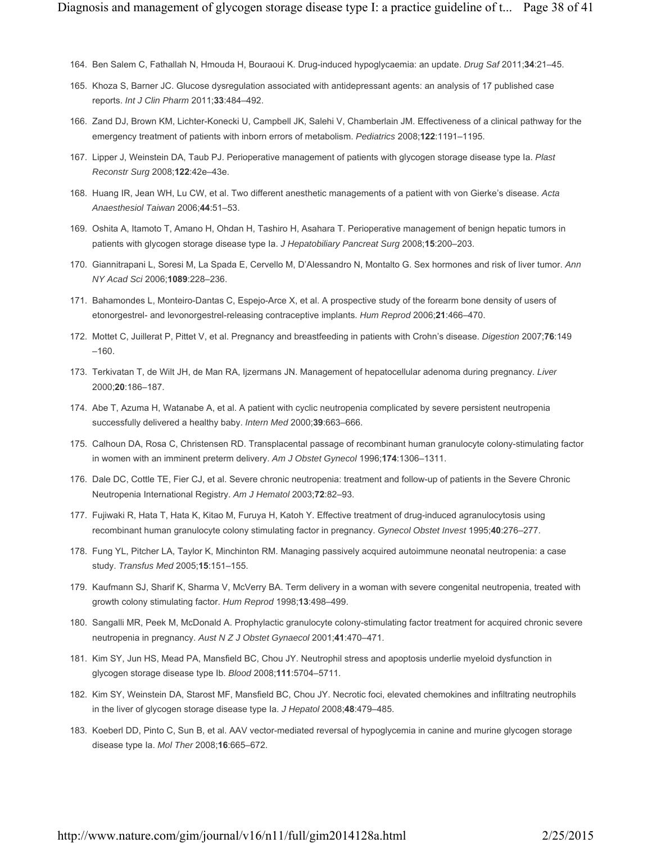- 164. Ben Salem C, Fathallah N, Hmouda H, Bouraoui K. Drug-induced hypoglycaemia: an update. *Drug Saf* 2011;**34**:21–45.
- 165. Khoza S, Barner JC. Glucose dysregulation associated with antidepressant agents: an analysis of 17 published case reports. *Int J Clin Pharm* 2011;**33**:484–492.
- 166. Zand DJ, Brown KM, Lichter-Konecki U, Campbell JK, Salehi V, Chamberlain JM. Effectiveness of a clinical pathway for the emergency treatment of patients with inborn errors of metabolism. *Pediatrics* 2008;**122**:1191–1195.
- 167. Lipper J, Weinstein DA, Taub PJ. Perioperative management of patients with glycogen storage disease type Ia. *Plast Reconstr Surg* 2008;**122**:42e–43e.
- 168. Huang IR, Jean WH, Lu CW, et al. Two different anesthetic managements of a patient with von Gierke's disease. *Acta Anaesthesiol Taiwan* 2006;**44**:51–53.
- 169. Oshita A, Itamoto T, Amano H, Ohdan H, Tashiro H, Asahara T. Perioperative management of benign hepatic tumors in patients with glycogen storage disease type Ia. *J Hepatobiliary Pancreat Surg* 2008;**15**:200–203.
- 170. Giannitrapani L, Soresi M, La Spada E, Cervello M, D'Alessandro N, Montalto G. Sex hormones and risk of liver tumor. *Ann NY Acad Sci* 2006;**1089**:228–236.
- 171. Bahamondes L, Monteiro-Dantas C, Espejo-Arce X, et al. A prospective study of the forearm bone density of users of etonorgestrel- and levonorgestrel-releasing contraceptive implants. *Hum Reprod* 2006;**21**:466–470.
- 172. Mottet C, Juillerat P, Pittet V, et al. Pregnancy and breastfeeding in patients with Crohn's disease. *Digestion* 2007;**76**:149 –160.
- 173. Terkivatan T, de Wilt JH, de Man RA, Ijzermans JN. Management of hepatocellular adenoma during pregnancy. *Liver* 2000;**20**:186–187.
- 174. Abe T, Azuma H, Watanabe A, et al. A patient with cyclic neutropenia complicated by severe persistent neutropenia successfully delivered a healthy baby. *Intern Med* 2000;**39**:663–666.
- 175. Calhoun DA, Rosa C, Christensen RD. Transplacental passage of recombinant human granulocyte colony-stimulating factor in women with an imminent preterm delivery. *Am J Obstet Gynecol* 1996;**174**:1306–1311.
- 176. Dale DC, Cottle TE, Fier CJ, et al. Severe chronic neutropenia: treatment and follow-up of patients in the Severe Chronic Neutropenia International Registry. *Am J Hematol* 2003;**72**:82–93.
- 177. Fujiwaki R, Hata T, Hata K, Kitao M, Furuya H, Katoh Y. Effective treatment of drug-induced agranulocytosis using recombinant human granulocyte colony stimulating factor in pregnancy. *Gynecol Obstet Invest* 1995;**40**:276–277.
- 178. Fung YL, Pitcher LA, Taylor K, Minchinton RM. Managing passively acquired autoimmune neonatal neutropenia: a case study. *Transfus Med* 2005;**15**:151–155.
- 179. Kaufmann SJ, Sharif K, Sharma V, McVerry BA. Term delivery in a woman with severe congenital neutropenia, treated with growth colony stimulating factor. *Hum Reprod* 1998;**13**:498–499.
- 180. Sangalli MR, Peek M, McDonald A. Prophylactic granulocyte colony-stimulating factor treatment for acquired chronic severe neutropenia in pregnancy. *Aust N Z J Obstet Gynaecol* 2001;**41**:470–471.
- 181. Kim SY, Jun HS, Mead PA, Mansfield BC, Chou JY. Neutrophil stress and apoptosis underlie myeloid dysfunction in glycogen storage disease type Ib. *Blood* 2008;**111**:5704–5711.
- 182. Kim SY, Weinstein DA, Starost MF, Mansfield BC, Chou JY. Necrotic foci, elevated chemokines and infiltrating neutrophils in the liver of glycogen storage disease type Ia. *J Hepatol* 2008;**48**:479–485.
- 183. Koeberl DD, Pinto C, Sun B, et al. AAV vector-mediated reversal of hypoglycemia in canine and murine glycogen storage disease type Ia. *Mol Ther* 2008;**16**:665–672.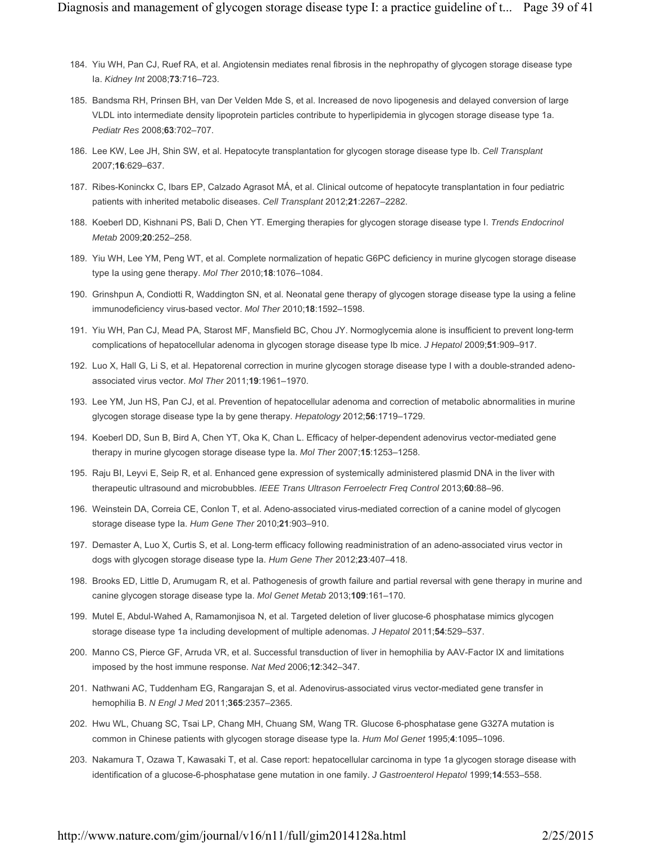- 184. Yiu WH, Pan CJ, Ruef RA, et al. Angiotensin mediates renal fibrosis in the nephropathy of glycogen storage disease type Ia. *Kidney Int* 2008;**73**:716–723.
- 185. Bandsma RH, Prinsen BH, van Der Velden Mde S, et al. Increased de novo lipogenesis and delayed conversion of large VLDL into intermediate density lipoprotein particles contribute to hyperlipidemia in glycogen storage disease type 1a. *Pediatr Res* 2008;**63**:702–707.
- 186. Lee KW, Lee JH, Shin SW, et al. Hepatocyte transplantation for glycogen storage disease type Ib. *Cell Transplant* 2007;**16**:629–637.
- 187. Ribes-Koninckx C, Ibars EP, Calzado Agrasot MÁ, et al. Clinical outcome of hepatocyte transplantation in four pediatric patients with inherited metabolic diseases. *Cell Transplant* 2012;**21**:2267–2282.
- 188. Koeberl DD, Kishnani PS, Bali D, Chen YT. Emerging therapies for glycogen storage disease type I. *Trends Endocrinol Metab* 2009;**20**:252–258.
- 189. Yiu WH, Lee YM, Peng WT, et al. Complete normalization of hepatic G6PC deficiency in murine glycogen storage disease type Ia using gene therapy. *Mol Ther* 2010;**18**:1076–1084.
- 190. Grinshpun A, Condiotti R, Waddington SN, et al. Neonatal gene therapy of glycogen storage disease type Ia using a feline immunodeficiency virus-based vector. *Mol Ther* 2010;**18**:1592–1598.
- 191. Yiu WH, Pan CJ, Mead PA, Starost MF, Mansfield BC, Chou JY. Normoglycemia alone is insufficient to prevent long-term complications of hepatocellular adenoma in glycogen storage disease type Ib mice. *J Hepatol* 2009;**51**:909–917.
- 192. Luo X, Hall G, Li S, et al. Hepatorenal correction in murine glycogen storage disease type I with a double-stranded adenoassociated virus vector. *Mol Ther* 2011;**19**:1961–1970.
- 193. Lee YM, Jun HS, Pan CJ, et al. Prevention of hepatocellular adenoma and correction of metabolic abnormalities in murine glycogen storage disease type Ia by gene therapy. *Hepatology* 2012;**56**:1719–1729.
- 194. Koeberl DD, Sun B, Bird A, Chen YT, Oka K, Chan L. Efficacy of helper-dependent adenovirus vector-mediated gene therapy in murine glycogen storage disease type Ia. *Mol Ther* 2007;**15**:1253–1258.
- 195. Raju BI, Leyvi E, Seip R, et al. Enhanced gene expression of systemically administered plasmid DNA in the liver with therapeutic ultrasound and microbubbles. *IEEE Trans Ultrason Ferroelectr Freq Control* 2013;**60**:88–96.
- 196. Weinstein DA, Correia CE, Conlon T, et al. Adeno-associated virus-mediated correction of a canine model of glycogen storage disease type Ia. *Hum Gene Ther* 2010;**21**:903–910.
- 197. Demaster A, Luo X, Curtis S, et al. Long-term efficacy following readministration of an adeno-associated virus vector in dogs with glycogen storage disease type Ia. *Hum Gene Ther* 2012;**23**:407–418.
- 198. Brooks ED, Little D, Arumugam R, et al. Pathogenesis of growth failure and partial reversal with gene therapy in murine and canine glycogen storage disease type Ia. *Mol Genet Metab* 2013;**109**:161–170.
- 199. Mutel E, Abdul-Wahed A, Ramamonjisoa N, et al. Targeted deletion of liver glucose-6 phosphatase mimics glycogen storage disease type 1a including development of multiple adenomas. *J Hepatol* 2011;**54**:529–537.
- 200. Manno CS, Pierce GF, Arruda VR, et al. Successful transduction of liver in hemophilia by AAV-Factor IX and limitations imposed by the host immune response. *Nat Med* 2006;**12**:342–347.
- 201. Nathwani AC, Tuddenham EG, Rangarajan S, et al. Adenovirus-associated virus vector-mediated gene transfer in hemophilia B. *N Engl J Med* 2011;**365**:2357–2365.
- 202. Hwu WL, Chuang SC, Tsai LP, Chang MH, Chuang SM, Wang TR. Glucose 6-phosphatase gene G327A mutation is common in Chinese patients with glycogen storage disease type Ia. *Hum Mol Genet* 1995;**4**:1095–1096.
- 203. Nakamura T, Ozawa T, Kawasaki T, et al. Case report: hepatocellular carcinoma in type 1a glycogen storage disease with identification of a glucose-6-phosphatase gene mutation in one family. *J Gastroenterol Hepatol* 1999;**14**:553–558.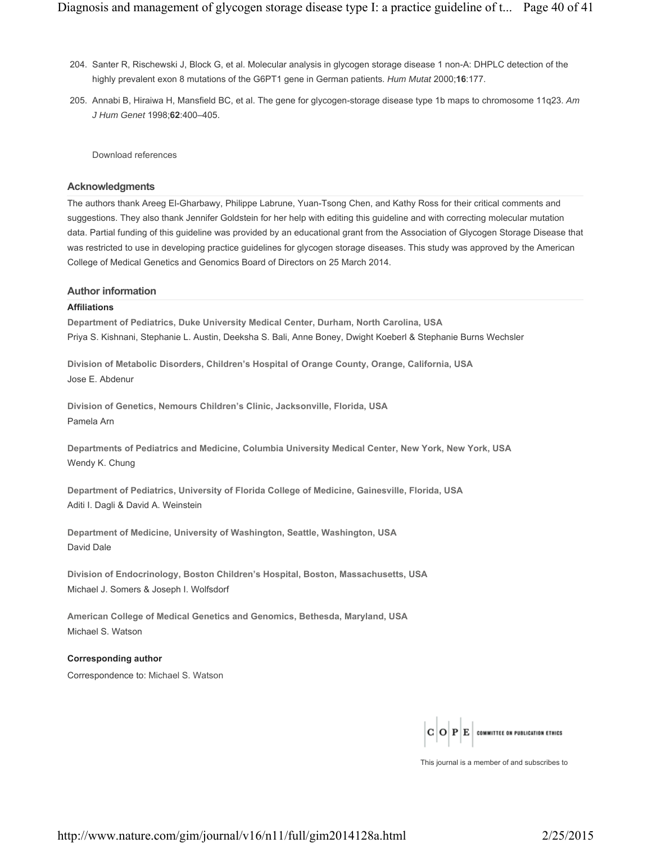- 204. Santer R, Rischewski J, Block G, et al. Molecular analysis in glycogen storage disease 1 non-A: DHPLC detection of the highly prevalent exon 8 mutations of the G6PT1 gene in German patients. *Hum Mutat* 2000;**16**:177.
- 205. Annabi B, Hiraiwa H, Mansfield BC, et al. The gene for glycogen-storage disease type 1b maps to chromosome 11q23. *Am J Hum Genet* 1998;**62**:400–405.

Download references

## **Acknowledgments**

The authors thank Areeg El-Gharbawy, Philippe Labrune, Yuan-Tsong Chen, and Kathy Ross for their critical comments and suggestions. They also thank Jennifer Goldstein for her help with editing this guideline and with correcting molecular mutation data. Partial funding of this guideline was provided by an educational grant from the Association of Glycogen Storage Disease that was restricted to use in developing practice guidelines for glycogen storage diseases. This study was approved by the American College of Medical Genetics and Genomics Board of Directors on 25 March 2014.

#### **Author information**

#### **Affiliations**

**Department of Pediatrics, Duke University Medical Center, Durham, North Carolina, USA** Priya S. Kishnani, Stephanie L. Austin, Deeksha S. Bali, Anne Boney, Dwight Koeberl & Stephanie Burns Wechsler

**Division of Metabolic Disorders, Children's Hospital of Orange County, Orange, California, USA** Jose E. Abdenur

**Division of Genetics, Nemours Children's Clinic, Jacksonville, Florida, USA** Pamela Arn

**Departments of Pediatrics and Medicine, Columbia University Medical Center, New York, New York, USA** Wendy K. Chung

**Department of Pediatrics, University of Florida College of Medicine, Gainesville, Florida, USA** Aditi I. Dagli & David A. Weinstein

**Department of Medicine, University of Washington, Seattle, Washington, USA** David Dale

**Division of Endocrinology, Boston Children's Hospital, Boston, Massachusetts, USA** Michael J. Somers & Joseph I. Wolfsdorf

**American College of Medical Genetics and Genomics, Bethesda, Maryland, USA** Michael S. Watson

## **Corresponding author**

Correspondence to: Michael S. Watson



This journal is a member of and subscribes to